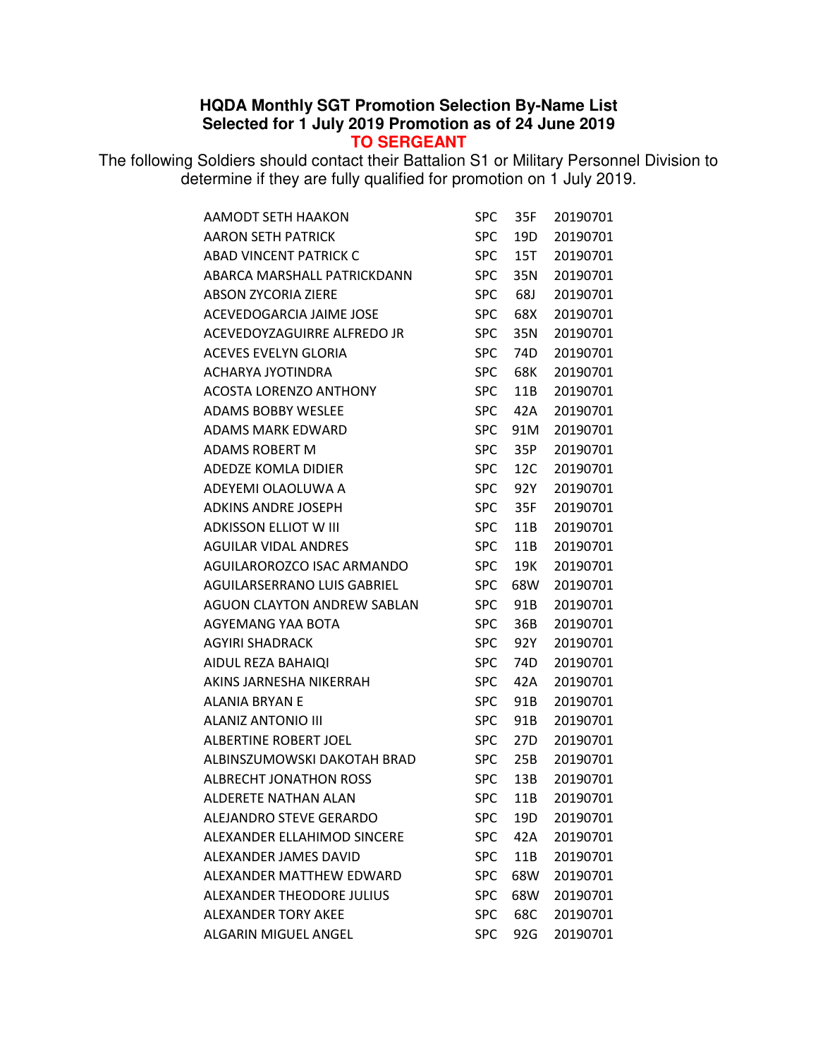## **HQDA Monthly SGT Promotion Selection By-Name List Selected for 1 July 2019 Promotion as of 24 June 2019 TO SERGEANT**

The following Soldiers should contact their Battalion S1 or Military Personnel Division to determine if they are fully qualified for promotion on 1 July 2019.

| AAMODT SETH HAAKON                 | SPC        | 35F | 20190701 |
|------------------------------------|------------|-----|----------|
| <b>AARON SETH PATRICK</b>          | <b>SPC</b> | 19D | 20190701 |
| ABAD VINCENT PATRICK C             | <b>SPC</b> | 15T | 20190701 |
| ABARCA MARSHALL PATRICKDANN        | <b>SPC</b> | 35N | 20190701 |
| <b>ABSON ZYCORIA ZIERE</b>         | <b>SPC</b> | 68J | 20190701 |
| ACEVEDOGARCIA JAIME JOSE           | <b>SPC</b> | 68X | 20190701 |
| ACEVEDOYZAGUIRRE ALFREDO JR        | <b>SPC</b> | 35N | 20190701 |
| <b>ACEVES EVELYN GLORIA</b>        | <b>SPC</b> | 74D | 20190701 |
| ACHARYA JYOTINDRA                  | <b>SPC</b> | 68K | 20190701 |
| ACOSTA LORENZO ANTHONY             | <b>SPC</b> | 11B | 20190701 |
| <b>ADAMS BOBBY WESLEE</b>          | <b>SPC</b> | 42A | 20190701 |
| ADAMS MARK EDWARD                  | <b>SPC</b> | 91M | 20190701 |
| ADAMS ROBERT M                     | <b>SPC</b> | 35P | 20190701 |
| ADEDZE KOMLA DIDIER                | <b>SPC</b> | 12C | 20190701 |
| ADEYEMI OLAOLUWA A                 | <b>SPC</b> | 92Y | 20190701 |
| <b>ADKINS ANDRE JOSEPH</b>         | <b>SPC</b> | 35F | 20190701 |
| <b>ADKISSON ELLIOT W III</b>       | <b>SPC</b> | 11B | 20190701 |
| <b>AGUILAR VIDAL ANDRES</b>        | <b>SPC</b> | 11B | 20190701 |
| AGUILAROROZCO ISAC ARMANDO         | <b>SPC</b> | 19K | 20190701 |
| <b>AGUILARSERRANO LUIS GABRIEL</b> | <b>SPC</b> | 68W | 20190701 |
| <b>AGUON CLAYTON ANDREW SABLAN</b> | <b>SPC</b> | 91B | 20190701 |
| AGYEMANG YAA BOTA                  | <b>SPC</b> | 36B | 20190701 |
| <b>AGYIRI SHADRACK</b>             | <b>SPC</b> | 92Y | 20190701 |
| AIDUL REZA BAHAIQI                 | <b>SPC</b> | 74D | 20190701 |
| AKINS JARNESHA NIKERRAH            | <b>SPC</b> | 42A | 20190701 |
| ALANIA BRYAN E                     | <b>SPC</b> | 91B | 20190701 |
| <b>ALANIZ ANTONIO III</b>          | <b>SPC</b> | 91B | 20190701 |
| ALBERTINE ROBERT JOEL              | <b>SPC</b> | 27D | 20190701 |
| ALBINSZUMOWSKI DAKOTAH BRAD        | <b>SPC</b> | 25B | 20190701 |
| <b>ALBRECHT JONATHON ROSS</b>      | <b>SPC</b> | 13B | 20190701 |
| ALDERETE NATHAN ALAN               | <b>SPC</b> | 11B | 20190701 |
| <b>ALEJANDRO STEVE GERARDO</b>     | <b>SPC</b> | 19D | 20190701 |
| ALEXANDER ELLAHIMOD SINCERE        | <b>SPC</b> | 42A | 20190701 |
| ALEXANDER JAMES DAVID              | <b>SPC</b> | 11B | 20190701 |
| ALEXANDER MATTHEW EDWARD           | <b>SPC</b> | 68W | 20190701 |
| ALEXANDER THEODORE JULIUS          | <b>SPC</b> | 68W | 20190701 |
| <b>ALEXANDER TORY AKEE</b>         | <b>SPC</b> | 68C | 20190701 |
| ALGARIN MIGUEL ANGEL               | <b>SPC</b> | 92G | 20190701 |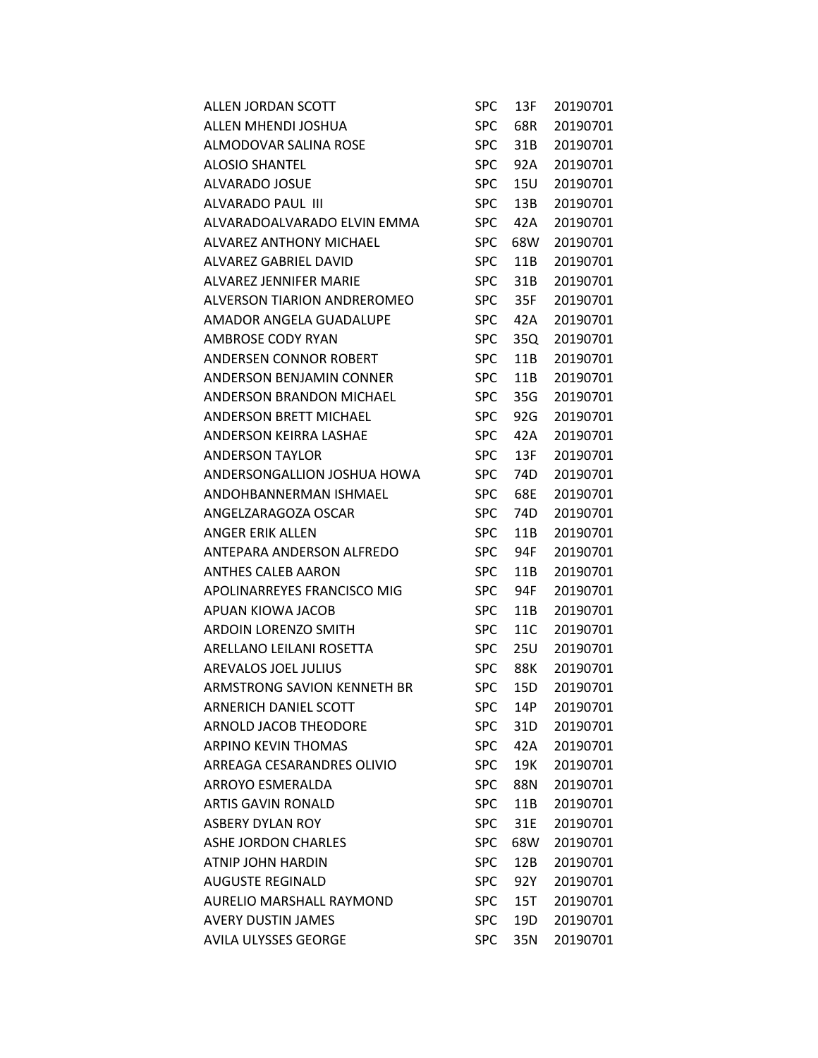| ALLEN JORDAN SCOTT           | SPC        | 13F | 20190701 |
|------------------------------|------------|-----|----------|
| ALLEN MHENDI JOSHUA          | <b>SPC</b> | 68R | 20190701 |
| ALMODOVAR SALINA ROSE        | <b>SPC</b> | 31B | 20190701 |
| ALOSIO SHANTEL               | <b>SPC</b> | 92A | 20190701 |
| ALVARADO JOSUE               | <b>SPC</b> | 15U | 20190701 |
| ALVARADO PAUL III            | <b>SPC</b> | 13B | 20190701 |
| ALVARADOALVARADO ELVIN EMMA  | <b>SPC</b> | 42A | 20190701 |
| ALVAREZ ANTHONY MICHAEL      | <b>SPC</b> | 68W | 20190701 |
| <b>ALVAREZ GABRIEL DAVID</b> | <b>SPC</b> | 11B | 20190701 |
| ALVAREZ JENNIFER MARIE       | SPC.       | 31B | 20190701 |
| ALVERSON TIARION ANDREROMEO  | <b>SPC</b> | 35F | 20190701 |
| AMADOR ANGELA GUADALUPE      | <b>SPC</b> | 42A | 20190701 |
| AMBROSE CODY RYAN            | <b>SPC</b> | 35Q | 20190701 |
| ANDERSEN CONNOR ROBERT       | <b>SPC</b> | 11B | 20190701 |
| ANDERSON BENJAMIN CONNER     | <b>SPC</b> | 11B | 20190701 |
| ANDERSON BRANDON MICHAEL     | <b>SPC</b> | 35G | 20190701 |
| ANDERSON BRETT MICHAEL       | <b>SPC</b> | 92G | 20190701 |
| ANDERSON KEIRRA LASHAE       | <b>SPC</b> | 42A | 20190701 |
| <b>ANDERSON TAYLOR</b>       | <b>SPC</b> | 13F | 20190701 |
| ANDERSONGALLION JOSHUA HOWA  | <b>SPC</b> | 74D | 20190701 |
| ANDOHBANNERMAN ISHMAEL       | <b>SPC</b> | 68E | 20190701 |
| ANGELZARAGOZA OSCAR          | <b>SPC</b> | 74D | 20190701 |
| ANGER ERIK ALLEN             | <b>SPC</b> | 11B | 20190701 |
| ANTEPARA ANDERSON ALFREDO    | <b>SPC</b> | 94F | 20190701 |
| ANTHES CALEB AARON           | <b>SPC</b> | 11B | 20190701 |
| APOLINARREYES FRANCISCO MIG  | SPC        | 94F | 20190701 |
| APUAN KIOWA JACOB            | <b>SPC</b> | 11B | 20190701 |
| ARDOIN LORENZO SMITH         | <b>SPC</b> | 11C | 20190701 |
| ARELLANO LEILANI ROSETTA     | <b>SPC</b> | 25U | 20190701 |
| AREVALOS JOEL JULIUS         | <b>SPC</b> | 88K | 20190701 |
| ARMSTRONG SAVION KENNETH BR  | <b>SPC</b> | 15D | 20190701 |
| <b>ARNERICH DANIEL SCOTT</b> | <b>SPC</b> | 14P | 20190701 |
| <b>ARNOLD JACOB THEODORE</b> | <b>SPC</b> | 31D | 20190701 |
| <b>ARPINO KEVIN THOMAS</b>   | <b>SPC</b> | 42A | 20190701 |
| ARREAGA CESARANDRES OLIVIO   | <b>SPC</b> | 19K | 20190701 |
| ARROYO ESMERALDA             | <b>SPC</b> | 88N | 20190701 |
| ARTIS GAVIN RONALD           | <b>SPC</b> | 11B | 20190701 |
| ASBERY DYLAN ROY             | <b>SPC</b> | 31E | 20190701 |
| ASHE JORDON CHARLES          | <b>SPC</b> | 68W | 20190701 |
| ATNIP JOHN HARDIN            | <b>SPC</b> | 12B | 20190701 |
| AUGUSTE REGINALD             | <b>SPC</b> | 92Y | 20190701 |
| AURELIO MARSHALL RAYMOND     | <b>SPC</b> | 15T | 20190701 |
| <b>AVERY DUSTIN JAMES</b>    | <b>SPC</b> | 19D | 20190701 |
| <b>AVILA ULYSSES GEORGE</b>  | <b>SPC</b> | 35N | 20190701 |
|                              |            |     |          |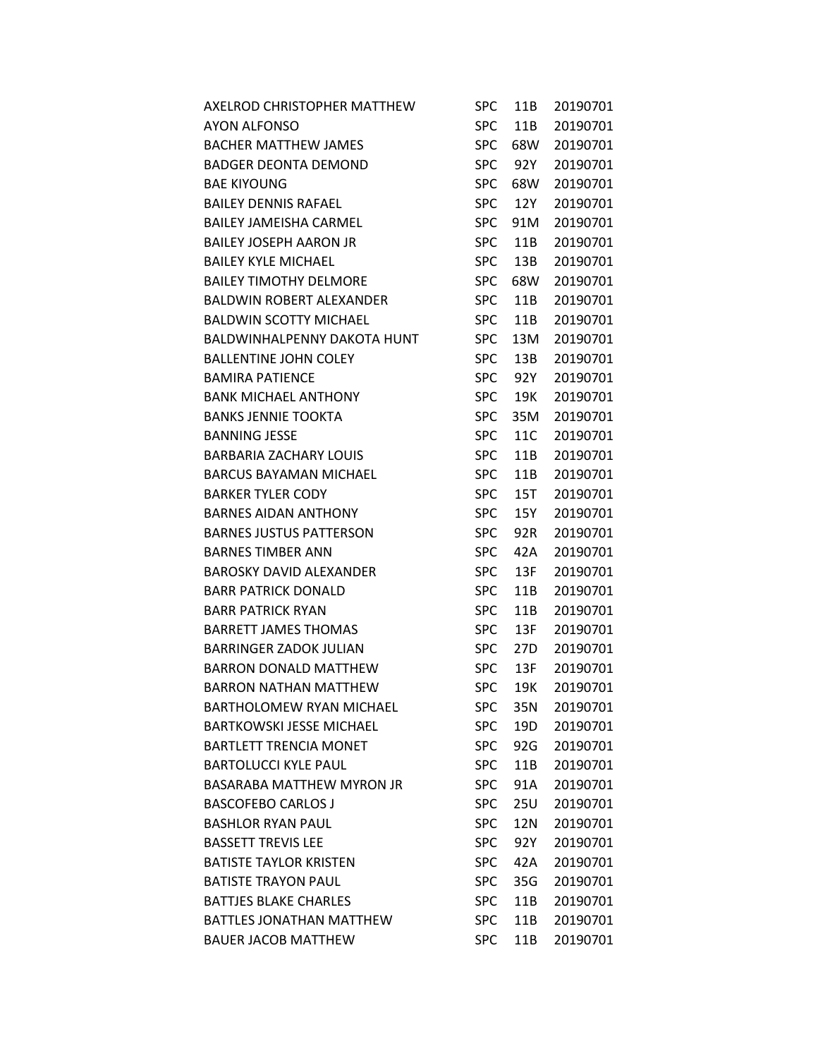| AXELROD CHRISTOPHER MATTHEW        | SPC        | 11B | 20190701 |
|------------------------------------|------------|-----|----------|
| AYON ALFONSO                       | <b>SPC</b> | 11B | 20190701 |
| <b>BACHER MATTHEW JAMES</b>        | <b>SPC</b> | 68W | 20190701 |
| <b>BADGER DEONTA DEMOND</b>        | <b>SPC</b> | 92Y | 20190701 |
| <b>BAE KIYOUNG</b>                 | <b>SPC</b> | 68W | 20190701 |
| <b>BAILEY DENNIS RAFAEL</b>        | <b>SPC</b> | 12Y | 20190701 |
| <b>BAILEY JAMEISHA CARMEL</b>      | <b>SPC</b> | 91M | 20190701 |
| <b>BAILEY JOSEPH AARON JR</b>      | <b>SPC</b> | 11B | 20190701 |
| <b>BAILEY KYLE MICHAEL</b>         | <b>SPC</b> | 13B | 20190701 |
| <b>BAILEY TIMOTHY DELMORE</b>      | <b>SPC</b> | 68W | 20190701 |
| BALDWIN ROBERT ALEXANDER           | <b>SPC</b> | 11B | 20190701 |
| <b>BALDWIN SCOTTY MICHAEL</b>      | <b>SPC</b> | 11B | 20190701 |
| <b>BALDWINHALPENNY DAKOTA HUNT</b> | <b>SPC</b> | 13M | 20190701 |
| <b>BALLENTINE JOHN COLEY</b>       | <b>SPC</b> | 13B | 20190701 |
| <b>BAMIRA PATIENCE</b>             | <b>SPC</b> | 92Y | 20190701 |
| <b>BANK MICHAEL ANTHONY</b>        | <b>SPC</b> | 19K | 20190701 |
| <b>BANKS JENNIE TOOKTA</b>         | <b>SPC</b> | 35M | 20190701 |
| <b>BANNING JESSE</b>               | <b>SPC</b> | 11C | 20190701 |
| <b>BARBARIA ZACHARY LOUIS</b>      | <b>SPC</b> | 11B | 20190701 |
| <b>BARCUS BAYAMAN MICHAEL</b>      | <b>SPC</b> | 11B | 20190701 |
| <b>BARKER TYLER CODY</b>           | <b>SPC</b> | 15T | 20190701 |
| <b>BARNES AIDAN ANTHONY</b>        | <b>SPC</b> | 15Y | 20190701 |
| <b>BARNES JUSTUS PATTERSON</b>     | <b>SPC</b> | 92R | 20190701 |
| <b>BARNES TIMBER ANN</b>           | <b>SPC</b> | 42A | 20190701 |
| <b>BAROSKY DAVID ALEXANDER</b>     | <b>SPC</b> | 13F | 20190701 |
| <b>BARR PATRICK DONALD</b>         | <b>SPC</b> | 11B | 20190701 |
| <b>BARR PATRICK RYAN</b>           | <b>SPC</b> | 11B | 20190701 |
| <b>BARRETT JAMES THOMAS</b>        | <b>SPC</b> | 13F | 20190701 |
| <b>BARRINGER ZADOK JULIAN</b>      | <b>SPC</b> | 27D | 20190701 |
| <b>BARRON DONALD MATTHEW</b>       | <b>SPC</b> | 13F | 20190701 |
| <b>BARRON NATHAN MATTHEW</b>       | <b>SPC</b> | 19K | 20190701 |
| <b>BARTHOLOMEW RYAN MICHAEL</b>    | <b>SPC</b> | 35N | 20190701 |
| <b>BARTKOWSKI JESSE MICHAEL</b>    | <b>SPC</b> | 19D | 20190701 |
| <b>BARTLETT TRENCIA MONET</b>      | <b>SPC</b> | 92G | 20190701 |
| <b>BARTOLUCCI KYLE PAUL</b>        | <b>SPC</b> | 11B | 20190701 |
| <b>BASARABA MATTHEW MYRON JR</b>   | <b>SPC</b> | 91A | 20190701 |
| <b>BASCOFEBO CARLOS J</b>          | <b>SPC</b> | 25U | 20190701 |
| <b>BASHLOR RYAN PAUL</b>           | <b>SPC</b> | 12N | 20190701 |
| <b>BASSETT TREVIS LEE</b>          | <b>SPC</b> | 92Y | 20190701 |
| <b>BATISTE TAYLOR KRISTEN</b>      | <b>SPC</b> | 42A | 20190701 |
| <b>BATISTE TRAYON PAUL</b>         | <b>SPC</b> | 35G | 20190701 |
| <b>BATTJES BLAKE CHARLES</b>       | <b>SPC</b> | 11B | 20190701 |
| <b>BATTLES JONATHAN MATTHEW</b>    | <b>SPC</b> | 11B | 20190701 |
| <b>BAUER JACOB MATTHEW</b>         | <b>SPC</b> | 11B | 20190701 |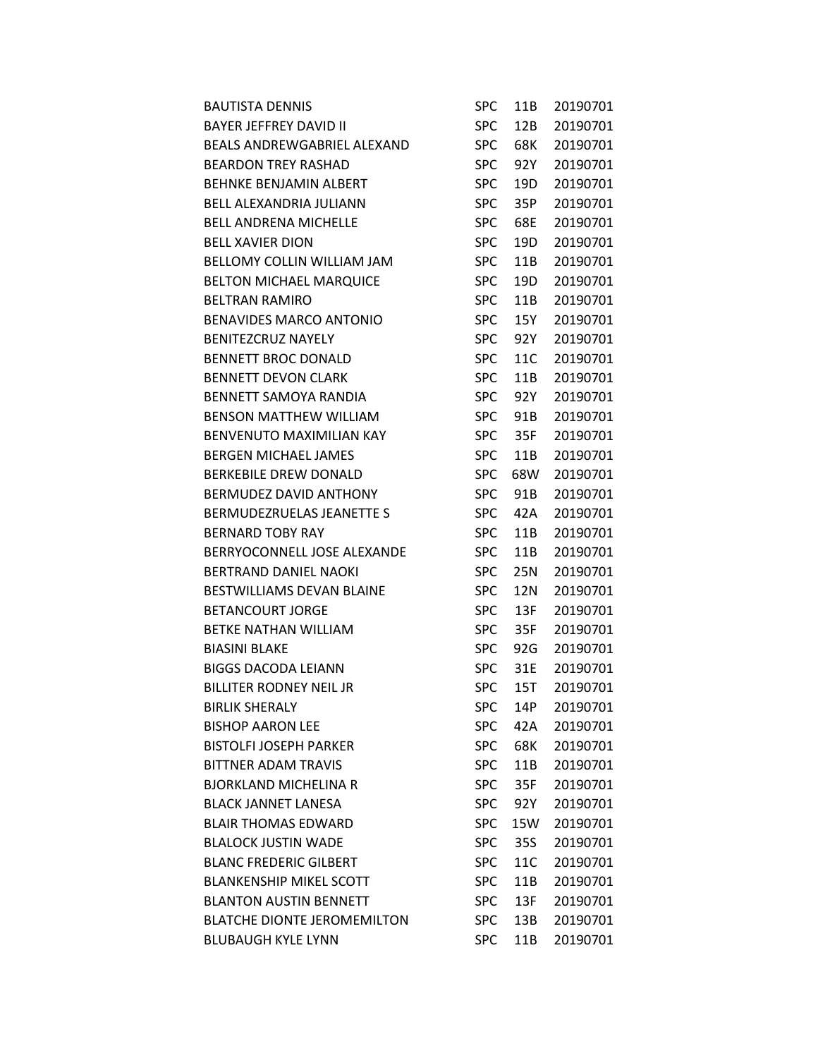| <b>BAUTISTA DENNIS</b>             | SPC        | 11B | 20190701 |
|------------------------------------|------------|-----|----------|
| <b>BAYER JEFFREY DAVID II</b>      | <b>SPC</b> | 12B | 20190701 |
| <b>BEALS ANDREWGABRIEL ALEXAND</b> | <b>SPC</b> | 68K | 20190701 |
| <b>BEARDON TREY RASHAD</b>         | <b>SPC</b> | 92Y | 20190701 |
| BEHNKE BENJAMIN ALBERT             | <b>SPC</b> | 19D | 20190701 |
| <b>BELL ALEXANDRIA JULIANN</b>     | <b>SPC</b> | 35P | 20190701 |
| <b>BELL ANDRENA MICHELLE</b>       | <b>SPC</b> | 68E | 20190701 |
| <b>BELL XAVIER DION</b>            | <b>SPC</b> | 19D | 20190701 |
| BELLOMY COLLIN WILLIAM JAM         | <b>SPC</b> | 11B | 20190701 |
| <b>BELTON MICHAEL MARQUICE</b>     | <b>SPC</b> | 19D | 20190701 |
| <b>BELTRAN RAMIRO</b>              | <b>SPC</b> | 11B | 20190701 |
| <b>BENAVIDES MARCO ANTONIO</b>     | <b>SPC</b> | 15Y | 20190701 |
| <b>BENITEZCRUZ NAYELY</b>          | <b>SPC</b> | 92Y | 20190701 |
| <b>BENNETT BROC DONALD</b>         | <b>SPC</b> | 11C | 20190701 |
| <b>BENNETT DEVON CLARK</b>         | <b>SPC</b> | 11B | 20190701 |
| <b>BENNETT SAMOYA RANDIA</b>       | <b>SPC</b> | 92Y | 20190701 |
| <b>BENSON MATTHEW WILLIAM</b>      | <b>SPC</b> | 91B | 20190701 |
| <b>BENVENUTO MAXIMILIAN KAY</b>    | <b>SPC</b> | 35F | 20190701 |
| <b>BERGEN MICHAEL JAMES</b>        | <b>SPC</b> | 11B | 20190701 |
| <b>BERKEBILE DREW DONALD</b>       | <b>SPC</b> | 68W | 20190701 |
| BERMUDEZ DAVID ANTHONY             | <b>SPC</b> | 91B | 20190701 |
| BERMUDEZRUELAS JEANETTE S          | <b>SPC</b> | 42A | 20190701 |
| <b>BERNARD TOBY RAY</b>            | <b>SPC</b> | 11B | 20190701 |
| BERRYOCONNELL JOSE ALEXANDE        | <b>SPC</b> | 11B | 20190701 |
| <b>BERTRAND DANIEL NAOKI</b>       | <b>SPC</b> | 25N | 20190701 |
| <b>BESTWILLIAMS DEVAN BLAINE</b>   | <b>SPC</b> | 12N | 20190701 |
| <b>BETANCOURT JORGE</b>            | <b>SPC</b> | 13F | 20190701 |
| BETKE NATHAN WILLIAM               | <b>SPC</b> | 35F | 20190701 |
| <b>BIASINI BLAKE</b>               | <b>SPC</b> | 92G | 20190701 |
| <b>BIGGS DACODA LEIANN</b>         | <b>SPC</b> | 31E | 20190701 |
| <b>BILLITER RODNEY NEIL JR</b>     | <b>SPC</b> | 15T | 20190701 |
| <b>BIRLIK SHERALY</b>              | <b>SPC</b> | 14P | 20190701 |
| <b>BISHOP AARON LEE</b>            | <b>SPC</b> | 42A | 20190701 |
| <b>BISTOLFI JOSEPH PARKER</b>      | <b>SPC</b> | 68K | 20190701 |
| <b>BITTNER ADAM TRAVIS</b>         | <b>SPC</b> | 11B | 20190701 |
| <b>BJORKLAND MICHELINA R</b>       | <b>SPC</b> | 35F | 20190701 |
| <b>BLACK JANNET LANESA</b>         | <b>SPC</b> | 92Y | 20190701 |
| <b>BLAIR THOMAS EDWARD</b>         | <b>SPC</b> | 15W | 20190701 |
| <b>BLALOCK JUSTIN WADE</b>         | <b>SPC</b> | 35S | 20190701 |
| <b>BLANC FREDERIC GILBERT</b>      | <b>SPC</b> | 11C | 20190701 |
| <b>BLANKENSHIP MIKEL SCOTT</b>     | <b>SPC</b> | 11B | 20190701 |
| <b>BLANTON AUSTIN BENNETT</b>      | <b>SPC</b> | 13F | 20190701 |
| <b>BLATCHE DIONTE JEROMEMILTON</b> | <b>SPC</b> | 13B | 20190701 |
| <b>BLUBAUGH KYLE LYNN</b>          | <b>SPC</b> | 11B | 20190701 |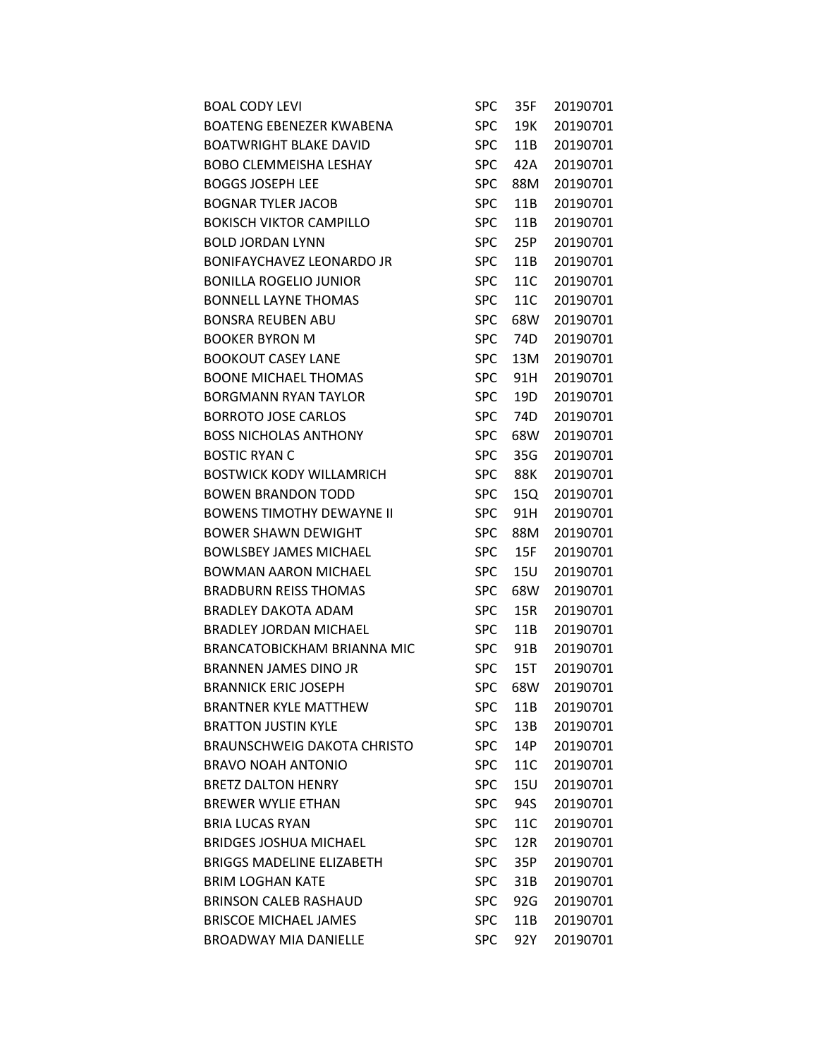| <b>BOAL CODY LEVI</b>              | SPC        | 35F | 20190701 |
|------------------------------------|------------|-----|----------|
| <b>BOATENG EBENEZER KWABENA</b>    | <b>SPC</b> | 19K | 20190701 |
| <b>BOATWRIGHT BLAKE DAVID</b>      | <b>SPC</b> | 11B | 20190701 |
| <b>BOBO CLEMMEISHA LESHAY</b>      | <b>SPC</b> | 42A | 20190701 |
| <b>BOGGS JOSEPH LEE</b>            | <b>SPC</b> | 88M | 20190701 |
| <b>BOGNAR TYLER JACOB</b>          | <b>SPC</b> | 11B | 20190701 |
| <b>BOKISCH VIKTOR CAMPILLO</b>     | <b>SPC</b> | 11B | 20190701 |
| <b>BOLD JORDAN LYNN</b>            | <b>SPC</b> | 25P | 20190701 |
| <b>BONIFAYCHAVEZ LEONARDO JR</b>   | <b>SPC</b> | 11B | 20190701 |
| <b>BONILLA ROGELIO JUNIOR</b>      | <b>SPC</b> | 11C | 20190701 |
| <b>BONNELL LAYNE THOMAS</b>        | <b>SPC</b> | 11C | 20190701 |
| <b>BONSRA REUBEN ABU</b>           | <b>SPC</b> | 68W | 20190701 |
| <b>BOOKER BYRON M</b>              | <b>SPC</b> | 74D | 20190701 |
| <b>BOOKOUT CASEY LANE</b>          | <b>SPC</b> | 13M | 20190701 |
| <b>BOONE MICHAEL THOMAS</b>        | <b>SPC</b> | 91H | 20190701 |
| <b>BORGMANN RYAN TAYLOR</b>        | <b>SPC</b> | 19D | 20190701 |
| <b>BORROTO JOSE CARLOS</b>         | <b>SPC</b> | 74D | 20190701 |
| <b>BOSS NICHOLAS ANTHONY</b>       | <b>SPC</b> | 68W | 20190701 |
| <b>BOSTIC RYAN C</b>               | <b>SPC</b> | 35G | 20190701 |
| <b>BOSTWICK KODY WILLAMRICH</b>    | <b>SPC</b> | 88K | 20190701 |
| <b>BOWEN BRANDON TODD</b>          | <b>SPC</b> | 15Q | 20190701 |
| <b>BOWENS TIMOTHY DEWAYNE II</b>   | <b>SPC</b> | 91H | 20190701 |
| <b>BOWER SHAWN DEWIGHT</b>         | <b>SPC</b> | 88M | 20190701 |
| <b>BOWLSBEY JAMES MICHAEL</b>      | <b>SPC</b> | 15F | 20190701 |
| <b>BOWMAN AARON MICHAEL</b>        | <b>SPC</b> | 15U | 20190701 |
| <b>BRADBURN REISS THOMAS</b>       | <b>SPC</b> | 68W | 20190701 |
| <b>BRADLEY DAKOTA ADAM</b>         | <b>SPC</b> | 15R | 20190701 |
| <b>BRADLEY JORDAN MICHAEL</b>      | <b>SPC</b> | 11B | 20190701 |
| <b>BRANCATOBICKHAM BRIANNA MIC</b> | <b>SPC</b> | 91B | 20190701 |
| <b>BRANNEN JAMES DINO JR</b>       | <b>SPC</b> | 15T | 20190701 |
| <b>BRANNICK ERIC JOSEPH</b>        | <b>SPC</b> | 68W | 20190701 |
| <b>BRANTNER KYLE MATTHEW</b>       | <b>SPC</b> | 11B | 20190701 |
| <b>BRATTON JUSTIN KYLE</b>         | <b>SPC</b> | 13B | 20190701 |
| <b>BRAUNSCHWEIG DAKOTA CHRISTO</b> | <b>SPC</b> | 14P | 20190701 |
| <b>BRAVO NOAH ANTONIO</b>          | <b>SPC</b> | 11C | 20190701 |
| <b>BRETZ DALTON HENRY</b>          | <b>SPC</b> | 15U | 20190701 |
| <b>BREWER WYLIE ETHAN</b>          | <b>SPC</b> | 94S | 20190701 |
| <b>BRIA LUCAS RYAN</b>             | <b>SPC</b> | 11C | 20190701 |
| <b>BRIDGES JOSHUA MICHAEL</b>      | <b>SPC</b> | 12R | 20190701 |
| <b>BRIGGS MADELINE ELIZABETH</b>   | <b>SPC</b> | 35P | 20190701 |
| <b>BRIM LOGHAN KATE</b>            | <b>SPC</b> | 31B | 20190701 |
| <b>BRINSON CALEB RASHAUD</b>       | <b>SPC</b> | 92G | 20190701 |
| <b>BRISCOE MICHAEL JAMES</b>       | <b>SPC</b> | 11B | 20190701 |
| <b>BROADWAY MIA DANIELLE</b>       | <b>SPC</b> | 92Y | 20190701 |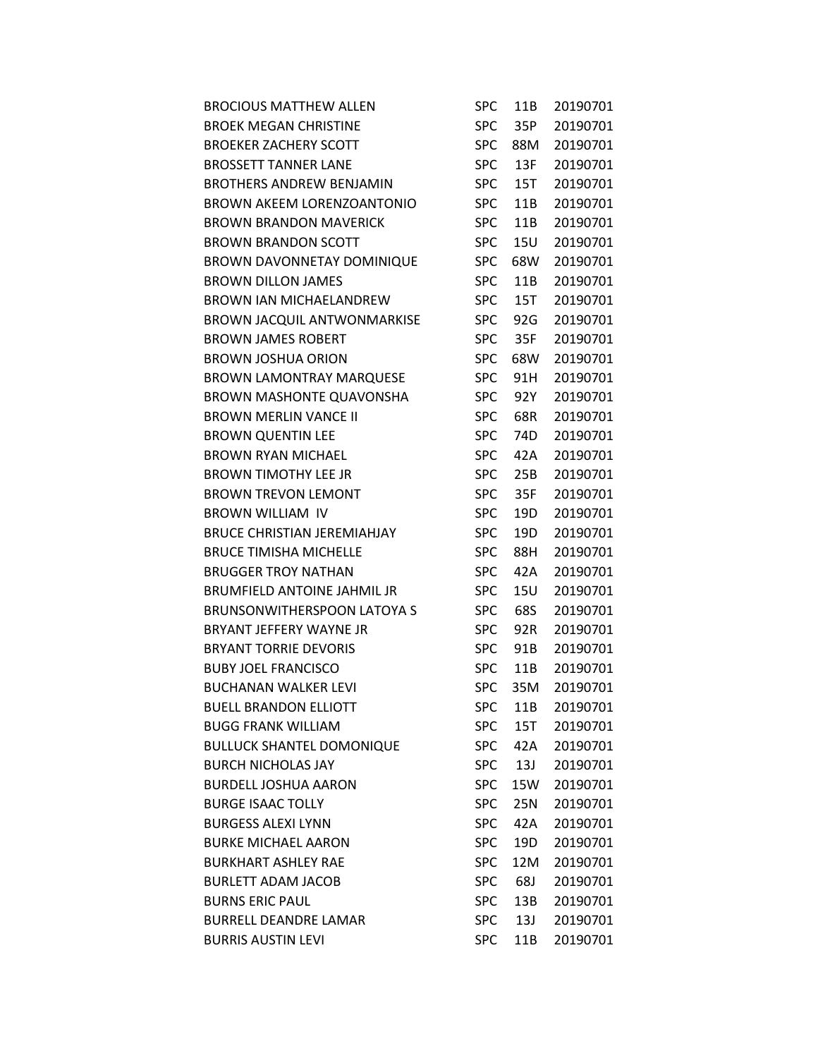| <b>BROCIOUS MATTHEW ALLEN</b>      | SPC        | 11B | 20190701 |
|------------------------------------|------------|-----|----------|
| <b>BROEK MEGAN CHRISTINE</b>       | <b>SPC</b> | 35P | 20190701 |
| <b>BROEKER ZACHERY SCOTT</b>       | <b>SPC</b> | 88M | 20190701 |
| <b>BROSSETT TANNER LANE</b>        | <b>SPC</b> | 13F | 20190701 |
| <b>BROTHERS ANDREW BENJAMIN</b>    | <b>SPC</b> | 15T | 20190701 |
| <b>BROWN AKEEM LORENZOANTONIO</b>  | <b>SPC</b> | 11B | 20190701 |
| <b>BROWN BRANDON MAVERICK</b>      | <b>SPC</b> | 11B | 20190701 |
| <b>BROWN BRANDON SCOTT</b>         | <b>SPC</b> | 15U | 20190701 |
| <b>BROWN DAVONNETAY DOMINIQUE</b>  | <b>SPC</b> | 68W | 20190701 |
| <b>BROWN DILLON JAMES</b>          | <b>SPC</b> | 11B | 20190701 |
| <b>BROWN IAN MICHAELANDREW</b>     | <b>SPC</b> | 15T | 20190701 |
| <b>BROWN JACQUIL ANTWONMARKISE</b> | <b>SPC</b> | 92G | 20190701 |
| <b>BROWN JAMES ROBERT</b>          | <b>SPC</b> | 35F | 20190701 |
| <b>BROWN JOSHUA ORION</b>          | <b>SPC</b> | 68W | 20190701 |
| <b>BROWN LAMONTRAY MARQUESE</b>    | <b>SPC</b> | 91H | 20190701 |
| <b>BROWN MASHONTE QUAVONSHA</b>    | <b>SPC</b> | 92Y | 20190701 |
| <b>BROWN MERLIN VANCE II</b>       | <b>SPC</b> | 68R | 20190701 |
| <b>BROWN QUENTIN LEE</b>           | <b>SPC</b> | 74D | 20190701 |
| <b>BROWN RYAN MICHAEL</b>          | <b>SPC</b> | 42A | 20190701 |
| <b>BROWN TIMOTHY LEE JR</b>        | <b>SPC</b> | 25B | 20190701 |
| <b>BROWN TREVON LEMONT</b>         | <b>SPC</b> | 35F | 20190701 |
| <b>BROWN WILLIAM IV</b>            | <b>SPC</b> | 19D | 20190701 |
| <b>BRUCE CHRISTIAN JEREMIAHJAY</b> | <b>SPC</b> | 19D | 20190701 |
| <b>BRUCE TIMISHA MICHELLE</b>      | <b>SPC</b> | 88H | 20190701 |
| <b>BRUGGER TROY NATHAN</b>         | <b>SPC</b> | 42A | 20190701 |
| <b>BRUMFIELD ANTOINE JAHMIL JR</b> | <b>SPC</b> | 15U | 20190701 |
| <b>BRUNSONWITHERSPOON LATOYA S</b> | <b>SPC</b> | 68S | 20190701 |
| BRYANT JEFFERY WAYNE JR            | <b>SPC</b> | 92R | 20190701 |
| <b>BRYANT TORRIE DEVORIS</b>       | <b>SPC</b> | 91B | 20190701 |
| <b>BUBY JOEL FRANCISCO</b>         | <b>SPC</b> | 11B | 20190701 |
| <b>BUCHANAN WALKER LEVI</b>        | <b>SPC</b> | 35M | 20190701 |
| <b>BUELL BRANDON ELLIOTT</b>       | <b>SPC</b> | 11B | 20190701 |
| <b>BUGG FRANK WILLIAM</b>          | <b>SPC</b> | 15T | 20190701 |
| <b>BULLUCK SHANTEL DOMONIQUE</b>   | <b>SPC</b> | 42A | 20190701 |
| <b>BURCH NICHOLAS JAY</b>          | <b>SPC</b> | 13J | 20190701 |
| <b>BURDELL JOSHUA AARON</b>        | <b>SPC</b> | 15W | 20190701 |
| <b>BURGE ISAAC TOLLY</b>           | <b>SPC</b> | 25N | 20190701 |
| <b>BURGESS ALEXI LYNN</b>          | <b>SPC</b> | 42A | 20190701 |
| <b>BURKE MICHAEL AARON</b>         | <b>SPC</b> | 19D | 20190701 |
| <b>BURKHART ASHLEY RAE</b>         | <b>SPC</b> | 12M | 20190701 |
| <b>BURLETT ADAM JACOB</b>          | <b>SPC</b> | 68J | 20190701 |
| <b>BURNS ERIC PAUL</b>             | <b>SPC</b> | 13B | 20190701 |
| <b>BURRELL DEANDRE LAMAR</b>       | <b>SPC</b> | 13J | 20190701 |
| <b>BURRIS AUSTIN LEVI</b>          | <b>SPC</b> | 11B | 20190701 |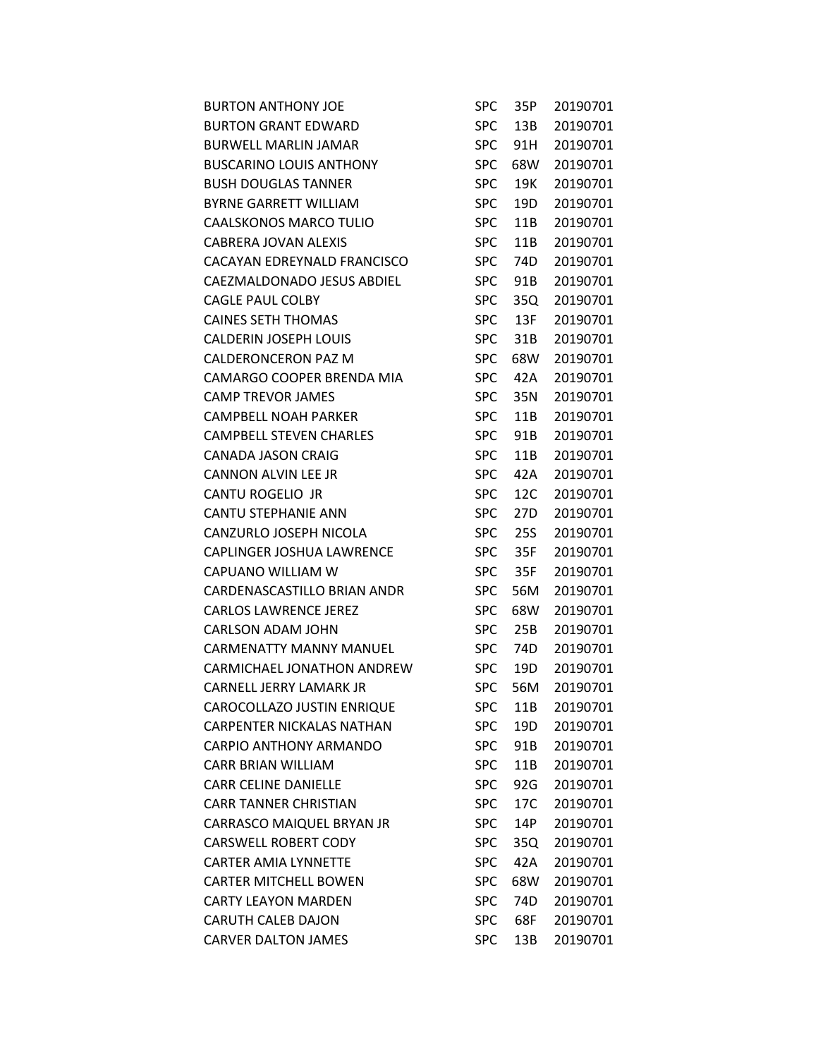| <b>BURTON ANTHONY JOE</b>        | <b>SPC</b> | 35P        | 20190701 |
|----------------------------------|------------|------------|----------|
| <b>BURTON GRANT EDWARD</b>       | <b>SPC</b> | 13B        | 20190701 |
| <b>BURWELL MARLIN JAMAR</b>      | <b>SPC</b> | 91H        | 20190701 |
| <b>BUSCARINO LOUIS ANTHONY</b>   | <b>SPC</b> | 68W        | 20190701 |
| <b>BUSH DOUGLAS TANNER</b>       | <b>SPC</b> | 19K        | 20190701 |
| <b>BYRNE GARRETT WILLIAM</b>     | <b>SPC</b> | 19D        | 20190701 |
| <b>CAALSKONOS MARCO TULIO</b>    | SPC        | 11B        | 20190701 |
| CABRERA JOVAN ALEXIS             | <b>SPC</b> | 11B        | 20190701 |
| CACAYAN EDREYNALD FRANCISCO      | <b>SPC</b> | 74D        | 20190701 |
| CAEZMALDONADO JESUS ABDIEL       | <b>SPC</b> | 91B        | 20190701 |
| <b>CAGLE PAUL COLBY</b>          | <b>SPC</b> | 35Q        | 20190701 |
| <b>CAINES SETH THOMAS</b>        | <b>SPC</b> | 13F        | 20190701 |
| <b>CALDERIN JOSEPH LOUIS</b>     | <b>SPC</b> | 31B        | 20190701 |
| CALDERONCERON PAZ M              | <b>SPC</b> | 68W        | 20190701 |
| CAMARGO COOPER BRENDA MIA        | <b>SPC</b> | 42A        | 20190701 |
| <b>CAMP TREVOR JAMES</b>         | <b>SPC</b> | 35N        | 20190701 |
| CAMPBELL NOAH PARKER             | <b>SPC</b> | 11B        | 20190701 |
| <b>CAMPBELL STEVEN CHARLES</b>   | <b>SPC</b> | 91B        | 20190701 |
| <b>CANADA JASON CRAIG</b>        | <b>SPC</b> | 11B        | 20190701 |
| CANNON ALVIN LEE JR              | <b>SPC</b> | 42A        | 20190701 |
| CANTU ROGELIO JR                 | <b>SPC</b> | 12C        | 20190701 |
| CANTU STEPHANIE ANN              | <b>SPC</b> | 27D        | 20190701 |
| CANZURLO JOSEPH NICOLA           | <b>SPC</b> | <b>25S</b> | 20190701 |
| CAPLINGER JOSHUA LAWRENCE        | <b>SPC</b> | 35F        | 20190701 |
| CAPUANO WILLIAM W                | <b>SPC</b> | 35F        | 20190701 |
| CARDENASCASTILLO BRIAN ANDR      | <b>SPC</b> | 56M        | 20190701 |
| <b>CARLOS LAWRENCE JEREZ</b>     | <b>SPC</b> | 68W        | 20190701 |
| <b>CARLSON ADAM JOHN</b>         | <b>SPC</b> | 25B        | 20190701 |
| <b>CARMENATTY MANNY MANUEL</b>   | <b>SPC</b> | 74D        | 20190701 |
| CARMICHAEL JONATHON ANDREW       | <b>SPC</b> | 19D        | 20190701 |
| CARNELL JERRY LAMARK JR          | <b>SPC</b> | 56M        | 20190701 |
| CAROCOLLAZO JUSTIN ENRIQUE       | <b>SPC</b> | 11B        | 20190701 |
| <b>CARPENTER NICKALAS NATHAN</b> | <b>SPC</b> | 19D        | 20190701 |
| <b>CARPIO ANTHONY ARMANDO</b>    | <b>SPC</b> | 91B        | 20190701 |
| <b>CARR BRIAN WILLIAM</b>        | <b>SPC</b> | 11B        | 20190701 |
| <b>CARR CELINE DANIELLE</b>      | <b>SPC</b> | 92G        | 20190701 |
| <b>CARR TANNER CHRISTIAN</b>     | <b>SPC</b> | 17C        | 20190701 |
| CARRASCO MAIQUEL BRYAN JR        | <b>SPC</b> | 14P        | 20190701 |
| <b>CARSWELL ROBERT CODY</b>      | <b>SPC</b> | 35Q        | 20190701 |
| <b>CARTER AMIA LYNNETTE</b>      | <b>SPC</b> | 42A        | 20190701 |
| <b>CARTER MITCHELL BOWEN</b>     | <b>SPC</b> | 68W        | 20190701 |
| <b>CARTY LEAYON MARDEN</b>       | <b>SPC</b> | 74D        | 20190701 |
| <b>CARUTH CALEB DAJON</b>        | <b>SPC</b> | 68F        | 20190701 |
| <b>CARVER DALTON JAMES</b>       | <b>SPC</b> | 13B        | 20190701 |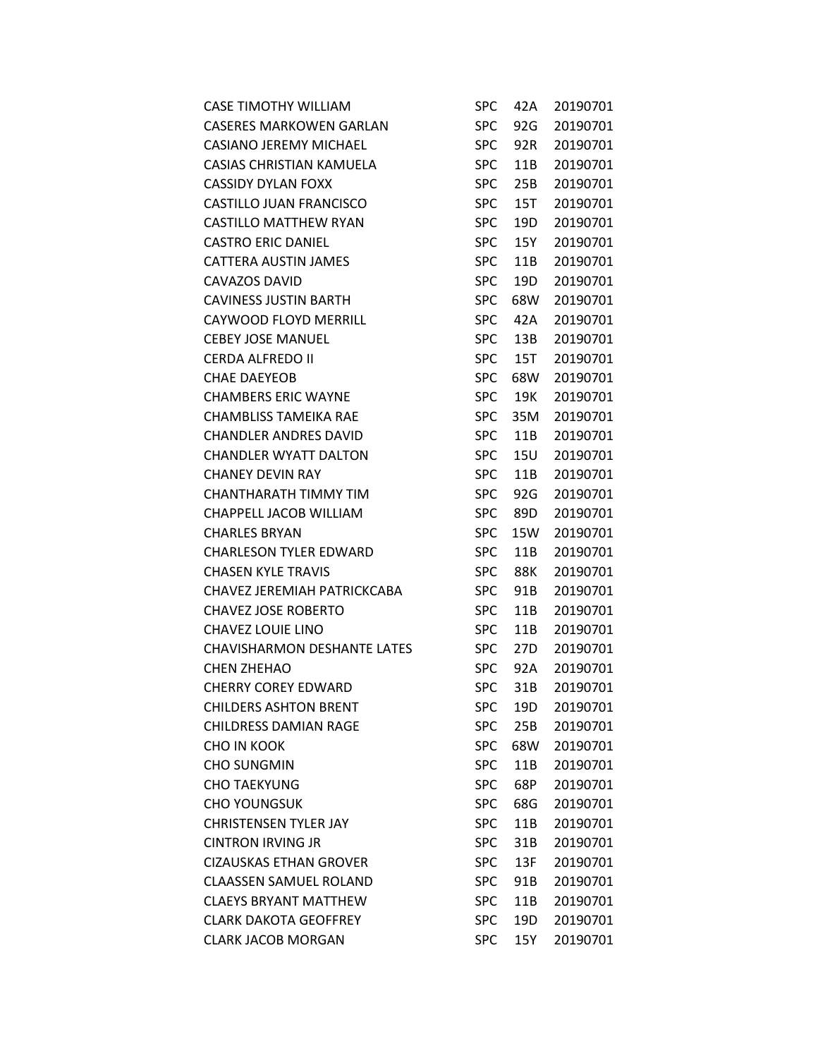| <b>CASE TIMOTHY WILLIAM</b>        | SPC        | 42A | 20190701 |
|------------------------------------|------------|-----|----------|
| <b>CASERES MARKOWEN GARLAN</b>     | <b>SPC</b> | 92G | 20190701 |
| <b>CASIANO JEREMY MICHAEL</b>      | <b>SPC</b> | 92R | 20190701 |
| CASIAS CHRISTIAN KAMUELA           | <b>SPC</b> | 11B | 20190701 |
| <b>CASSIDY DYLAN FOXX</b>          | <b>SPC</b> | 25B | 20190701 |
| CASTILLO JUAN FRANCISCO            | <b>SPC</b> | 15T | 20190701 |
| <b>CASTILLO MATTHEW RYAN</b>       | <b>SPC</b> | 19D | 20190701 |
| <b>CASTRO ERIC DANIEL</b>          | <b>SPC</b> | 15Y | 20190701 |
| CATTERA AUSTIN JAMES               | <b>SPC</b> | 11B | 20190701 |
| <b>CAVAZOS DAVID</b>               | <b>SPC</b> | 19D | 20190701 |
| <b>CAVINESS JUSTIN BARTH</b>       | <b>SPC</b> | 68W | 20190701 |
| CAYWOOD FLOYD MERRILL              | <b>SPC</b> | 42A | 20190701 |
| <b>CEBEY JOSE MANUEL</b>           | <b>SPC</b> | 13B | 20190701 |
| <b>CERDA ALFREDO II</b>            | <b>SPC</b> | 15T | 20190701 |
| <b>CHAE DAEYEOB</b>                | <b>SPC</b> | 68W | 20190701 |
| <b>CHAMBERS ERIC WAYNE</b>         | <b>SPC</b> | 19K | 20190701 |
| CHAMBLISS TAMEIKA RAE              | <b>SPC</b> | 35M | 20190701 |
| <b>CHANDLER ANDRES DAVID</b>       | <b>SPC</b> | 11B | 20190701 |
| <b>CHANDLER WYATT DALTON</b>       | <b>SPC</b> | 15U | 20190701 |
| <b>CHANEY DEVIN RAY</b>            | <b>SPC</b> | 11B | 20190701 |
| CHANTHARATH TIMMY TIM              | <b>SPC</b> | 92G | 20190701 |
| CHAPPELL JACOB WILLIAM             | <b>SPC</b> | 89D | 20190701 |
| <b>CHARLES BRYAN</b>               | <b>SPC</b> | 15W | 20190701 |
| <b>CHARLESON TYLER EDWARD</b>      | <b>SPC</b> | 11B | 20190701 |
| <b>CHASEN KYLE TRAVIS</b>          | <b>SPC</b> | 88K | 20190701 |
| CHAVEZ JEREMIAH PATRICKCABA        | <b>SPC</b> | 91B | 20190701 |
| <b>CHAVEZ JOSE ROBERTO</b>         | <b>SPC</b> | 11B | 20190701 |
| CHAVEZ LOUIE LINO                  | <b>SPC</b> | 11B | 20190701 |
| <b>CHAVISHARMON DESHANTE LATES</b> | <b>SPC</b> | 27D | 20190701 |
| CHEN ZHEHAO                        | <b>SPC</b> | 92A | 20190701 |
| <b>CHERRY COREY EDWARD</b>         | <b>SPC</b> | 31B | 20190701 |
| <b>CHILDERS ASHTON BRENT</b>       | <b>SPC</b> | 19D | 20190701 |
| <b>CHILDRESS DAMIAN RAGE</b>       | <b>SPC</b> | 25B | 20190701 |
| CHO IN KOOK                        | <b>SPC</b> | 68W | 20190701 |
| <b>CHO SUNGMIN</b>                 | <b>SPC</b> | 11B | 20190701 |
| <b>CHO TAEKYUNG</b>                | <b>SPC</b> | 68P | 20190701 |
| <b>CHO YOUNGSUK</b>                | <b>SPC</b> | 68G | 20190701 |
| <b>CHRISTENSEN TYLER JAY</b>       | <b>SPC</b> | 11B | 20190701 |
| <b>CINTRON IRVING JR</b>           | <b>SPC</b> | 31B | 20190701 |
| <b>CIZAUSKAS ETHAN GROVER</b>      | <b>SPC</b> | 13F | 20190701 |
| <b>CLAASSEN SAMUEL ROLAND</b>      | <b>SPC</b> | 91B | 20190701 |
| <b>CLAEYS BRYANT MATTHEW</b>       | <b>SPC</b> | 11B | 20190701 |
| <b>CLARK DAKOTA GEOFFREY</b>       | <b>SPC</b> | 19D | 20190701 |
| <b>CLARK JACOB MORGAN</b>          | <b>SPC</b> | 15Y | 20190701 |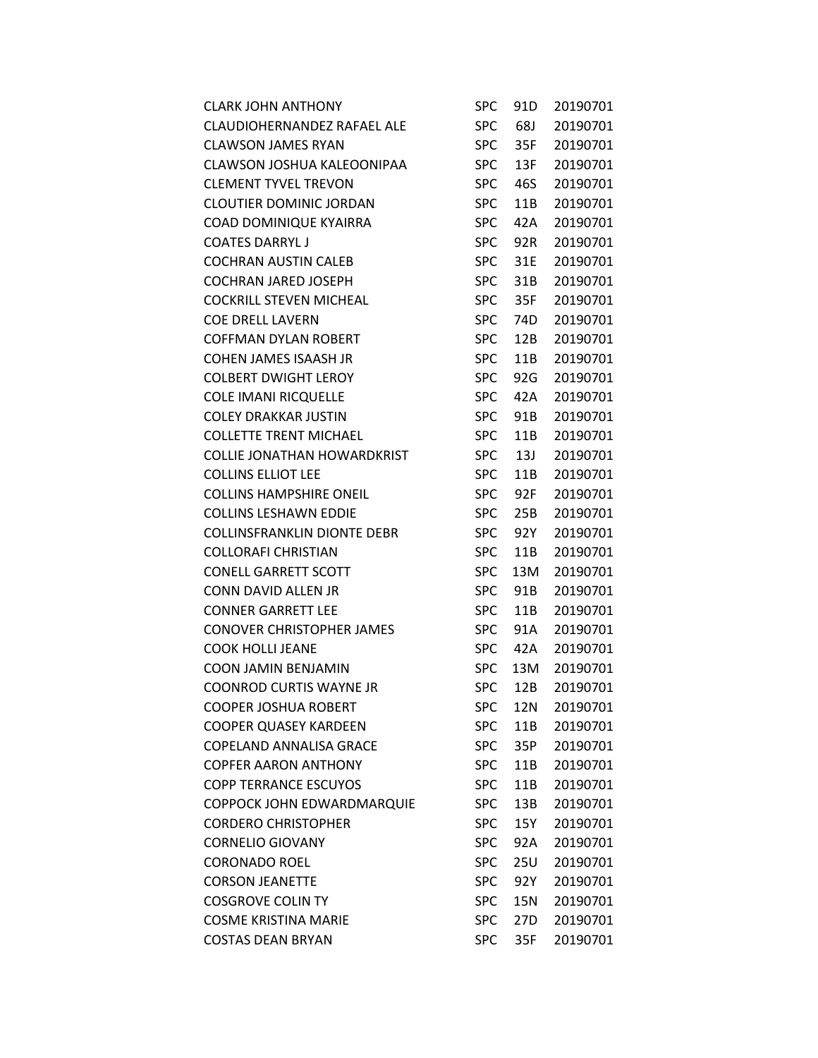| <b>CLARK JOHN ANTHONY</b>          | <b>SPC</b> | 91D | 20190701 |
|------------------------------------|------------|-----|----------|
| CLAUDIOHERNANDEZ RAFAEL ALE        | <b>SPC</b> | 68J | 20190701 |
| <b>CLAWSON JAMES RYAN</b>          | <b>SPC</b> | 35F | 20190701 |
| CLAWSON JOSHUA KALEOONIPAA         | <b>SPC</b> | 13F | 20190701 |
| <b>CLEMENT TYVEL TREVON</b>        | <b>SPC</b> | 46S | 20190701 |
| <b>CLOUTIER DOMINIC JORDAN</b>     | <b>SPC</b> | 11B | 20190701 |
| COAD DOMINIQUE KYAIRRA             | <b>SPC</b> | 42A | 20190701 |
| <b>COATES DARRYL J</b>             | <b>SPC</b> | 92R | 20190701 |
| <b>COCHRAN AUSTIN CALEB</b>        | <b>SPC</b> | 31E | 20190701 |
| COCHRAN JARED JOSEPH               | <b>SPC</b> | 31B | 20190701 |
| <b>COCKRILL STEVEN MICHEAL</b>     | <b>SPC</b> | 35F | 20190701 |
| <b>COE DRELL LAVERN</b>            | <b>SPC</b> | 74D | 20190701 |
| <b>COFFMAN DYLAN ROBERT</b>        | <b>SPC</b> | 12B | 20190701 |
| <b>COHEN JAMES ISAASH JR</b>       | <b>SPC</b> | 11B | 20190701 |
| <b>COLBERT DWIGHT LEROY</b>        | <b>SPC</b> | 92G | 20190701 |
| COLE IMANI RICQUELLE               | <b>SPC</b> | 42A | 20190701 |
| <b>COLEY DRAKKAR JUSTIN</b>        | <b>SPC</b> | 91B | 20190701 |
| <b>COLLETTE TRENT MICHAEL</b>      | <b>SPC</b> | 11B | 20190701 |
| <b>COLLIE JONATHAN HOWARDKRIST</b> | <b>SPC</b> | 13J | 20190701 |
| <b>COLLINS ELLIOT LEE</b>          | <b>SPC</b> | 11B | 20190701 |
| <b>COLLINS HAMPSHIRE ONEIL</b>     | SPC        | 92F | 20190701 |
| <b>COLLINS LESHAWN EDDIE</b>       | <b>SPC</b> | 25B | 20190701 |
| <b>COLLINSFRANKLIN DIONTE DEBR</b> | <b>SPC</b> | 92Y | 20190701 |
| <b>COLLORAFI CHRISTIAN</b>         | <b>SPC</b> | 11B | 20190701 |
| <b>CONELL GARRETT SCOTT</b>        | <b>SPC</b> | 13M | 20190701 |
| CONN DAVID ALLEN JR                | <b>SPC</b> | 91B | 20190701 |
| <b>CONNER GARRETT LEE</b>          | <b>SPC</b> | 11B | 20190701 |
| <b>CONOVER CHRISTOPHER JAMES</b>   | <b>SPC</b> | 91A | 20190701 |
| <b>COOK HOLLI JEANE</b>            | <b>SPC</b> | 42A | 20190701 |
| <b>COON JAMIN BENJAMIN</b>         | <b>SPC</b> | 13M | 20190701 |
| <b>COONROD CURTIS WAYNE JR</b>     | <b>SPC</b> | 12B | 20190701 |
| <b>COOPER JOSHUA ROBERT</b>        | <b>SPC</b> | 12N | 20190701 |
| <b>COOPER QUASEY KARDEEN</b>       | <b>SPC</b> | 11B | 20190701 |
| COPELAND ANNALISA GRACE            | <b>SPC</b> | 35P | 20190701 |
| <b>COPFER AARON ANTHONY</b>        | <b>SPC</b> | 11B | 20190701 |
| <b>COPP TERRANCE ESCUYOS</b>       | <b>SPC</b> | 11B | 20190701 |
| COPPOCK JOHN EDWARDMARQUIE         | <b>SPC</b> | 13B | 20190701 |
| <b>CORDERO CHRISTOPHER</b>         | <b>SPC</b> | 15Y | 20190701 |
| <b>CORNELIO GIOVANY</b>            | <b>SPC</b> | 92A | 20190701 |
| <b>CORONADO ROEL</b>               | <b>SPC</b> | 25U | 20190701 |
| <b>CORSON JEANETTE</b>             | <b>SPC</b> | 92Y | 20190701 |
| <b>COSGROVE COLIN TY</b>           | <b>SPC</b> | 15N | 20190701 |
| <b>COSME KRISTINA MARIE</b>        | <b>SPC</b> | 27D | 20190701 |
| <b>COSTAS DEAN BRYAN</b>           | <b>SPC</b> | 35F | 20190701 |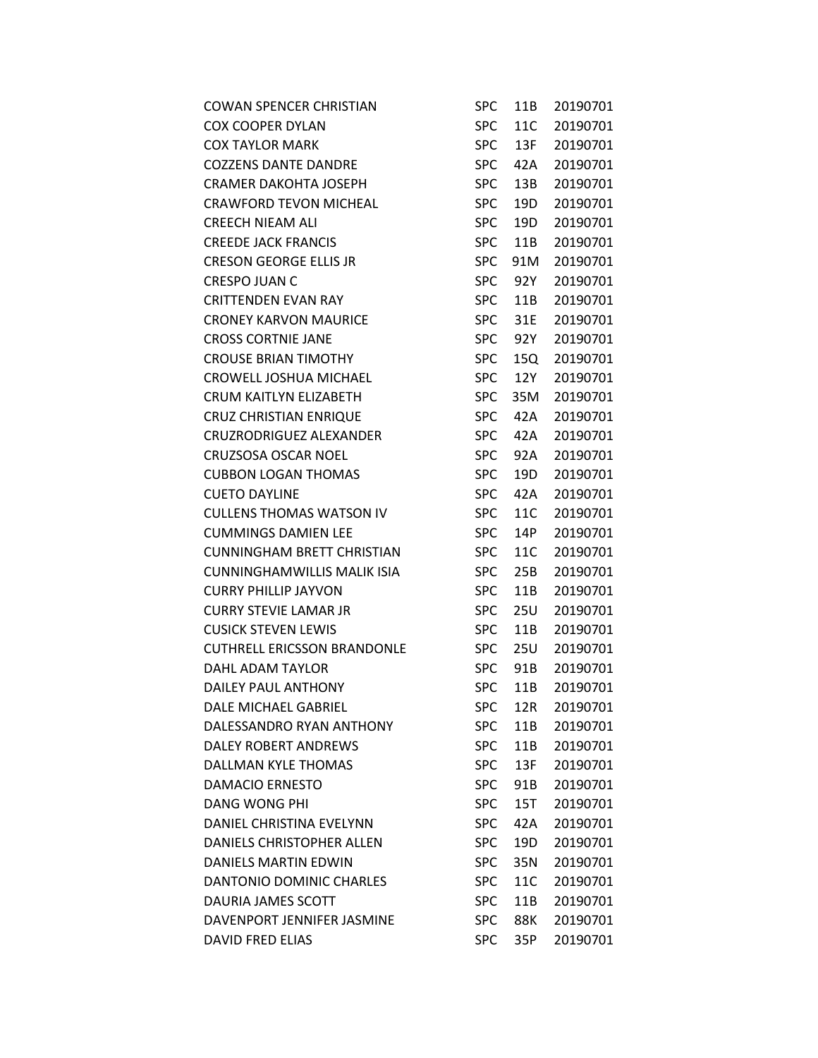| <b>COWAN SPENCER CHRISTIAN</b>     | <b>SPC</b> | 11B | 20190701 |
|------------------------------------|------------|-----|----------|
| <b>COX COOPER DYLAN</b>            | <b>SPC</b> | 11C | 20190701 |
| <b>COX TAYLOR MARK</b>             | <b>SPC</b> | 13F | 20190701 |
| <b>COZZENS DANTE DANDRE</b>        | <b>SPC</b> | 42A | 20190701 |
| CRAMER DAKOHTA JOSEPH              | <b>SPC</b> | 13B | 20190701 |
| <b>CRAWFORD TEVON MICHEAL</b>      | <b>SPC</b> | 19D | 20190701 |
| <b>CREECH NIEAM ALI</b>            | <b>SPC</b> | 19D | 20190701 |
| <b>CREEDE JACK FRANCIS</b>         | <b>SPC</b> | 11B | 20190701 |
| <b>CRESON GEORGE ELLIS JR</b>      | <b>SPC</b> | 91M | 20190701 |
| <b>CRESPO JUAN C</b>               | <b>SPC</b> | 92Y | 20190701 |
| <b>CRITTENDEN EVAN RAY</b>         | <b>SPC</b> | 11B | 20190701 |
| <b>CRONEY KARVON MAURICE</b>       | <b>SPC</b> | 31E | 20190701 |
| <b>CROSS CORTNIE JANE</b>          | <b>SPC</b> | 92Y | 20190701 |
| <b>CROUSE BRIAN TIMOTHY</b>        | <b>SPC</b> | 15Q | 20190701 |
| CROWELL JOSHUA MICHAEL             | <b>SPC</b> | 12Y | 20190701 |
| CRUM KAITLYN ELIZABETH             | <b>SPC</b> | 35M | 20190701 |
| <b>CRUZ CHRISTIAN ENRIQUE</b>      | <b>SPC</b> | 42A | 20190701 |
| <b>CRUZRODRIGUEZ ALEXANDER</b>     | <b>SPC</b> | 42A | 20190701 |
| <b>CRUZSOSA OSCAR NOEL</b>         | <b>SPC</b> | 92A | 20190701 |
| <b>CUBBON LOGAN THOMAS</b>         | <b>SPC</b> | 19D | 20190701 |
| <b>CUETO DAYLINE</b>               | <b>SPC</b> | 42A | 20190701 |
| <b>CULLENS THOMAS WATSON IV</b>    | <b>SPC</b> | 11C | 20190701 |
| <b>CUMMINGS DAMIEN LEE</b>         | <b>SPC</b> | 14P | 20190701 |
| <b>CUNNINGHAM BRETT CHRISTIAN</b>  | <b>SPC</b> | 11C | 20190701 |
| <b>CUNNINGHAMWILLIS MALIK ISIA</b> | <b>SPC</b> | 25B | 20190701 |
| <b>CURRY PHILLIP JAYVON</b>        | <b>SPC</b> | 11B | 20190701 |
| <b>CURRY STEVIE LAMAR JR</b>       | <b>SPC</b> | 25U | 20190701 |
| <b>CUSICK STEVEN LEWIS</b>         | <b>SPC</b> | 11B | 20190701 |
| <b>CUTHRELL ERICSSON BRANDONLE</b> | <b>SPC</b> | 25U | 20190701 |
| DAHL ADAM TAYLOR                   | <b>SPC</b> | 91B | 20190701 |
| DAILEY PAUL ANTHONY                | <b>SPC</b> | 11B | 20190701 |
| DALE MICHAEL GABRIEL               | <b>SPC</b> | 12R | 20190701 |
| DALESSANDRO RYAN ANTHONY           | <b>SPC</b> | 11B | 20190701 |
| DALEY ROBERT ANDREWS               | <b>SPC</b> | 11B | 20190701 |
| DALLMAN KYLE THOMAS                | <b>SPC</b> | 13F | 20190701 |
| <b>DAMACIO ERNESTO</b>             | <b>SPC</b> | 91B | 20190701 |
| <b>DANG WONG PHI</b>               | <b>SPC</b> | 15T | 20190701 |
| DANIEL CHRISTINA EVELYNN           | <b>SPC</b> | 42A | 20190701 |
| DANIELS CHRISTOPHER ALLEN          | <b>SPC</b> | 19D | 20190701 |
| <b>DANIELS MARTIN EDWIN</b>        | <b>SPC</b> | 35N | 20190701 |
| DANTONIO DOMINIC CHARLES           | <b>SPC</b> | 11C | 20190701 |
| DAURIA JAMES SCOTT                 | <b>SPC</b> | 11B | 20190701 |
| DAVENPORT JENNIFER JASMINE         | <b>SPC</b> | 88K | 20190701 |
| <b>DAVID FRED ELIAS</b>            | <b>SPC</b> | 35P | 20190701 |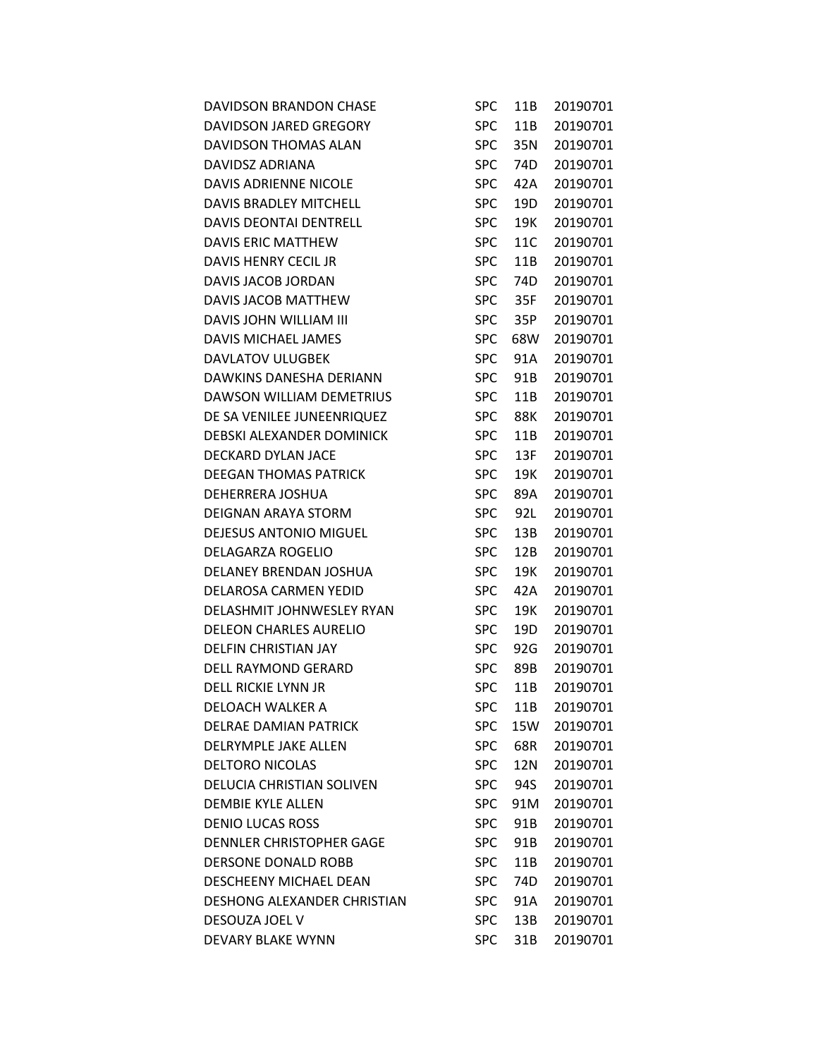| DAVIDSON BRANDON CHASE          | SPC        | 11B | 20190701 |
|---------------------------------|------------|-----|----------|
| DAVIDSON JARED GREGORY          | <b>SPC</b> | 11B | 20190701 |
| DAVIDSON THOMAS ALAN            | <b>SPC</b> | 35N | 20190701 |
| DAVIDSZ ADRIANA                 | <b>SPC</b> | 74D | 20190701 |
| DAVIS ADRIENNE NICOLE           | <b>SPC</b> | 42A | 20190701 |
| DAVIS BRADLEY MITCHELL          | <b>SPC</b> | 19D | 20190701 |
| DAVIS DEONTAI DENTRELL          | <b>SPC</b> | 19K | 20190701 |
| DAVIS ERIC MATTHEW              | <b>SPC</b> | 11C | 20190701 |
| DAVIS HENRY CECIL JR            | <b>SPC</b> | 11B | 20190701 |
| DAVIS JACOB JORDAN              | <b>SPC</b> | 74D | 20190701 |
| DAVIS JACOB MATTHEW             | <b>SPC</b> | 35F | 20190701 |
| DAVIS JOHN WILLIAM III          | <b>SPC</b> | 35P | 20190701 |
| DAVIS MICHAEL JAMES             | <b>SPC</b> | 68W | 20190701 |
| DAVLATOV ULUGBEK                | <b>SPC</b> | 91A | 20190701 |
| DAWKINS DANESHA DERIANN         | <b>SPC</b> | 91B | 20190701 |
| DAWSON WILLIAM DEMETRIUS        | <b>SPC</b> | 11B | 20190701 |
| DE SA VENILEE JUNEENRIQUEZ      | <b>SPC</b> | 88K | 20190701 |
| DEBSKI ALEXANDER DOMINICK       | <b>SPC</b> | 11B | 20190701 |
| DECKARD DYLAN JACE              | <b>SPC</b> | 13F | 20190701 |
| <b>DEEGAN THOMAS PATRICK</b>    | <b>SPC</b> | 19K | 20190701 |
| DEHERRERA JOSHUA                | <b>SPC</b> | 89A | 20190701 |
| DEIGNAN ARAYA STORM             | <b>SPC</b> | 92L | 20190701 |
| DEJESUS ANTONIO MIGUEL          | <b>SPC</b> | 13B | 20190701 |
| DELAGARZA ROGELIO               | <b>SPC</b> | 12B | 20190701 |
| DELANEY BRENDAN JOSHUA          | <b>SPC</b> | 19K | 20190701 |
| DELAROSA CARMEN YEDID           | <b>SPC</b> | 42A | 20190701 |
| DELASHMIT JOHNWESLEY RYAN       | <b>SPC</b> | 19K | 20190701 |
| <b>DELEON CHARLES AURELIO</b>   | <b>SPC</b> | 19D | 20190701 |
| <b>DELFIN CHRISTIAN JAY</b>     | <b>SPC</b> | 92G | 20190701 |
| <b>DELL RAYMOND GERARD</b>      | <b>SPC</b> | 89B | 20190701 |
| DELL RICKIE LYNN JR             | <b>SPC</b> | 11B | 20190701 |
| DELOACH WALKER A                | <b>SPC</b> | 11B | 20190701 |
| <b>DELRAE DAMIAN PATRICK</b>    | <b>SPC</b> | 15W | 20190701 |
| <b>DELRYMPLE JAKE ALLEN</b>     | <b>SPC</b> | 68R | 20190701 |
| <b>DELTORO NICOLAS</b>          | <b>SPC</b> | 12N | 20190701 |
| DELUCIA CHRISTIAN SOLIVEN       | <b>SPC</b> | 94S | 20190701 |
| <b>DEMBIE KYLE ALLEN</b>        | <b>SPC</b> | 91M | 20190701 |
| <b>DENIO LUCAS ROSS</b>         | <b>SPC</b> | 91B | 20190701 |
| <b>DENNLER CHRISTOPHER GAGE</b> | <b>SPC</b> | 91B | 20190701 |
| DERSONE DONALD ROBB             | <b>SPC</b> | 11B | 20190701 |
| DESCHEENY MICHAEL DEAN          | <b>SPC</b> | 74D | 20190701 |
| DESHONG ALEXANDER CHRISTIAN     | <b>SPC</b> | 91A | 20190701 |
| DESOUZA JOEL V                  | <b>SPC</b> | 13B | 20190701 |
| DEVARY BLAKE WYNN               | <b>SPC</b> | 31B | 20190701 |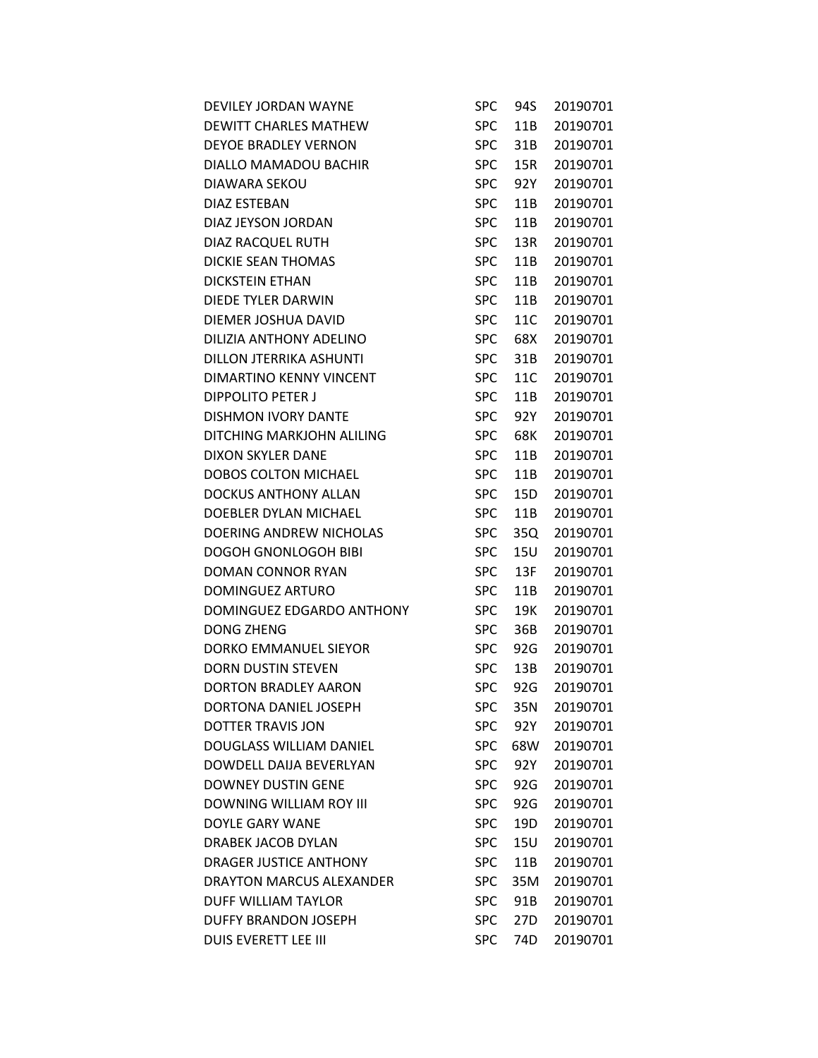| DEVILEY JORDAN WAYNE          | <b>SPC</b> | 94S             | 20190701 |
|-------------------------------|------------|-----------------|----------|
| DEWITT CHARLES MATHEW         | <b>SPC</b> | 11B             | 20190701 |
| DEYOE BRADLEY VERNON          | <b>SPC</b> | 31B             | 20190701 |
| DIALLO MAMADOU BACHIR         | <b>SPC</b> | 15R             | 20190701 |
| DIAWARA SEKOU                 | <b>SPC</b> | 92Y             | 20190701 |
| DIAZ ESTEBAN                  | <b>SPC</b> | 11B             | 20190701 |
| DIAZ JEYSON JORDAN            | <b>SPC</b> | 11B             | 20190701 |
| DIAZ RACQUEL RUTH             | <b>SPC</b> | 13R             | 20190701 |
| <b>DICKIE SEAN THOMAS</b>     | <b>SPC</b> | 11B             | 20190701 |
| DICKSTEIN ETHAN               | <b>SPC</b> | 11B             | 20190701 |
| DIEDE TYLER DARWIN            | <b>SPC</b> | 11B             | 20190701 |
| DIEMER JOSHUA DAVID           | <b>SPC</b> | 11C             | 20190701 |
| DILIZIA ANTHONY ADELINO       | <b>SPC</b> | 68X             | 20190701 |
| DILLON JTERRIKA ASHUNTI       | <b>SPC</b> | 31B             | 20190701 |
| DIMARTINO KENNY VINCENT       | <b>SPC</b> | 11C             | 20190701 |
| DIPPOLITO PETER J             | <b>SPC</b> | 11B             | 20190701 |
| DISHMON IVORY DANTE           | <b>SPC</b> | 92Y             | 20190701 |
| DITCHING MARKJOHN ALILING     | <b>SPC</b> | 68K             | 20190701 |
| DIXON SKYLER DANE             | <b>SPC</b> | 11B             | 20190701 |
| DOBOS COLTON MICHAEL          | <b>SPC</b> | 11B             | 20190701 |
| DOCKUS ANTHONY ALLAN          | <b>SPC</b> | 15D             | 20190701 |
| DOEBLER DYLAN MICHAEL         | <b>SPC</b> | 11B             | 20190701 |
| DOERING ANDREW NICHOLAS       | <b>SPC</b> | 35Q             | 20190701 |
| DOGOH GNONLOGOH BIBI          | <b>SPC</b> | 15U             | 20190701 |
| DOMAN CONNOR RYAN             | <b>SPC</b> | 13F             | 20190701 |
| DOMINGUEZ ARTURO              | <b>SPC</b> | 11B             | 20190701 |
| DOMINGUEZ EDGARDO ANTHONY     | <b>SPC</b> | 19K             | 20190701 |
| <b>DONG ZHENG</b>             | <b>SPC</b> | 36B             | 20190701 |
| DORKO EMMANUEL SIEYOR         | <b>SPC</b> | 92G             | 20190701 |
| DORN DUSTIN STEVEN            | <b>SPC</b> | 13B             | 20190701 |
| DORTON BRADLEY AARON          | <b>SPC</b> | 92G             | 20190701 |
| DORTONA DANIEL JOSEPH         | <b>SPC</b> | 35N             | 20190701 |
| DOTTER TRAVIS JON             | <b>SPC</b> | 92Y             | 20190701 |
| DOUGLASS WILLIAM DANIEL       | <b>SPC</b> | 68W             | 20190701 |
| DOWDELL DAIJA BEVERLYAN       | <b>SPC</b> | 92Y             | 20190701 |
| <b>DOWNEY DUSTIN GENE</b>     | <b>SPC</b> | 92G             | 20190701 |
| DOWNING WILLIAM ROY III       | <b>SPC</b> | 92G             | 20190701 |
| DOYLE GARY WANE               | <b>SPC</b> | 19D             | 20190701 |
| DRABEK JACOB DYLAN            | <b>SPC</b> | 15U             | 20190701 |
| <b>DRAGER JUSTICE ANTHONY</b> | <b>SPC</b> | 11B             | 20190701 |
| DRAYTON MARCUS ALEXANDER      | <b>SPC</b> | 35M             | 20190701 |
| DUFF WILLIAM TAYLOR           | <b>SPC</b> | 91B             | 20190701 |
| DUFFY BRANDON JOSEPH          | <b>SPC</b> | 27 <sub>D</sub> | 20190701 |
| DUIS EVERETT LEE III          | <b>SPC</b> | 74D             | 20190701 |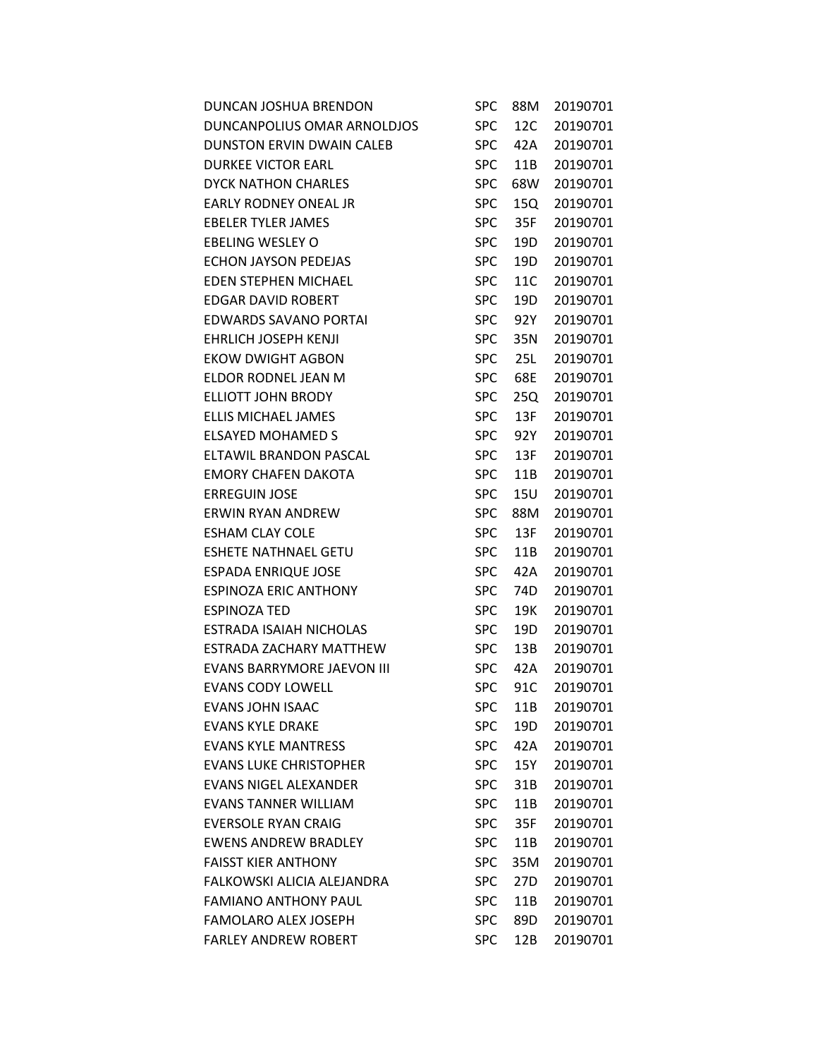| DUNCAN JOSHUA BRENDON             | <b>SPC</b> | 88M | 20190701 |
|-----------------------------------|------------|-----|----------|
| DUNCANPOLIUS OMAR ARNOLDJOS       | <b>SPC</b> | 12C | 20190701 |
| DUNSTON ERVIN DWAIN CALEB         | <b>SPC</b> | 42A | 20190701 |
| <b>DURKEE VICTOR EARL</b>         | <b>SPC</b> | 11B | 20190701 |
| <b>DYCK NATHON CHARLES</b>        | <b>SPC</b> | 68W | 20190701 |
| EARLY RODNEY ONEAL JR             | <b>SPC</b> | 15Q | 20190701 |
| <b>EBELER TYLER JAMES</b>         | <b>SPC</b> | 35F | 20190701 |
| EBELING WESLEY O                  | <b>SPC</b> | 19D | 20190701 |
| <b>ECHON JAYSON PEDEJAS</b>       | <b>SPC</b> | 19D | 20190701 |
| <b>EDEN STEPHEN MICHAEL</b>       | <b>SPC</b> | 11C | 20190701 |
| <b>EDGAR DAVID ROBERT</b>         | <b>SPC</b> | 19D | 20190701 |
| <b>EDWARDS SAVANO PORTAI</b>      | <b>SPC</b> | 92Y | 20190701 |
| EHRLICH JOSEPH KENJI              | <b>SPC</b> | 35N | 20190701 |
| <b>EKOW DWIGHT AGBON</b>          | <b>SPC</b> | 25L | 20190701 |
| ELDOR RODNEL JEAN M               | <b>SPC</b> | 68E | 20190701 |
| <b>ELLIOTT JOHN BRODY</b>         | <b>SPC</b> | 25Q | 20190701 |
| ELLIS MICHAEL JAMES               | <b>SPC</b> | 13F | 20190701 |
| <b>ELSAYED MOHAMED S</b>          | <b>SPC</b> | 92Y | 20190701 |
| ELTAWIL BRANDON PASCAL            | <b>SPC</b> | 13F | 20190701 |
| <b>EMORY CHAFEN DAKOTA</b>        | <b>SPC</b> | 11B | 20190701 |
| <b>ERREGUIN JOSE</b>              | <b>SPC</b> | 15U | 20190701 |
| <b>ERWIN RYAN ANDREW</b>          | <b>SPC</b> | 88M | 20190701 |
| <b>ESHAM CLAY COLE</b>            | <b>SPC</b> | 13F | 20190701 |
| <b>ESHETE NATHNAEL GETU</b>       | <b>SPC</b> | 11B | 20190701 |
| <b>ESPADA ENRIQUE JOSE</b>        | <b>SPC</b> | 42A | 20190701 |
| <b>ESPINOZA ERIC ANTHONY</b>      | <b>SPC</b> | 74D | 20190701 |
| <b>ESPINOZA TED</b>               | <b>SPC</b> | 19K | 20190701 |
| ESTRADA ISAIAH NICHOLAS           | <b>SPC</b> | 19D | 20190701 |
| ESTRADA ZACHARY MATTHEW           | <b>SPC</b> | 13B | 20190701 |
| <b>EVANS BARRYMORE JAEVON III</b> | <b>SPC</b> | 42A | 20190701 |
| <b>EVANS CODY LOWELL</b>          | <b>SPC</b> | 91C | 20190701 |
| <b>EVANS JOHN ISAAC</b>           | <b>SPC</b> | 11B | 20190701 |
| <b>EVANS KYLE DRAKE</b>           | <b>SPC</b> | 19D | 20190701 |
| <b>EVANS KYLE MANTRESS</b>        | <b>SPC</b> | 42A | 20190701 |
| <b>EVANS LUKE CHRISTOPHER</b>     | <b>SPC</b> | 15Y | 20190701 |
| <b>EVANS NIGEL ALEXANDER</b>      | <b>SPC</b> | 31B | 20190701 |
| <b>EVANS TANNER WILLIAM</b>       | <b>SPC</b> | 11B | 20190701 |
| <b>EVERSOLE RYAN CRAIG</b>        | <b>SPC</b> | 35F | 20190701 |
| <b>EWENS ANDREW BRADLEY</b>       | <b>SPC</b> | 11B | 20190701 |
| <b>FAISST KIER ANTHONY</b>        | <b>SPC</b> | 35M | 20190701 |
| FALKOWSKI ALICIA ALEJANDRA        | <b>SPC</b> | 27D | 20190701 |
| <b>FAMIANO ANTHONY PAUL</b>       | <b>SPC</b> | 11B | 20190701 |
| <b>FAMOLARO ALEX JOSEPH</b>       | <b>SPC</b> | 89D | 20190701 |
| <b>FARLEY ANDREW ROBERT</b>       | <b>SPC</b> | 12B | 20190701 |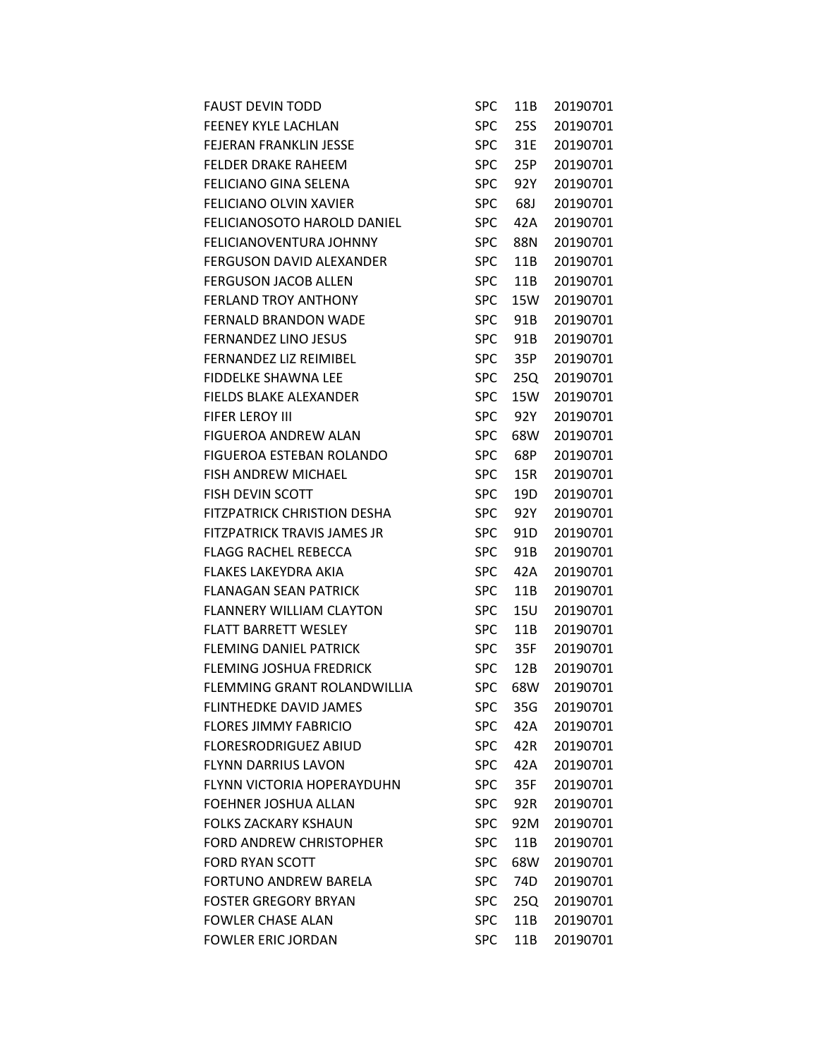| <b>FAUST DEVIN TODD</b>            | SPC        | 11B | 20190701 |
|------------------------------------|------------|-----|----------|
| FEENEY KYLE LACHLAN                | <b>SPC</b> | 25S | 20190701 |
| <b>FEJERAN FRANKLIN JESSE</b>      | <b>SPC</b> | 31E | 20190701 |
| <b>FELDER DRAKE RAHEEM</b>         | <b>SPC</b> | 25P | 20190701 |
| <b>FELICIANO GINA SELENA</b>       | <b>SPC</b> | 92Y | 20190701 |
| <b>FELICIANO OLVIN XAVIER</b>      | <b>SPC</b> | 68J | 20190701 |
| FELICIANOSOTO HAROLD DANIEL        | <b>SPC</b> | 42A | 20190701 |
| FELICIANOVENTURA JOHNNY            | <b>SPC</b> | 88N | 20190701 |
| <b>FERGUSON DAVID ALEXANDER</b>    | <b>SPC</b> | 11B | 20190701 |
| <b>FERGUSON JACOB ALLEN</b>        | <b>SPC</b> | 11B | 20190701 |
| <b>FERLAND TROY ANTHONY</b>        | <b>SPC</b> | 15W | 20190701 |
| <b>FERNALD BRANDON WADE</b>        | <b>SPC</b> | 91B | 20190701 |
| <b>FERNANDEZ LINO JESUS</b>        | <b>SPC</b> | 91B | 20190701 |
| FERNANDEZ LIZ REIMIBEL             | <b>SPC</b> | 35P | 20190701 |
| <b>FIDDELKE SHAWNA LEE</b>         | <b>SPC</b> | 25Q | 20190701 |
| FIELDS BLAKE ALEXANDER             | <b>SPC</b> | 15W | 20190701 |
| FIFER LEROY III                    | <b>SPC</b> | 92Y | 20190701 |
| <b>FIGUEROA ANDREW ALAN</b>        | <b>SPC</b> | 68W | 20190701 |
| FIGUEROA ESTEBAN ROLANDO           | <b>SPC</b> | 68P | 20190701 |
| <b>FISH ANDREW MICHAEL</b>         | <b>SPC</b> | 15R | 20190701 |
| <b>FISH DEVIN SCOTT</b>            | <b>SPC</b> | 19D | 20190701 |
| <b>FITZPATRICK CHRISTION DESHA</b> | <b>SPC</b> | 92Y | 20190701 |
| FITZPATRICK TRAVIS JAMES JR        | <b>SPC</b> | 91D | 20190701 |
| <b>FLAGG RACHEL REBECCA</b>        | <b>SPC</b> | 91B | 20190701 |
| <b>FLAKES LAKEYDRA AKIA</b>        | <b>SPC</b> | 42A | 20190701 |
| <b>FLANAGAN SEAN PATRICK</b>       | <b>SPC</b> | 11B | 20190701 |
| <b>FLANNERY WILLIAM CLAYTON</b>    | <b>SPC</b> | 15U | 20190701 |
| <b>FLATT BARRETT WESLEY</b>        | <b>SPC</b> | 11B | 20190701 |
| <b>FLEMING DANIEL PATRICK</b>      | <b>SPC</b> | 35F | 20190701 |
| <b>FLEMING JOSHUA FREDRICK</b>     | <b>SPC</b> | 12B | 20190701 |
| FLEMMING GRANT ROLANDWILLIA        | <b>SPC</b> | 68W | 20190701 |
| <b>FLINTHEDKE DAVID JAMES</b>      | <b>SPC</b> | 35G | 20190701 |
| <b>FLORES JIMMY FABRICIO</b>       | <b>SPC</b> | 42A | 20190701 |
| <b>FLORESRODRIGUEZ ABIUD</b>       | <b>SPC</b> | 42R | 20190701 |
| <b>FLYNN DARRIUS LAVON</b>         | <b>SPC</b> | 42A | 20190701 |
| FLYNN VICTORIA HOPERAYDUHN         | <b>SPC</b> | 35F | 20190701 |
| FOEHNER JOSHUA ALLAN               | <b>SPC</b> | 92R | 20190701 |
| <b>FOLKS ZACKARY KSHAUN</b>        | <b>SPC</b> | 92M | 20190701 |
| <b>FORD ANDREW CHRISTOPHER</b>     | <b>SPC</b> | 11B | 20190701 |
| <b>FORD RYAN SCOTT</b>             | <b>SPC</b> | 68W | 20190701 |
| FORTUNO ANDREW BARELA              | <b>SPC</b> | 74D | 20190701 |
| <b>FOSTER GREGORY BRYAN</b>        | <b>SPC</b> | 25Q | 20190701 |
| <b>FOWLER CHASE ALAN</b>           | <b>SPC</b> | 11B | 20190701 |
| <b>FOWLER ERIC JORDAN</b>          | <b>SPC</b> | 11B | 20190701 |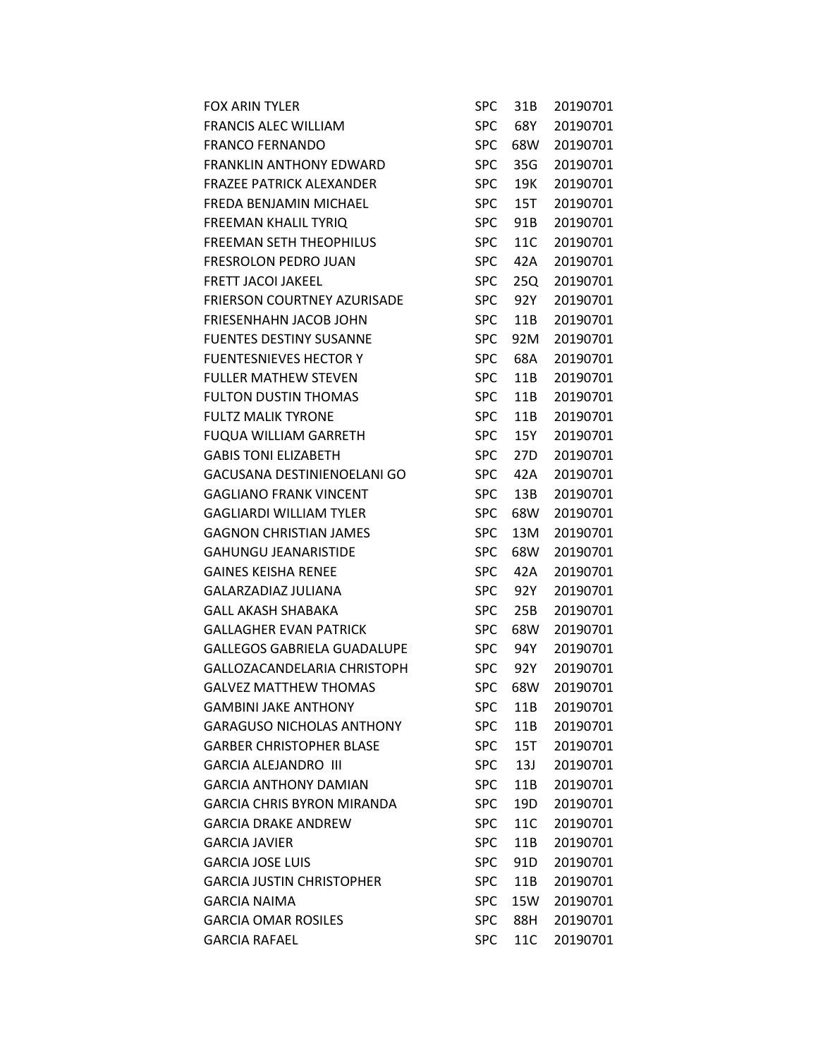| <b>FOX ARIN TYLER</b>              | <b>SPC</b> | 31B             | 20190701 |
|------------------------------------|------------|-----------------|----------|
| <b>FRANCIS ALEC WILLIAM</b>        | <b>SPC</b> | 68Y             | 20190701 |
| <b>FRANCO FERNANDO</b>             | <b>SPC</b> | 68W             | 20190701 |
| <b>FRANKLIN ANTHONY EDWARD</b>     | <b>SPC</b> | 35G             | 20190701 |
| <b>FRAZEE PATRICK ALEXANDER</b>    | <b>SPC</b> | 19K             | 20190701 |
| FREDA BENJAMIN MICHAEL             | <b>SPC</b> | 15T             | 20190701 |
| FREEMAN KHALIL TYRIQ               | <b>SPC</b> | 91B             | 20190701 |
| <b>FREEMAN SETH THEOPHILUS</b>     | <b>SPC</b> | 11C             | 20190701 |
| FRESROLON PEDRO JUAN               | <b>SPC</b> | 42A             | 20190701 |
| <b>FRETT JACOI JAKEEL</b>          | <b>SPC</b> | 25Q             | 20190701 |
| <b>FRIERSON COURTNEY AZURISADE</b> | <b>SPC</b> | 92Y             | 20190701 |
| <b>FRIESENHAHN JACOB JOHN</b>      | <b>SPC</b> | 11B             | 20190701 |
| <b>FUENTES DESTINY SUSANNE</b>     | <b>SPC</b> | 92M             | 20190701 |
| <b>FUENTESNIEVES HECTOR Y</b>      | <b>SPC</b> | 68A             | 20190701 |
| <b>FULLER MATHEW STEVEN</b>        | <b>SPC</b> | 11B             | 20190701 |
| <b>FULTON DUSTIN THOMAS</b>        | <b>SPC</b> | 11B             | 20190701 |
| <b>FULTZ MALIK TYRONE</b>          | <b>SPC</b> | 11B             | 20190701 |
| <b>FUQUA WILLIAM GARRETH</b>       | <b>SPC</b> | 15Y             | 20190701 |
| <b>GABIS TONI ELIZABETH</b>        | <b>SPC</b> | 27 <sub>D</sub> | 20190701 |
| GACUSANA DESTINIENOELANI GO        | <b>SPC</b> | 42A             | 20190701 |
| <b>GAGLIANO FRANK VINCENT</b>      | <b>SPC</b> | 13B             | 20190701 |
| <b>GAGLIARDI WILLIAM TYLER</b>     | <b>SPC</b> | 68W             | 20190701 |
| <b>GAGNON CHRISTIAN JAMES</b>      | <b>SPC</b> | 13M             | 20190701 |
| <b>GAHUNGU JEANARISTIDE</b>        | <b>SPC</b> | 68W             | 20190701 |
| <b>GAINES KEISHA RENEE</b>         | <b>SPC</b> | 42A             | 20190701 |
| GALARZADIAZ JULIANA                | <b>SPC</b> | 92Y             | 20190701 |
| <b>GALL AKASH SHABAKA</b>          | <b>SPC</b> | 25B             | 20190701 |
| <b>GALLAGHER EVAN PATRICK</b>      | <b>SPC</b> | 68W             | 20190701 |
| <b>GALLEGOS GABRIELA GUADALUPE</b> | <b>SPC</b> | 94Y             | 20190701 |
| GALLOZACANDELARIA CHRISTOPH        | <b>SPC</b> | 92Y             | 20190701 |
| <b>GALVEZ MATTHEW THOMAS</b>       | <b>SPC</b> | 68W             | 20190701 |
| <b>GAMBINI JAKE ANTHONY</b>        | <b>SPC</b> | 11B             | 20190701 |
| <b>GARAGUSO NICHOLAS ANTHONY</b>   | <b>SPC</b> | 11B             | 20190701 |
| <b>GARBER CHRISTOPHER BLASE</b>    | SPC.       | 15T             | 20190701 |
| <b>GARCIA ALEJANDRO III</b>        | <b>SPC</b> | 13J             | 20190701 |
| <b>GARCIA ANTHONY DAMIAN</b>       | <b>SPC</b> | 11B             | 20190701 |
| <b>GARCIA CHRIS BYRON MIRANDA</b>  | <b>SPC</b> | 19D             | 20190701 |
| <b>GARCIA DRAKE ANDREW</b>         | <b>SPC</b> | 11C             | 20190701 |
| <b>GARCIA JAVIER</b>               | <b>SPC</b> | 11B             | 20190701 |
| <b>GARCIA JOSE LUIS</b>            | <b>SPC</b> | 91D             | 20190701 |
| <b>GARCIA JUSTIN CHRISTOPHER</b>   | <b>SPC</b> | 11B             | 20190701 |
| <b>GARCIA NAIMA</b>                | <b>SPC</b> | 15W             | 20190701 |
| <b>GARCIA OMAR ROSILES</b>         | <b>SPC</b> | 88H             | 20190701 |
| <b>GARCIA RAFAEL</b>               | <b>SPC</b> | 11C             | 20190701 |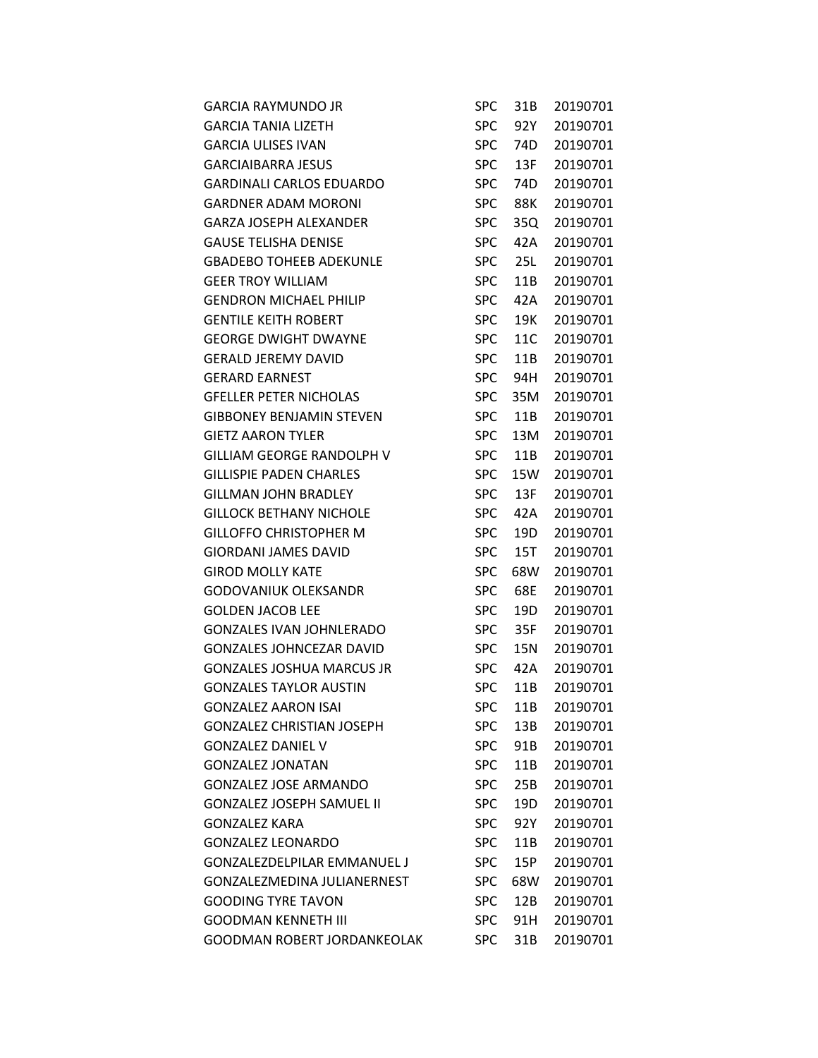| <b>GARCIA RAYMUNDO JR</b>          | <b>SPC</b> | 31B | 20190701 |
|------------------------------------|------------|-----|----------|
| <b>GARCIA TANIA LIZETH</b>         | <b>SPC</b> | 92Y | 20190701 |
| <b>GARCIA ULISES IVAN</b>          | <b>SPC</b> | 74D | 20190701 |
| <b>GARCIAIBARRA JESUS</b>          | <b>SPC</b> | 13F | 20190701 |
| <b>GARDINALI CARLOS EDUARDO</b>    | <b>SPC</b> | 74D | 20190701 |
| <b>GARDNER ADAM MORONI</b>         | <b>SPC</b> | 88K | 20190701 |
| <b>GARZA JOSEPH ALEXANDER</b>      | <b>SPC</b> | 35Q | 20190701 |
| <b>GAUSE TELISHA DENISE</b>        | <b>SPC</b> | 42A | 20190701 |
| <b>GBADEBO TOHEEB ADEKUNLE</b>     | <b>SPC</b> | 25L | 20190701 |
| <b>GEER TROY WILLIAM</b>           | <b>SPC</b> | 11B | 20190701 |
| <b>GENDRON MICHAEL PHILIP</b>      | <b>SPC</b> | 42A | 20190701 |
| <b>GENTILE KEITH ROBERT</b>        | <b>SPC</b> | 19K | 20190701 |
| <b>GEORGE DWIGHT DWAYNE</b>        | <b>SPC</b> | 11C | 20190701 |
| <b>GERALD JEREMY DAVID</b>         | <b>SPC</b> | 11B | 20190701 |
| <b>GERARD EARNEST</b>              | <b>SPC</b> | 94H | 20190701 |
| <b>GFELLER PETER NICHOLAS</b>      | <b>SPC</b> | 35M | 20190701 |
| <b>GIBBONEY BENJAMIN STEVEN</b>    | <b>SPC</b> | 11B | 20190701 |
| <b>GIETZ AARON TYLER</b>           | <b>SPC</b> | 13M | 20190701 |
| <b>GILLIAM GEORGE RANDOLPH V</b>   | <b>SPC</b> | 11B | 20190701 |
| <b>GILLISPIE PADEN CHARLES</b>     | <b>SPC</b> | 15W | 20190701 |
| <b>GILLMAN JOHN BRADLEY</b>        | <b>SPC</b> | 13F | 20190701 |
| <b>GILLOCK BETHANY NICHOLE</b>     | <b>SPC</b> | 42A | 20190701 |
| <b>GILLOFFO CHRISTOPHER M</b>      | <b>SPC</b> | 19D | 20190701 |
| <b>GIORDANI JAMES DAVID</b>        | <b>SPC</b> | 15T | 20190701 |
| <b>GIROD MOLLY KATE</b>            | <b>SPC</b> | 68W | 20190701 |
| <b>GODOVANIUK OLEKSANDR</b>        | <b>SPC</b> | 68E | 20190701 |
| <b>GOLDEN JACOB LEE</b>            | <b>SPC</b> | 19D | 20190701 |
| <b>GONZALES IVAN JOHNLERADO</b>    | <b>SPC</b> | 35F | 20190701 |
| <b>GONZALES JOHNCEZAR DAVID</b>    | <b>SPC</b> | 15N | 20190701 |
| <b>GONZALES JOSHUA MARCUS JR</b>   | <b>SPC</b> | 42A | 20190701 |
| <b>GONZALES TAYLOR AUSTIN</b>      | <b>SPC</b> | 11B | 20190701 |
| <b>GONZALEZ AARON ISAI</b>         | <b>SPC</b> | 11B | 20190701 |
| <b>GONZALEZ CHRISTIAN JOSEPH</b>   | <b>SPC</b> | 13B | 20190701 |
| <b>GONZALEZ DANIEL V</b>           | <b>SPC</b> | 91B | 20190701 |
| <b>GONZALEZ JONATAN</b>            | <b>SPC</b> | 11B | 20190701 |
| <b>GONZALEZ JOSE ARMANDO</b>       | <b>SPC</b> | 25B | 20190701 |
| <b>GONZALEZ JOSEPH SAMUEL II</b>   | <b>SPC</b> | 19D | 20190701 |
| <b>GONZALEZ KARA</b>               | <b>SPC</b> | 92Y | 20190701 |
| <b>GONZALEZ LEONARDO</b>           | <b>SPC</b> | 11B | 20190701 |
| <b>GONZALEZDELPILAR EMMANUEL J</b> | <b>SPC</b> | 15P | 20190701 |
| GONZALEZMEDINA JULIANERNEST        | <b>SPC</b> | 68W | 20190701 |
| <b>GOODING TYRE TAVON</b>          | <b>SPC</b> | 12B | 20190701 |
| <b>GOODMAN KENNETH III</b>         | SPC        | 91H | 20190701 |
| <b>GOODMAN ROBERT JORDANKEOLAK</b> | <b>SPC</b> | 31B | 20190701 |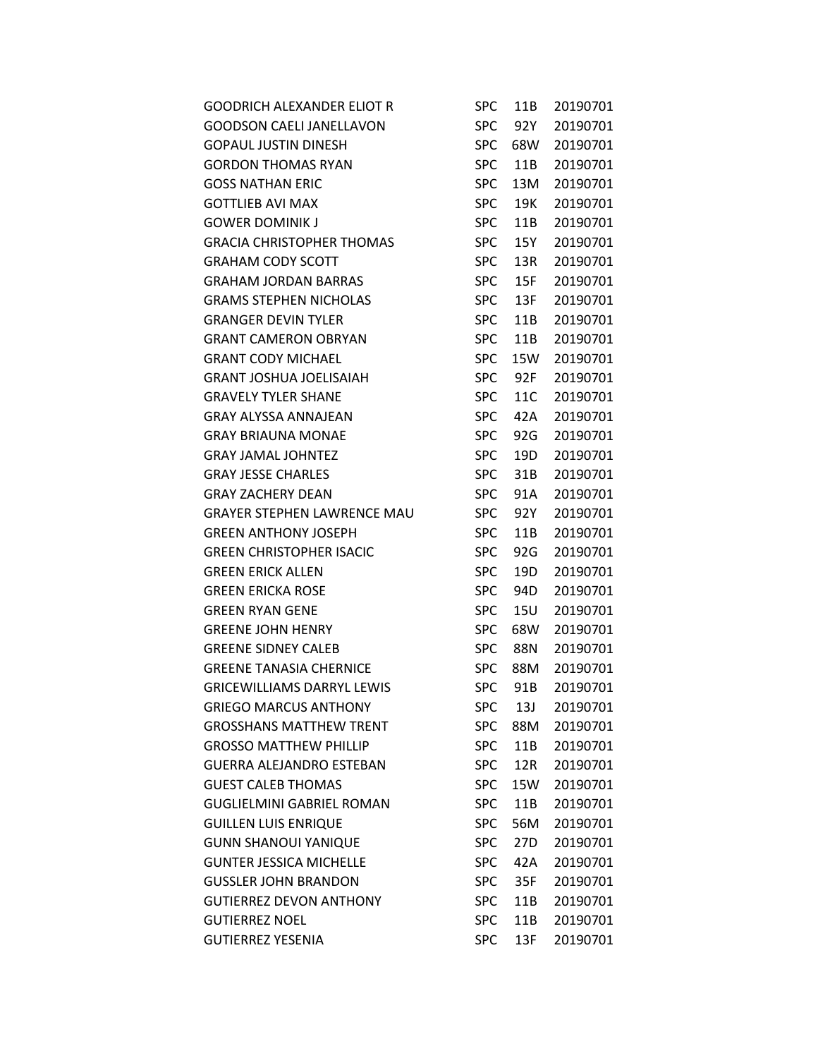| <b>GOODRICH ALEXANDER ELIOT R</b>  | <b>SPC</b> | 11B             | 20190701 |
|------------------------------------|------------|-----------------|----------|
| <b>GOODSON CAELI JANELLAVON</b>    | <b>SPC</b> | 92Y             | 20190701 |
| <b>GOPAUL JUSTIN DINESH</b>        | <b>SPC</b> | 68W             | 20190701 |
| <b>GORDON THOMAS RYAN</b>          | <b>SPC</b> | 11B             | 20190701 |
| <b>GOSS NATHAN ERIC</b>            | <b>SPC</b> | 13M             | 20190701 |
| <b>GOTTLIEB AVI MAX</b>            | <b>SPC</b> | 19K             | 20190701 |
| <b>GOWER DOMINIK J</b>             | <b>SPC</b> | 11B             | 20190701 |
| <b>GRACIA CHRISTOPHER THOMAS</b>   | <b>SPC</b> | 15Y             | 20190701 |
| <b>GRAHAM CODY SCOTT</b>           | <b>SPC</b> | 13R             | 20190701 |
| <b>GRAHAM JORDAN BARRAS</b>        | <b>SPC</b> | 15F             | 20190701 |
| <b>GRAMS STEPHEN NICHOLAS</b>      | <b>SPC</b> | 13F             | 20190701 |
| <b>GRANGER DEVIN TYLER</b>         | <b>SPC</b> | 11B             | 20190701 |
| <b>GRANT CAMERON OBRYAN</b>        | <b>SPC</b> | 11B             | 20190701 |
| <b>GRANT CODY MICHAEL</b>          | <b>SPC</b> | 15W             | 20190701 |
| <b>GRANT JOSHUA JOELISAIAH</b>     | <b>SPC</b> | 92F             | 20190701 |
| <b>GRAVELY TYLER SHANE</b>         | <b>SPC</b> | 11C             | 20190701 |
| <b>GRAY ALYSSA ANNAJEAN</b>        | <b>SPC</b> | 42A             | 20190701 |
| <b>GRAY BRIAUNA MONAE</b>          | <b>SPC</b> | 92G             | 20190701 |
| <b>GRAY JAMAL JOHNTEZ</b>          | <b>SPC</b> | 19D             | 20190701 |
| <b>GRAY JESSE CHARLES</b>          | <b>SPC</b> | 31B             | 20190701 |
| <b>GRAY ZACHERY DEAN</b>           | <b>SPC</b> | 91A             | 20190701 |
| <b>GRAYER STEPHEN LAWRENCE MAU</b> | <b>SPC</b> | 92Y             | 20190701 |
| <b>GREEN ANTHONY JOSEPH</b>        | <b>SPC</b> | 11B             | 20190701 |
| <b>GREEN CHRISTOPHER ISACIC</b>    | <b>SPC</b> | 92G             | 20190701 |
| <b>GREEN ERICK ALLEN</b>           | <b>SPC</b> | 19 <sub>D</sub> | 20190701 |
| <b>GREEN ERICKA ROSE</b>           | <b>SPC</b> | 94D             | 20190701 |
| <b>GREEN RYAN GENE</b>             | <b>SPC</b> | 15U             | 20190701 |
| <b>GREENE JOHN HENRY</b>           | <b>SPC</b> | 68W             | 20190701 |
| <b>GREENE SIDNEY CALEB</b>         | <b>SPC</b> | 88N             | 20190701 |
| <b>GREENE TANASIA CHERNICE</b>     | <b>SPC</b> | 88M             | 20190701 |
| <b>GRICEWILLIAMS DARRYL LEWIS</b>  | SPC        | 91B             | 20190701 |
| <b>GRIEGO MARCUS ANTHONY</b>       | <b>SPC</b> | 13J             | 20190701 |
| <b>GROSSHANS MATTHEW TRENT</b>     | <b>SPC</b> | 88M             | 20190701 |
| <b>GROSSO MATTHEW PHILLIP</b>      | <b>SPC</b> | 11B             | 20190701 |
| <b>GUERRA ALEJANDRO ESTEBAN</b>    | <b>SPC</b> | 12R             | 20190701 |
| <b>GUEST CALEB THOMAS</b>          | <b>SPC</b> | 15W             | 20190701 |
| <b>GUGLIELMINI GABRIEL ROMAN</b>   | <b>SPC</b> | 11B             | 20190701 |
| <b>GUILLEN LUIS ENRIQUE</b>        | <b>SPC</b> | 56M             | 20190701 |
| <b>GUNN SHANOUI YANIQUE</b>        | <b>SPC</b> | 27D             | 20190701 |
| <b>GUNTER JESSICA MICHELLE</b>     | <b>SPC</b> | 42A             | 20190701 |
| <b>GUSSLER JOHN BRANDON</b>        | <b>SPC</b> | 35F             | 20190701 |
| <b>GUTIERREZ DEVON ANTHONY</b>     | <b>SPC</b> | 11B             | 20190701 |
| <b>GUTIERREZ NOEL</b>              | <b>SPC</b> | 11B             | 20190701 |
| <b>GUTIERREZ YESENIA</b>           | <b>SPC</b> | 13F             | 20190701 |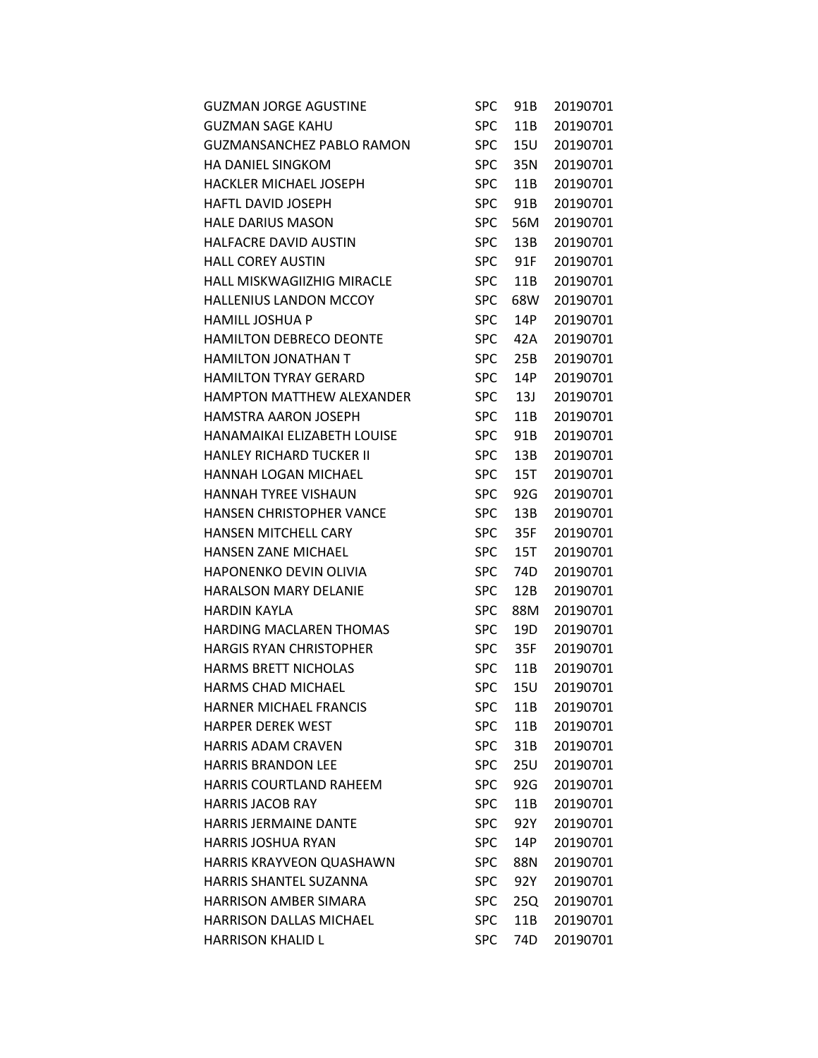| <b>GUZMAN JORGE AGUSTINE</b>      | <b>SPC</b> | 91B             | 20190701 |
|-----------------------------------|------------|-----------------|----------|
| <b>GUZMAN SAGE KAHU</b>           | <b>SPC</b> | 11B             | 20190701 |
| <b>GUZMANSANCHEZ PABLO RAMON</b>  | <b>SPC</b> | <b>15U</b>      | 20190701 |
| <b>HA DANIEL SINGKOM</b>          | <b>SPC</b> | 35N             | 20190701 |
| HACKLER MICHAEL JOSEPH            | <b>SPC</b> | 11B             | 20190701 |
| <b>HAFTL DAVID JOSEPH</b>         | <b>SPC</b> | 91B             | 20190701 |
| <b>HALE DARIUS MASON</b>          | <b>SPC</b> | 56M             | 20190701 |
| HALFACRE DAVID AUSTIN             | <b>SPC</b> | 13B             | 20190701 |
| <b>HALL COREY AUSTIN</b>          | <b>SPC</b> | 91F             | 20190701 |
| <b>HALL MISKWAGIIZHIG MIRACLE</b> | <b>SPC</b> | 11B             | 20190701 |
| <b>HALLENIUS LANDON MCCOY</b>     | <b>SPC</b> | 68W             | 20190701 |
| <b>HAMILL JOSHUA P</b>            | <b>SPC</b> | 14P             | 20190701 |
| HAMILTON DEBRECO DEONTE           | <b>SPC</b> | 42A             | 20190701 |
| <b>HAMILTON JONATHAN T</b>        | <b>SPC</b> | 25B             | 20190701 |
| <b>HAMILTON TYRAY GERARD</b>      | <b>SPC</b> | 14P             | 20190701 |
| <b>HAMPTON MATTHEW ALEXANDER</b>  | <b>SPC</b> | 13J             | 20190701 |
| <b>HAMSTRA AARON JOSEPH</b>       | <b>SPC</b> | 11B             | 20190701 |
| HANAMAIKAI ELIZABETH LOUISE       | <b>SPC</b> | 91B             | 20190701 |
| <b>HANLEY RICHARD TUCKER II</b>   | <b>SPC</b> | 13B             | 20190701 |
| HANNAH LOGAN MICHAEL              | <b>SPC</b> | 15T             | 20190701 |
| <b>HANNAH TYREE VISHAUN</b>       | <b>SPC</b> | 92G             | 20190701 |
| <b>HANSEN CHRISTOPHER VANCE</b>   | <b>SPC</b> | 13B             | 20190701 |
| <b>HANSEN MITCHELL CARY</b>       | <b>SPC</b> | 35F             | 20190701 |
| HANSEN ZANE MICHAEL               | <b>SPC</b> | 15T             | 20190701 |
| <b>HAPONENKO DEVIN OLIVIA</b>     | <b>SPC</b> | 74D             | 20190701 |
| <b>HARALSON MARY DELANIE</b>      | <b>SPC</b> | 12B             | 20190701 |
| <b>HARDIN KAYLA</b>               | <b>SPC</b> | 88M             | 20190701 |
| <b>HARDING MACLAREN THOMAS</b>    | <b>SPC</b> | 19 <sub>D</sub> | 20190701 |
| <b>HARGIS RYAN CHRISTOPHER</b>    | <b>SPC</b> | 35F             | 20190701 |
| <b>HARMS BRETT NICHOLAS</b>       | <b>SPC</b> | 11B             | 20190701 |
| <b>HARMS CHAD MICHAEL</b>         | <b>SPC</b> | 15U             | 20190701 |
| <b>HARNER MICHAEL FRANCIS</b>     | <b>SPC</b> | 11B             | 20190701 |
| <b>HARPER DEREK WEST</b>          | <b>SPC</b> | 11B             | 20190701 |
| <b>HARRIS ADAM CRAVEN</b>         | <b>SPC</b> | 31B             | 20190701 |
| <b>HARRIS BRANDON LEE</b>         | <b>SPC</b> | <b>25U</b>      | 20190701 |
| <b>HARRIS COURTLAND RAHEEM</b>    | <b>SPC</b> | 92G             | 20190701 |
| <b>HARRIS JACOB RAY</b>           | <b>SPC</b> | 11B             | 20190701 |
| <b>HARRIS JERMAINE DANTE</b>      | <b>SPC</b> | 92Y             | 20190701 |
| <b>HARRIS JOSHUA RYAN</b>         | <b>SPC</b> | 14P             | 20190701 |
| HARRIS KRAYVEON QUASHAWN          | <b>SPC</b> | 88N             | 20190701 |
| HARRIS SHANTEL SUZANNA            | <b>SPC</b> | 92Y             | 20190701 |
| <b>HARRISON AMBER SIMARA</b>      | <b>SPC</b> | 25Q             | 20190701 |
| <b>HARRISON DALLAS MICHAEL</b>    | <b>SPC</b> | 11B             | 20190701 |
| <b>HARRISON KHALID L</b>          | <b>SPC</b> | 74D             | 20190701 |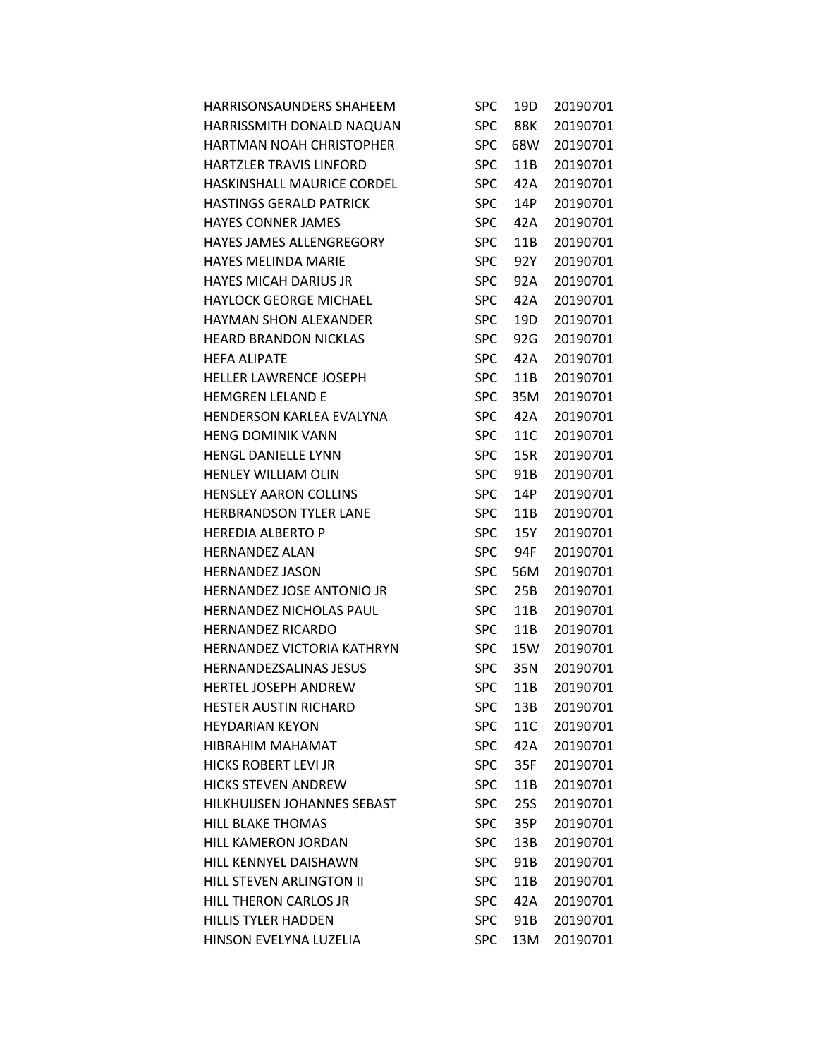| HARRISONSAUNDERS SHAHEEM          | SPC        | 19D | 20190701 |
|-----------------------------------|------------|-----|----------|
| HARRISSMITH DONALD NAQUAN         | <b>SPC</b> | 88K | 20190701 |
| HARTMAN NOAH CHRISTOPHER          | <b>SPC</b> | 68W | 20190701 |
| HARTZLER TRAVIS LINFORD           | <b>SPC</b> | 11B | 20190701 |
| <b>HASKINSHALL MAURICE CORDEL</b> | <b>SPC</b> | 42A | 20190701 |
| <b>HASTINGS GERALD PATRICK</b>    | <b>SPC</b> | 14P | 20190701 |
| <b>HAYES CONNER JAMES</b>         | <b>SPC</b> | 42A | 20190701 |
| <b>HAYES JAMES ALLENGREGORY</b>   | <b>SPC</b> | 11B | 20190701 |
| <b>HAYES MELINDA MARIE</b>        | <b>SPC</b> | 92Y | 20190701 |
| <b>HAYES MICAH DARIUS JR</b>      | <b>SPC</b> | 92A | 20190701 |
| <b>HAYLOCK GEORGE MICHAEL</b>     | <b>SPC</b> | 42A | 20190701 |
| <b>HAYMAN SHON ALEXANDER</b>      | <b>SPC</b> | 19D | 20190701 |
| <b>HEARD BRANDON NICKLAS</b>      | <b>SPC</b> | 92G | 20190701 |
| <b>HEFA ALIPATE</b>               | <b>SPC</b> | 42A | 20190701 |
| <b>HELLER LAWRENCE JOSEPH</b>     | <b>SPC</b> | 11B | 20190701 |
| <b>HEMGREN LELAND E</b>           | <b>SPC</b> | 35M | 20190701 |
| HENDERSON KARLEA EVALYNA          | <b>SPC</b> | 42A | 20190701 |
| <b>HENG DOMINIK VANN</b>          | <b>SPC</b> | 11C | 20190701 |
| <b>HENGL DANIELLE LYNN</b>        | <b>SPC</b> | 15R | 20190701 |
| <b>HENLEY WILLIAM OLIN</b>        | <b>SPC</b> | 91B | 20190701 |
| <b>HENSLEY AARON COLLINS</b>      | <b>SPC</b> | 14P | 20190701 |
| <b>HERBRANDSON TYLER LANE</b>     | <b>SPC</b> | 11B | 20190701 |
| <b>HEREDIA ALBERTO P</b>          | <b>SPC</b> | 15Y | 20190701 |
| <b>HERNANDEZ ALAN</b>             | <b>SPC</b> | 94F | 20190701 |
| <b>HERNANDEZ JASON</b>            | <b>SPC</b> | 56M | 20190701 |
| HERNANDEZ JOSE ANTONIO JR         | <b>SPC</b> | 25B | 20190701 |
| <b>HERNANDEZ NICHOLAS PAUL</b>    | <b>SPC</b> | 11B | 20190701 |
| <b>HERNANDEZ RICARDO</b>          | <b>SPC</b> | 11B | 20190701 |
| <b>HERNANDEZ VICTORIA KATHRYN</b> | <b>SPC</b> | 15W | 20190701 |
| <b>HERNANDEZSALINAS JESUS</b>     | <b>SPC</b> | 35N | 20190701 |
| <b>HERTEL JOSEPH ANDREW</b>       | <b>SPC</b> | 11B | 20190701 |
| <b>HESTER AUSTIN RICHARD</b>      | <b>SPC</b> | 13B | 20190701 |
| <b>HEYDARIAN KEYON</b>            | <b>SPC</b> | 11C | 20190701 |
| HIBRAHIM MAHAMAT                  | <b>SPC</b> | 42A | 20190701 |
| <b>HICKS ROBERT LEVI JR</b>       | <b>SPC</b> | 35F | 20190701 |
| <b>HICKS STEVEN ANDREW</b>        | <b>SPC</b> | 11B | 20190701 |
| HILKHUIJSEN JOHANNES SEBAST       | <b>SPC</b> | 25S | 20190701 |
| <b>HILL BLAKE THOMAS</b>          | <b>SPC</b> | 35P | 20190701 |
| HILL KAMERON JORDAN               | <b>SPC</b> | 13B | 20190701 |
| HILL KENNYEL DAISHAWN             | <b>SPC</b> | 91B | 20190701 |
| HILL STEVEN ARLINGTON II          | <b>SPC</b> | 11B | 20190701 |
| HILL THERON CARLOS JR             | <b>SPC</b> | 42A | 20190701 |
| <b>HILLIS TYLER HADDEN</b>        | <b>SPC</b> | 91B | 20190701 |
| HINSON EVELYNA LUZELIA            | <b>SPC</b> | 13M | 20190701 |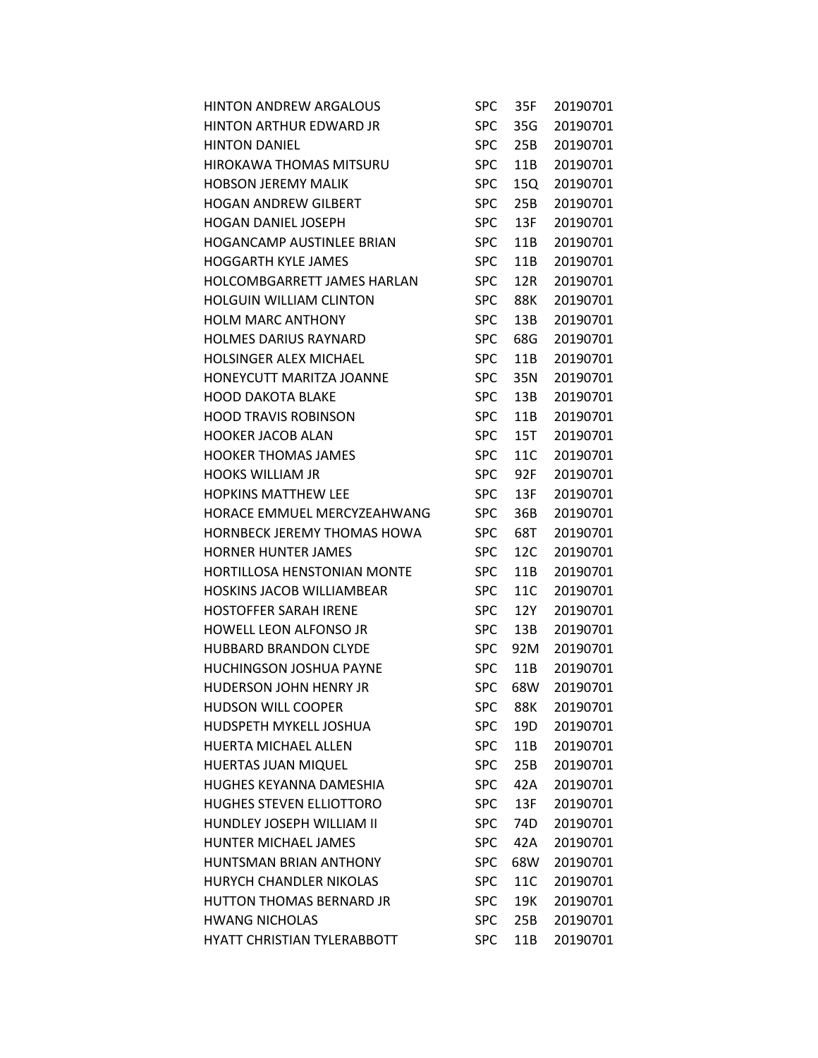| <b>HINTON ANDREW ARGALOUS</b>      | SPC        | 35F        | 20190701 |
|------------------------------------|------------|------------|----------|
| <b>HINTON ARTHUR EDWARD JR</b>     | <b>SPC</b> | 35G        | 20190701 |
| <b>HINTON DANIEL</b>               | <b>SPC</b> | 25B        | 20190701 |
| <b>HIROKAWA THOMAS MITSURU</b>     | <b>SPC</b> | 11B        | 20190701 |
| <b>HOBSON JEREMY MALIK</b>         | <b>SPC</b> | 15Q        | 20190701 |
| <b>HOGAN ANDREW GILBERT</b>        | <b>SPC</b> | 25B        | 20190701 |
| <b>HOGAN DANIEL JOSEPH</b>         | <b>SPC</b> | 13F        | 20190701 |
| <b>HOGANCAMP AUSTINLEE BRIAN</b>   | <b>SPC</b> | 11B        | 20190701 |
| <b>HOGGARTH KYLE JAMES</b>         | <b>SPC</b> | 11B        | 20190701 |
| HOLCOMBGARRETT JAMES HARLAN        | <b>SPC</b> | 12R        | 20190701 |
| <b>HOLGUIN WILLIAM CLINTON</b>     | <b>SPC</b> | 88K        | 20190701 |
| <b>HOLM MARC ANTHONY</b>           | <b>SPC</b> | 13B        | 20190701 |
| <b>HOLMES DARIUS RAYNARD</b>       | <b>SPC</b> | 68G        | 20190701 |
| <b>HOLSINGER ALEX MICHAEL</b>      | <b>SPC</b> | 11B        | 20190701 |
| HONEYCUTT MARITZA JOANNE           | <b>SPC</b> | 35N        | 20190701 |
| <b>HOOD DAKOTA BLAKE</b>           | <b>SPC</b> | 13B        | 20190701 |
| <b>HOOD TRAVIS ROBINSON</b>        | <b>SPC</b> | 11B        | 20190701 |
| <b>HOOKER JACOB ALAN</b>           | <b>SPC</b> | 15T        | 20190701 |
| <b>HOOKER THOMAS JAMES</b>         | <b>SPC</b> | 11C        | 20190701 |
| <b>HOOKS WILLIAM JR</b>            | <b>SPC</b> | 92F        | 20190701 |
| <b>HOPKINS MATTHEW LEE</b>         | <b>SPC</b> | 13F        | 20190701 |
| HORACE EMMUEL MERCYZEAHWANG        | <b>SPC</b> | 36B        | 20190701 |
| HORNBECK JEREMY THOMAS HOWA        | <b>SPC</b> | 68T        | 20190701 |
| <b>HORNER HUNTER JAMES</b>         | <b>SPC</b> | 12C        | 20190701 |
| <b>HORTILLOSA HENSTONIAN MONTE</b> | <b>SPC</b> | 11B        | 20190701 |
| <b>HOSKINS JACOB WILLIAMBEAR</b>   | <b>SPC</b> | 11C        | 20190701 |
| <b>HOSTOFFER SARAH IRENE</b>       | <b>SPC</b> | 12Y        | 20190701 |
| HOWELL LEON ALFONSO JR             | <b>SPC</b> | 13B        | 20190701 |
| <b>HUBBARD BRANDON CLYDE</b>       | <b>SPC</b> | 92M        | 20190701 |
| <b>HUCHINGSON JOSHUA PAYNE</b>     | <b>SPC</b> | 11B        | 20190701 |
| HUDERSON JOHN HENRY JR             | <b>SPC</b> | 68W        | 20190701 |
| <b>HUDSON WILL COOPER</b>          | <b>SPC</b> | <b>88K</b> | 20190701 |
| HUDSPETH MYKELL JOSHUA             | <b>SPC</b> | 19D        | 20190701 |
| <b>HUERTA MICHAEL ALLEN</b>        | <b>SPC</b> | 11B        | 20190701 |
| HUERTAS JUAN MIQUEL                | <b>SPC</b> | 25B        | 20190701 |
| <b>HUGHES KEYANNA DAMESHIA</b>     | <b>SPC</b> | 42A        | 20190701 |
| HUGHES STEVEN ELLIOTTORO           | <b>SPC</b> | 13F        | 20190701 |
| HUNDLEY JOSEPH WILLIAM II          | <b>SPC</b> | 74D        | 20190701 |
| HUNTER MICHAEL JAMES               | <b>SPC</b> | 42A        | 20190701 |
| <b>HUNTSMAN BRIAN ANTHONY</b>      | <b>SPC</b> | 68W        | 20190701 |
| <b>HURYCH CHANDLER NIKOLAS</b>     | <b>SPC</b> | 11C        | 20190701 |
| <b>HUTTON THOMAS BERNARD JR</b>    | <b>SPC</b> | 19K        | 20190701 |
| <b>HWANG NICHOLAS</b>              | <b>SPC</b> | 25B        | 20190701 |
| HYATT CHRISTIAN TYLERABBOTT        | <b>SPC</b> | 11B        | 20190701 |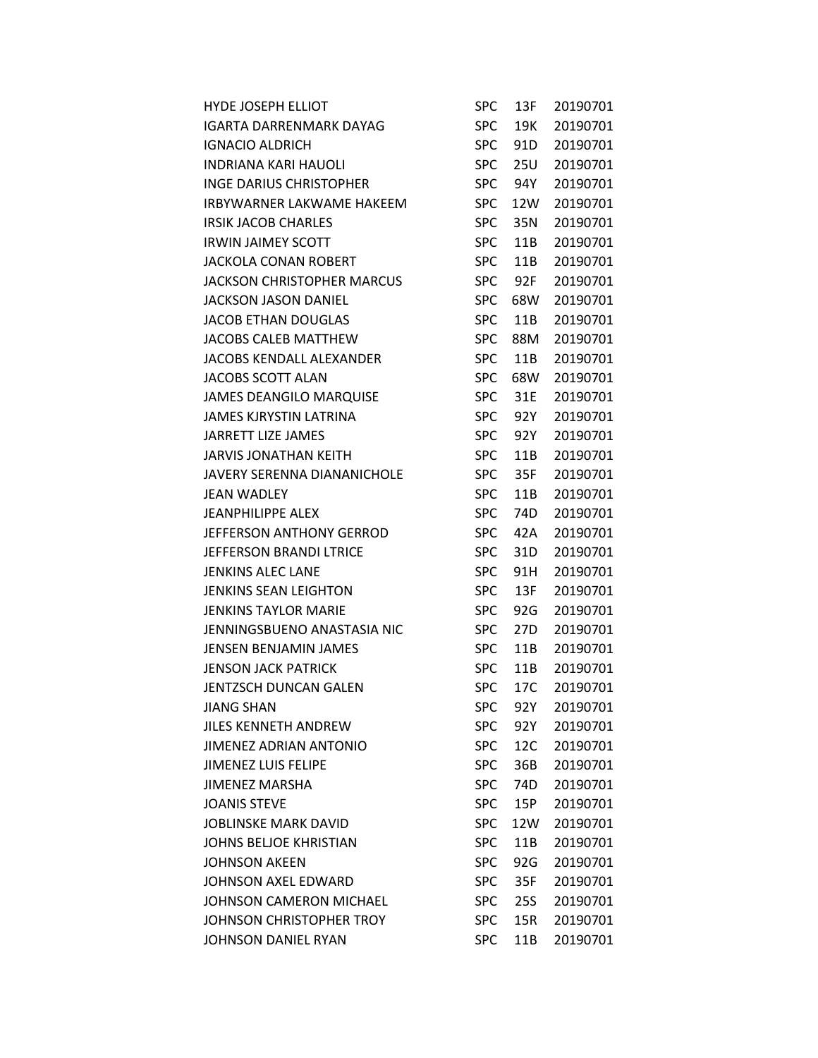| <b>HYDE JOSEPH ELLIOT</b>         | <b>SPC</b> | 13F             | 20190701 |
|-----------------------------------|------------|-----------------|----------|
| IGARTA DARRENMARK DAYAG           | <b>SPC</b> | 19K             | 20190701 |
| <b>IGNACIO ALDRICH</b>            | <b>SPC</b> | 91 <sub>D</sub> | 20190701 |
| <b>INDRIANA KARI HAUOLI</b>       | <b>SPC</b> | 25U             | 20190701 |
| <b>INGE DARIUS CHRISTOPHER</b>    | <b>SPC</b> | 94Y             | 20190701 |
| <b>IRBYWARNER LAKWAME HAKEEM</b>  | <b>SPC</b> | 12W             | 20190701 |
| <b>IRSIK JACOB CHARLES</b>        | <b>SPC</b> | 35N             | 20190701 |
| <b>IRWIN JAIMEY SCOTT</b>         | <b>SPC</b> | 11B             | 20190701 |
| <b>JACKOLA CONAN ROBERT</b>       | <b>SPC</b> | 11B             | 20190701 |
| <b>JACKSON CHRISTOPHER MARCUS</b> | <b>SPC</b> | 92F             | 20190701 |
| <b>JACKSON JASON DANIEL</b>       | <b>SPC</b> | 68W             | 20190701 |
| <b>JACOB ETHAN DOUGLAS</b>        | <b>SPC</b> | 11B             | 20190701 |
| JACOBS CALEB MATTHEW              | <b>SPC</b> | 88M             | 20190701 |
| JACOBS KENDALL ALEXANDER          | <b>SPC</b> | 11B             | 20190701 |
| <b>JACOBS SCOTT ALAN</b>          | <b>SPC</b> | 68W             | 20190701 |
| <b>JAMES DEANGILO MARQUISE</b>    | <b>SPC</b> | 31E             | 20190701 |
| JAMES KJRYSTIN LATRINA            | <b>SPC</b> | 92Y             | 20190701 |
| <b>JARRETT LIZE JAMES</b>         | <b>SPC</b> | 92Y             | 20190701 |
| <b>JARVIS JONATHAN KEITH</b>      | <b>SPC</b> | 11B             | 20190701 |
| JAVERY SERENNA DIANANICHOLE       | <b>SPC</b> | 35F             | 20190701 |
| <b>JEAN WADLEY</b>                | <b>SPC</b> | 11B             | 20190701 |
| JEANPHILIPPE ALEX                 | <b>SPC</b> | 74D             | 20190701 |
| JEFFERSON ANTHONY GERROD          | <b>SPC</b> | 42A             | 20190701 |
| JEFFERSON BRANDI LTRICE           | <b>SPC</b> | 31D             | 20190701 |
| <b>JENKINS ALEC LANE</b>          | <b>SPC</b> | 91H             | 20190701 |
| <b>JENKINS SEAN LEIGHTON</b>      | <b>SPC</b> | 13F             | 20190701 |
| <b>JENKINS TAYLOR MARIE</b>       | <b>SPC</b> | 92G             | 20190701 |
| JENNINGSBUENO ANASTASIA NIC       | <b>SPC</b> | 27D             | 20190701 |
| JENSEN BENJAMIN JAMES             | <b>SPC</b> | 11B             | 20190701 |
| <b>JENSON JACK PATRICK</b>        | <b>SPC</b> | 11B             | 20190701 |
| JENTZSCH DUNCAN GALEN             | <b>SPC</b> | 17C             | 20190701 |
| JIANG SHAN                        | <b>SPC</b> | 92Y             | 20190701 |
| JILES KENNETH ANDREW              | <b>SPC</b> | 92Y             | 20190701 |
| <b>JIMENEZ ADRIAN ANTONIO</b>     | <b>SPC</b> | 12C             | 20190701 |
| <b>JIMENEZ LUIS FELIPE</b>        | <b>SPC</b> | 36B             | 20190701 |
| JIMENEZ MARSHA                    | <b>SPC</b> | 74D             | 20190701 |
| <b>JOANIS STEVE</b>               | <b>SPC</b> | 15P             | 20190701 |
| <b>JOBLINSKE MARK DAVID</b>       | <b>SPC</b> | 12W             | 20190701 |
| JOHNS BELJOE KHRISTIAN            | <b>SPC</b> | 11B             | 20190701 |
| <b>JOHNSON AKEEN</b>              | <b>SPC</b> | 92G             | 20190701 |
| JOHNSON AXEL EDWARD               | <b>SPC</b> | 35F             | 20190701 |
| JOHNSON CAMERON MICHAEL           | <b>SPC</b> | 25S             | 20190701 |
| JOHNSON CHRISTOPHER TROY          | <b>SPC</b> | 15R             | 20190701 |
| JOHNSON DANIEL RYAN               | <b>SPC</b> | 11B             | 20190701 |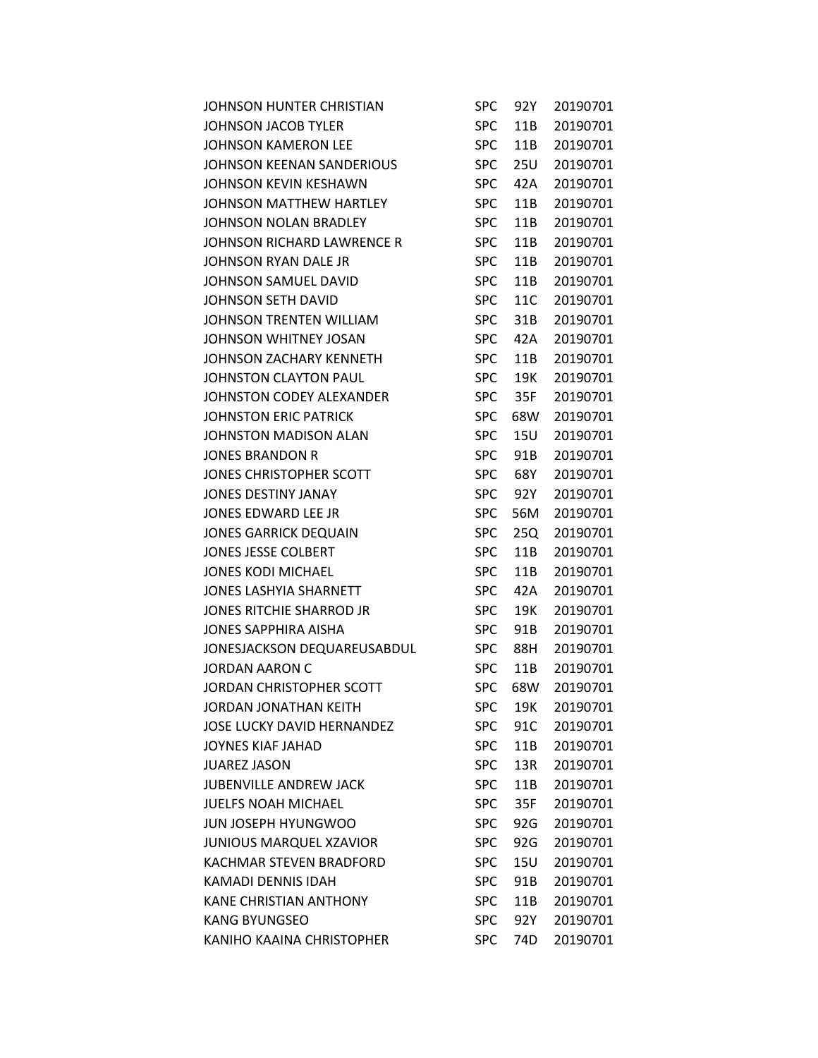| JOHNSON HUNTER CHRISTIAN          | SPC        | 92Y | 20190701 |
|-----------------------------------|------------|-----|----------|
| <b>JOHNSON JACOB TYLER</b>        | <b>SPC</b> | 11B | 20190701 |
| <b>JOHNSON KAMERON LEE</b>        | <b>SPC</b> | 11B | 20190701 |
| JOHNSON KEENAN SANDERIOUS         | <b>SPC</b> | 25U | 20190701 |
| <b>JOHNSON KEVIN KESHAWN</b>      | <b>SPC</b> | 42A | 20190701 |
| JOHNSON MATTHEW HARTLEY           | <b>SPC</b> | 11B | 20190701 |
| JOHNSON NOLAN BRADLEY             | <b>SPC</b> | 11B | 20190701 |
| JOHNSON RICHARD LAWRENCE R        | <b>SPC</b> | 11B | 20190701 |
| JOHNSON RYAN DALE JR              | <b>SPC</b> | 11B | 20190701 |
| JOHNSON SAMUEL DAVID              | <b>SPC</b> | 11B | 20190701 |
| JOHNSON SETH DAVID                | <b>SPC</b> | 11C | 20190701 |
| <b>JOHNSON TRENTEN WILLIAM</b>    | <b>SPC</b> | 31B | 20190701 |
| JOHNSON WHITNEY JOSAN             | <b>SPC</b> | 42A | 20190701 |
| JOHNSON ZACHARY KENNETH           | <b>SPC</b> | 11B | 20190701 |
| JOHNSTON CLAYTON PAUL             | <b>SPC</b> | 19K | 20190701 |
| JOHNSTON CODEY ALEXANDER          | <b>SPC</b> | 35F | 20190701 |
| <b>JOHNSTON ERIC PATRICK</b>      | <b>SPC</b> | 68W | 20190701 |
| <b>JOHNSTON MADISON ALAN</b>      | <b>SPC</b> | 15U | 20190701 |
| <b>JONES BRANDON R</b>            | <b>SPC</b> | 91B | 20190701 |
| JONES CHRISTOPHER SCOTT           | <b>SPC</b> | 68Y | 20190701 |
| <b>JONES DESTINY JANAY</b>        | <b>SPC</b> | 92Y | 20190701 |
| JONES EDWARD LEE JR               | <b>SPC</b> | 56M | 20190701 |
| <b>JONES GARRICK DEQUAIN</b>      | <b>SPC</b> | 25Q | 20190701 |
| <b>JONES JESSE COLBERT</b>        | <b>SPC</b> | 11B | 20190701 |
| <b>JONES KODI MICHAEL</b>         | <b>SPC</b> | 11B | 20190701 |
| JONES LASHYIA SHARNETT            | <b>SPC</b> | 42A | 20190701 |
| JONES RITCHIE SHARROD JR          | <b>SPC</b> | 19K | 20190701 |
| JONES SAPPHIRA AISHA              | <b>SPC</b> | 91B | 20190701 |
| JONESJACKSON DEQUAREUSABDUL       | <b>SPC</b> | 88H | 20190701 |
| <b>JORDAN AARON C</b>             | <b>SPC</b> | 11B | 20190701 |
| JORDAN CHRISTOPHER SCOTT          | <b>SPC</b> | 68W | 20190701 |
| <b>JORDAN JONATHAN KEITH</b>      | <b>SPC</b> | 19K | 20190701 |
| <b>JOSE LUCKY DAVID HERNANDEZ</b> | <b>SPC</b> | 91C | 20190701 |
| JOYNES KIAF JAHAD                 | <b>SPC</b> | 11B | 20190701 |
| <b>JUAREZ JASON</b>               | <b>SPC</b> | 13R | 20190701 |
| <b>JUBENVILLE ANDREW JACK</b>     | <b>SPC</b> | 11B | 20190701 |
| <b>JUELFS NOAH MICHAEL</b>        | <b>SPC</b> | 35F | 20190701 |
| <b>JUN JOSEPH HYUNGWOO</b>        | <b>SPC</b> | 92G | 20190701 |
| <b>JUNIOUS MARQUEL XZAVIOR</b>    | <b>SPC</b> | 92G | 20190701 |
| <b>KACHMAR STEVEN BRADFORD</b>    | <b>SPC</b> | 15U | 20190701 |
| KAMADI DENNIS IDAH                | <b>SPC</b> | 91B | 20190701 |
| <b>KANE CHRISTIAN ANTHONY</b>     | <b>SPC</b> | 11B | 20190701 |
| <b>KANG BYUNGSEO</b>              | <b>SPC</b> | 92Y | 20190701 |
| KANIHO KAAINA CHRISTOPHER         | <b>SPC</b> | 74D | 20190701 |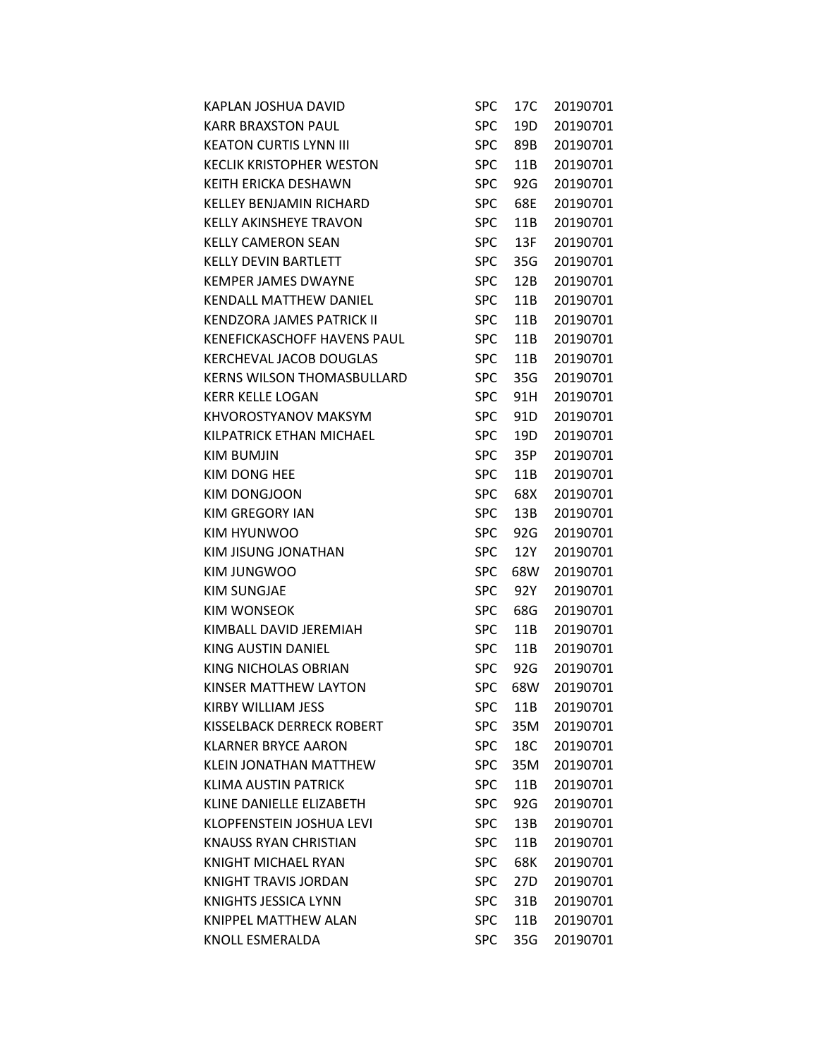| KAPLAN JOSHUA DAVID               | <b>SPC</b> | 17C | 20190701 |
|-----------------------------------|------------|-----|----------|
| <b>KARR BRAXSTON PAUL</b>         | <b>SPC</b> | 19D | 20190701 |
| <b>KEATON CURTIS LYNN III</b>     | <b>SPC</b> | 89B | 20190701 |
| <b>KECLIK KRISTOPHER WESTON</b>   | <b>SPC</b> | 11B | 20190701 |
| KEITH ERICKA DESHAWN              | <b>SPC</b> | 92G | 20190701 |
| <b>KELLEY BENJAMIN RICHARD</b>    | <b>SPC</b> | 68E | 20190701 |
| <b>KELLY AKINSHEYE TRAVON</b>     | <b>SPC</b> | 11B | 20190701 |
| <b>KELLY CAMERON SEAN</b>         | <b>SPC</b> | 13F | 20190701 |
| <b>KELLY DEVIN BARTLETT</b>       | <b>SPC</b> | 35G | 20190701 |
| <b>KEMPER JAMES DWAYNE</b>        | <b>SPC</b> | 12B | 20190701 |
| <b>KENDALL MATTHEW DANIEL</b>     | <b>SPC</b> | 11B | 20190701 |
| KENDZORA JAMES PATRICK II         | <b>SPC</b> | 11B | 20190701 |
| KENEFICKASCHOFF HAVENS PAUL       | <b>SPC</b> | 11B | 20190701 |
| <b>KERCHEVAL JACOB DOUGLAS</b>    | <b>SPC</b> | 11B | 20190701 |
| <b>KERNS WILSON THOMASBULLARD</b> | <b>SPC</b> | 35G | 20190701 |
| KERR KELLE LOGAN                  | <b>SPC</b> | 91H | 20190701 |
| KHVOROSTYANOV MAKSYM              | <b>SPC</b> | 91D | 20190701 |
| KILPATRICK ETHAN MICHAEL          | <b>SPC</b> | 19D | 20190701 |
| KIM BUMJIN                        | <b>SPC</b> | 35P | 20190701 |
| KIM DONG HEE                      | <b>SPC</b> | 11B | 20190701 |
| KIM DONGJOON                      | <b>SPC</b> | 68X | 20190701 |
| KIM GREGORY IAN                   | <b>SPC</b> | 13B | 20190701 |
| KIM HYUNWOO                       | <b>SPC</b> | 92G | 20190701 |
| KIM JISUNG JONATHAN               | <b>SPC</b> | 12Y | 20190701 |
| KIM JUNGWOO                       | <b>SPC</b> | 68W | 20190701 |
| <b>KIM SUNGJAE</b>                | <b>SPC</b> | 92Y | 20190701 |
| KIM WONSEOK                       | <b>SPC</b> | 68G | 20190701 |
| KIMBALL DAVID JEREMIAH            | <b>SPC</b> | 11B | 20190701 |
| KING AUSTIN DANIEL                | <b>SPC</b> | 11B | 20190701 |
| KING NICHOLAS OBRIAN              | <b>SPC</b> | 92G | 20190701 |
| KINSER MATTHEW LAYTON             | <b>SPC</b> | 68W | 20190701 |
| <b>KIRBY WILLIAM JESS</b>         | SPC        | 11B | 20190701 |
| KISSELBACK DERRECK ROBERT         | <b>SPC</b> | 35M | 20190701 |
| <b>KLARNER BRYCE AARON</b>        | <b>SPC</b> | 18C | 20190701 |
| KLEIN JONATHAN MATTHEW            | <b>SPC</b> | 35M | 20190701 |
| <b>KLIMA AUSTIN PATRICK</b>       | <b>SPC</b> | 11B | 20190701 |
| KLINE DANIELLE ELIZABETH          | <b>SPC</b> | 92G | 20190701 |
| <b>KLOPFENSTEIN JOSHUA LEVI</b>   | <b>SPC</b> | 13B | 20190701 |
| <b>KNAUSS RYAN CHRISTIAN</b>      | <b>SPC</b> | 11B | 20190701 |
| <b>KNIGHT MICHAEL RYAN</b>        | <b>SPC</b> | 68K | 20190701 |
| KNIGHT TRAVIS JORDAN              | <b>SPC</b> | 27D | 20190701 |
| KNIGHTS JESSICA LYNN              | <b>SPC</b> | 31B | 20190701 |
| <b>KNIPPEL MATTHEW ALAN</b>       | <b>SPC</b> | 11B | 20190701 |
| KNOLL ESMERALDA                   | <b>SPC</b> | 35G | 20190701 |
|                                   |            |     |          |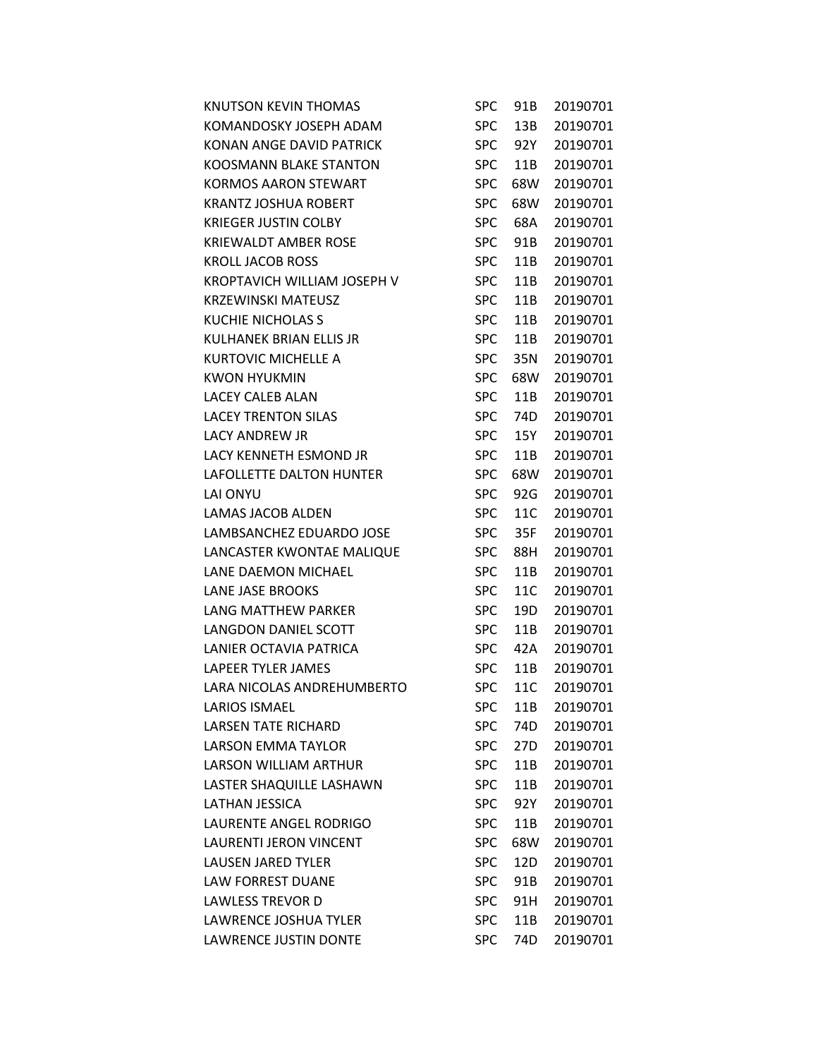| <b>KNUTSON KEVIN THOMAS</b>   | SPC        | 91B             | 20190701 |
|-------------------------------|------------|-----------------|----------|
| KOMANDOSKY JOSEPH ADAM        | <b>SPC</b> | 13B             | 20190701 |
| KONAN ANGE DAVID PATRICK      | <b>SPC</b> | 92Y             | 20190701 |
| <b>KOOSMANN BLAKE STANTON</b> | <b>SPC</b> | 11B             | 20190701 |
| <b>KORMOS AARON STEWART</b>   | <b>SPC</b> | 68W             | 20190701 |
| <b>KRANTZ JOSHUA ROBERT</b>   | <b>SPC</b> | 68W             | 20190701 |
| <b>KRIEGER JUSTIN COLBY</b>   | <b>SPC</b> | 68A             | 20190701 |
| <b>KRIEWALDT AMBER ROSE</b>   | <b>SPC</b> | 91B             | 20190701 |
| <b>KROLL JACOB ROSS</b>       | <b>SPC</b> | 11B             | 20190701 |
| KROPTAVICH WILLIAM JOSEPH V   | <b>SPC</b> | 11B             | 20190701 |
| KRZEWINSKI MATEUSZ            | <b>SPC</b> | 11B             | 20190701 |
| <b>KUCHIE NICHOLAS S</b>      | <b>SPC</b> | 11B             | 20190701 |
| KULHANEK BRIAN ELLIS JR       | <b>SPC</b> | 11B             | 20190701 |
| KURTOVIC MICHELLE A           | <b>SPC</b> | 35N             | 20190701 |
| <b>KWON HYUKMIN</b>           | <b>SPC</b> | 68W             | 20190701 |
| LACEY CALEB ALAN              | <b>SPC</b> | 11B             | 20190701 |
| <b>LACEY TRENTON SILAS</b>    | <b>SPC</b> | 74D             | 20190701 |
| <b>LACY ANDREW JR</b>         | <b>SPC</b> | 15Y             | 20190701 |
| <b>LACY KENNETH ESMOND JR</b> | <b>SPC</b> | 11B             | 20190701 |
| LAFOLLETTE DALTON HUNTER      | <b>SPC</b> | 68W             | 20190701 |
| LAI ONYU                      | <b>SPC</b> | 92G             | 20190701 |
| <b>LAMAS JACOB ALDEN</b>      | <b>SPC</b> | 11C             | 20190701 |
| LAMBSANCHEZ EDUARDO JOSE      | <b>SPC</b> | 35F             | 20190701 |
| LANCASTER KWONTAE MALIQUE     | <b>SPC</b> | 88H             | 20190701 |
| LANE DAEMON MICHAEL           | <b>SPC</b> | 11B             | 20190701 |
| <b>LANE JASE BROOKS</b>       | <b>SPC</b> | 11C             | 20190701 |
| LANG MATTHEW PARKER           | <b>SPC</b> | 19D             | 20190701 |
| <b>LANGDON DANIEL SCOTT</b>   | <b>SPC</b> | 11B             | 20190701 |
| LANIER OCTAVIA PATRICA        | <b>SPC</b> | 42A             | 20190701 |
| LAPEER TYLER JAMES            | <b>SPC</b> | 11B             | 20190701 |
| LARA NICOLAS ANDREHUMBERTO    | <b>SPC</b> | 11C             | 20190701 |
| <b>LARIOS ISMAEL</b>          | SPC        | 11B             | 20190701 |
| <b>LARSEN TATE RICHARD</b>    | <b>SPC</b> | 74 <sub>D</sub> | 20190701 |
| <b>LARSON EMMA TAYLOR</b>     | <b>SPC</b> | 27D             | 20190701 |
| <b>LARSON WILLIAM ARTHUR</b>  | <b>SPC</b> | 11B             | 20190701 |
| LASTER SHAQUILLE LASHAWN      | <b>SPC</b> | 11B             | 20190701 |
| <b>LATHAN JESSICA</b>         | <b>SPC</b> | 92Y             | 20190701 |
| LAURENTE ANGEL RODRIGO        | <b>SPC</b> | 11B             | 20190701 |
| LAURENTI JERON VINCENT        | <b>SPC</b> | 68W             | 20190701 |
| <b>LAUSEN JARED TYLER</b>     | <b>SPC</b> | 12D             | 20190701 |
| <b>LAW FORREST DUANE</b>      | <b>SPC</b> | 91B             | 20190701 |
| <b>LAWLESS TREVOR D</b>       | <b>SPC</b> | 91H             | 20190701 |
| LAWRENCE JOSHUA TYLER         | <b>SPC</b> | 11B             | 20190701 |
| <b>LAWRENCE JUSTIN DONTE</b>  | <b>SPC</b> | 74D             | 20190701 |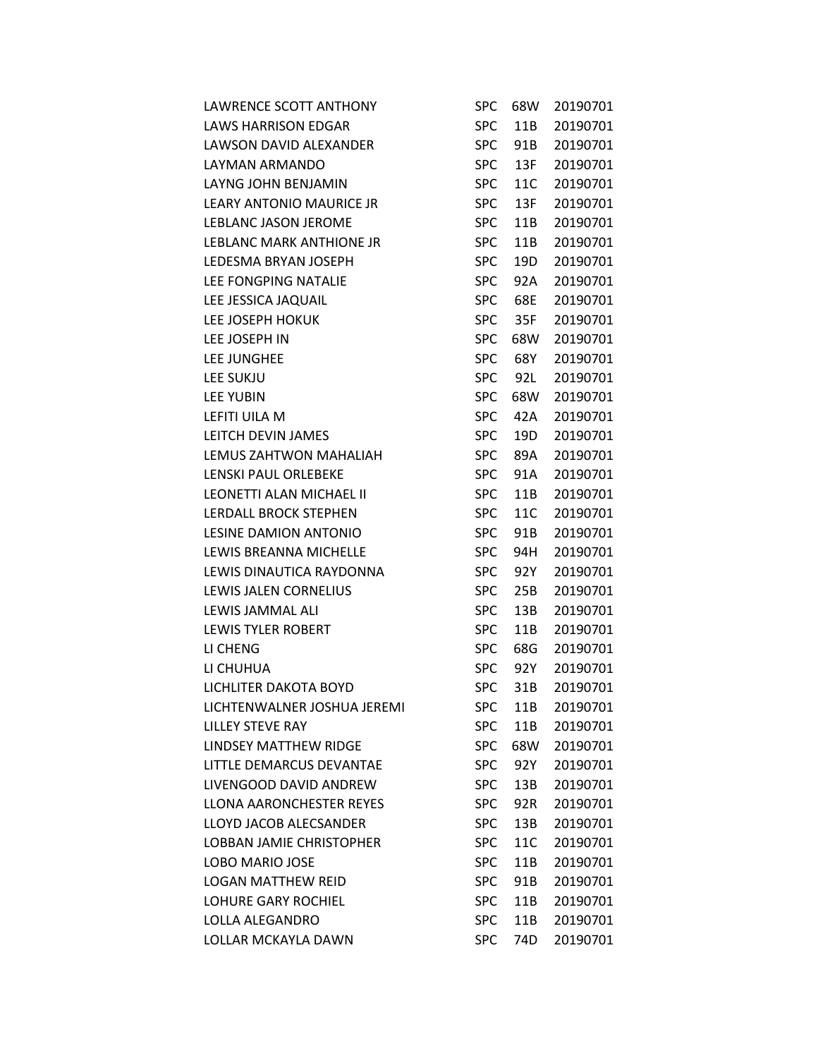| LAWRENCE SCOTT ANTHONY          | SPC        | 68W | 20190701 |
|---------------------------------|------------|-----|----------|
| <b>LAWS HARRISON EDGAR</b>      | <b>SPC</b> | 11B | 20190701 |
| LAWSON DAVID ALEXANDER          | <b>SPC</b> | 91B | 20190701 |
| LAYMAN ARMANDO                  | <b>SPC</b> | 13F | 20190701 |
| LAYNG JOHN BENJAMIN             | <b>SPC</b> | 11C | 20190701 |
| <b>LEARY ANTONIO MAURICE JR</b> | <b>SPC</b> | 13F | 20190701 |
| LEBLANC JASON JEROME            | <b>SPC</b> | 11B | 20190701 |
| <b>LEBLANC MARK ANTHIONE JR</b> | <b>SPC</b> | 11B | 20190701 |
| LEDESMA BRYAN JOSEPH            | <b>SPC</b> | 19D | 20190701 |
| LEE FONGPING NATALIE            | <b>SPC</b> | 92A | 20190701 |
| LEE JESSICA JAQUAIL             | <b>SPC</b> | 68E | 20190701 |
| LEE JOSEPH HOKUK                | <b>SPC</b> | 35F | 20190701 |
| LEE JOSEPH IN                   | <b>SPC</b> | 68W | 20190701 |
| LEE JUNGHEE                     | <b>SPC</b> | 68Y | 20190701 |
| <b>LEE SUKJU</b>                | <b>SPC</b> | 92L | 20190701 |
| <b>LEE YUBIN</b>                | <b>SPC</b> | 68W | 20190701 |
| LEFITI UILA M                   | <b>SPC</b> | 42A | 20190701 |
| LEITCH DEVIN JAMES              | <b>SPC</b> | 19D | 20190701 |
| LEMUS ZAHTWON MAHALIAH          | <b>SPC</b> | 89A | 20190701 |
| LENSKI PAUL ORLEBEKE            | <b>SPC</b> | 91A | 20190701 |
| LEONETTI ALAN MICHAEL II        | <b>SPC</b> | 11B | 20190701 |
| LERDALL BROCK STEPHEN           | <b>SPC</b> | 11C | 20190701 |
| LESINE DAMION ANTONIO           | <b>SPC</b> | 91B | 20190701 |
| LEWIS BREANNA MICHELLE          | <b>SPC</b> | 94H | 20190701 |
| LEWIS DINAUTICA RAYDONNA        | <b>SPC</b> | 92Y | 20190701 |
| LEWIS JALEN CORNELIUS           | <b>SPC</b> | 25B | 20190701 |
| LEWIS JAMMAL ALI                | <b>SPC</b> | 13B | 20190701 |
| <b>LEWIS TYLER ROBERT</b>       | <b>SPC</b> | 11B | 20190701 |
| LI CHENG                        | <b>SPC</b> | 68G | 20190701 |
| LI CHUHUA                       | <b>SPC</b> | 92Y | 20190701 |
| LICHLITER DAKOTA BOYD           | <b>SPC</b> | 31B | 20190701 |
| LICHTENWALNER JOSHUA JEREMI     | <b>SPC</b> | 11B | 20190701 |
| <b>LILLEY STEVE RAY</b>         | <b>SPC</b> | 11B | 20190701 |
| LINDSEY MATTHEW RIDGE           | <b>SPC</b> | 68W | 20190701 |
| LITTLE DEMARCUS DEVANTAE        | <b>SPC</b> | 92Y | 20190701 |
| LIVENGOOD DAVID ANDREW          | <b>SPC</b> | 13B | 20190701 |
| <b>LLONA AARONCHESTER REYES</b> | <b>SPC</b> | 92R | 20190701 |
| LLOYD JACOB ALECSANDER          | <b>SPC</b> | 13B | 20190701 |
| <b>LOBBAN JAMIE CHRISTOPHER</b> | <b>SPC</b> | 11C | 20190701 |
| <b>LOBO MARIO JOSE</b>          | <b>SPC</b> | 11B | 20190701 |
| <b>LOGAN MATTHEW REID</b>       | <b>SPC</b> | 91B | 20190701 |
| <b>LOHURE GARY ROCHIEL</b>      | <b>SPC</b> | 11B | 20190701 |
| LOLLA ALEGANDRO                 | <b>SPC</b> | 11B | 20190701 |
| LOLLAR MCKAYLA DAWN             | <b>SPC</b> | 74D | 20190701 |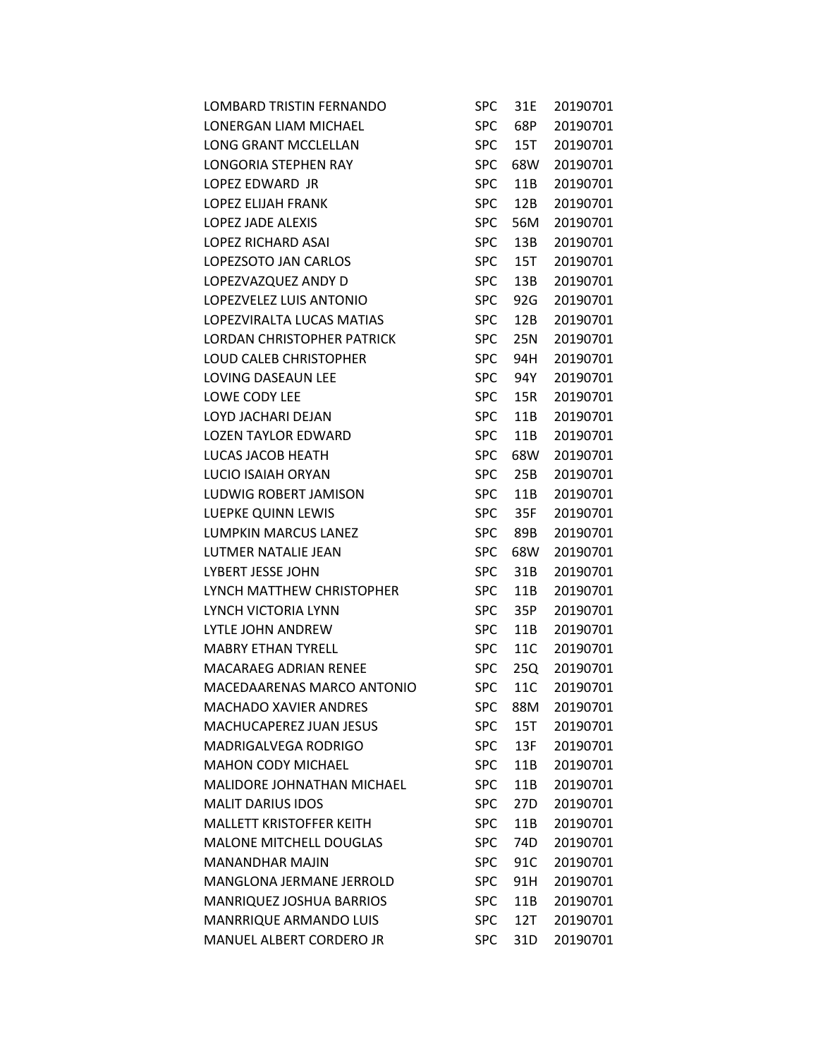| <b>LOMBARD TRISTIN FERNANDO</b>   | <b>SPC</b> | 31E             | 20190701 |
|-----------------------------------|------------|-----------------|----------|
| LONERGAN LIAM MICHAEL             | <b>SPC</b> | 68P             | 20190701 |
| <b>LONG GRANT MCCLELLAN</b>       | <b>SPC</b> | 15T             | 20190701 |
| LONGORIA STEPHEN RAY              | <b>SPC</b> | 68W             | 20190701 |
| LOPEZ EDWARD JR                   | <b>SPC</b> | 11B             | 20190701 |
| LOPEZ ELIJAH FRANK                | <b>SPC</b> | 12B             | 20190701 |
| LOPEZ JADE ALEXIS                 | <b>SPC</b> | 56M             | 20190701 |
| LOPEZ RICHARD ASAI                | <b>SPC</b> | 13B             | 20190701 |
| LOPEZSOTO JAN CARLOS              | <b>SPC</b> | 15T             | 20190701 |
| LOPEZVAZQUEZ ANDY D               | <b>SPC</b> | 13B             | 20190701 |
| LOPEZVELEZ LUIS ANTONIO           | <b>SPC</b> | 92G             | 20190701 |
| LOPEZVIRALTA LUCAS MATIAS         | <b>SPC</b> | 12B             | 20190701 |
| <b>LORDAN CHRISTOPHER PATRICK</b> | <b>SPC</b> | 25N             | 20190701 |
| LOUD CALEB CHRISTOPHER            | <b>SPC</b> | 94H             | 20190701 |
| LOVING DASEAUN LEE                | <b>SPC</b> | 94Y             | 20190701 |
| <b>LOWE CODY LEE</b>              | <b>SPC</b> | 15R             | 20190701 |
| LOYD JACHARI DEJAN                | <b>SPC</b> | 11B             | 20190701 |
| LOZEN TAYLOR EDWARD               | <b>SPC</b> | 11B             | 20190701 |
| LUCAS JACOB HEATH                 | <b>SPC</b> | 68W             | 20190701 |
| LUCIO ISAIAH ORYAN                | <b>SPC</b> | 25B             | 20190701 |
| LUDWIG ROBERT JAMISON             | <b>SPC</b> | 11B             | 20190701 |
| LUEPKE QUINN LEWIS                | <b>SPC</b> | 35F             | 20190701 |
| LUMPKIN MARCUS LANEZ              | <b>SPC</b> | 89B             | 20190701 |
| LUTMER NATALIE JEAN               | <b>SPC</b> | 68W             | 20190701 |
| LYBERT JESSE JOHN                 | <b>SPC</b> | 31B             | 20190701 |
| LYNCH MATTHEW CHRISTOPHER         | <b>SPC</b> | 11B             | 20190701 |
| LYNCH VICTORIA LYNN               | <b>SPC</b> | 35P             | 20190701 |
| <b>LYTLE JOHN ANDREW</b>          | <b>SPC</b> | 11B             | 20190701 |
| <b>MABRY ETHAN TYRELL</b>         | <b>SPC</b> | 11C             | 20190701 |
| <b>MACARAEG ADRIAN RENEE</b>      | <b>SPC</b> | 25Q             | 20190701 |
| MACEDAARENAS MARCO ANTONIO        | <b>SPC</b> | 11C             | 20190701 |
| <b>MACHADO XAVIER ANDRES</b>      | <b>SPC</b> | 88M             | 20190701 |
| <b>MACHUCAPEREZ JUAN JESUS</b>    | <b>SPC</b> | 15T             | 20190701 |
| <b>MADRIGALVEGA RODRIGO</b>       | <b>SPC</b> | 13F             | 20190701 |
| <b>MAHON CODY MICHAEL</b>         | <b>SPC</b> | 11B             | 20190701 |
| <b>MALIDORE JOHNATHAN MICHAEL</b> | <b>SPC</b> | 11B             | 20190701 |
| <b>MALIT DARIUS IDOS</b>          | <b>SPC</b> | 27 <sub>D</sub> | 20190701 |
| MALLETT KRISTOFFER KEITH          | <b>SPC</b> | 11B             | 20190701 |
| <b>MALONE MITCHELL DOUGLAS</b>    | <b>SPC</b> | 74D             | 20190701 |
| <b>MANANDHAR MAJIN</b>            | <b>SPC</b> | 91C             | 20190701 |
| <b>MANGLONA JERMANE JERROLD</b>   | <b>SPC</b> | 91H             | 20190701 |
| MANRIQUEZ JOSHUA BARRIOS          | <b>SPC</b> | 11B             | 20190701 |
| MANRRIQUE ARMANDO LUIS            | <b>SPC</b> | 12T             | 20190701 |
| MANUEL ALBERT CORDERO JR          | <b>SPC</b> | 31 <sub>D</sub> | 20190701 |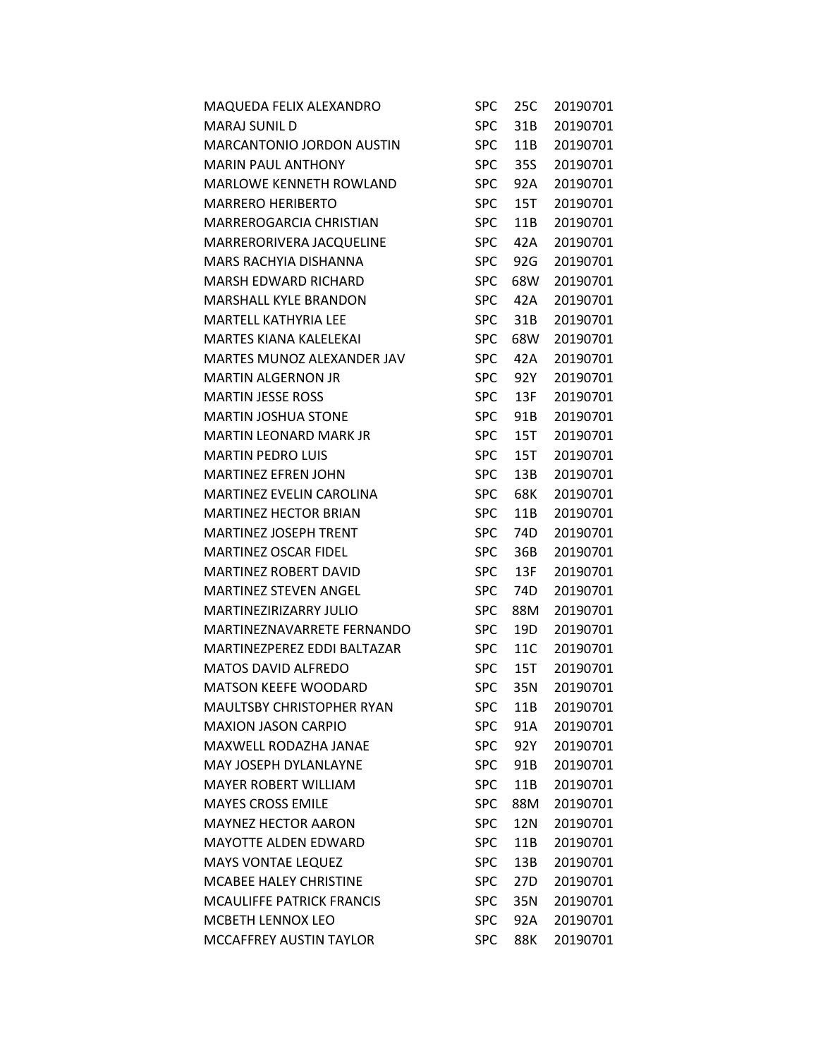| MAQUEDA FELIX ALEXANDRO          | <b>SPC</b> | 25C             | 20190701 |
|----------------------------------|------------|-----------------|----------|
| <b>MARAJ SUNIL D</b>             | <b>SPC</b> | 31B             | 20190701 |
| MARCANTONIO JORDON AUSTIN        | <b>SPC</b> | 11B             | 20190701 |
| <b>MARIN PAUL ANTHONY</b>        | <b>SPC</b> | 35S             | 20190701 |
| MARLOWE KENNETH ROWLAND          | <b>SPC</b> | 92A             | 20190701 |
| <b>MARRERO HERIBERTO</b>         | <b>SPC</b> | 15T             | 20190701 |
| <b>MARREROGARCIA CHRISTIAN</b>   | <b>SPC</b> | 11B             | 20190701 |
| MARRERORIVERA JACQUELINE         | <b>SPC</b> | 42A             | 20190701 |
| <b>MARS RACHYIA DISHANNA</b>     | <b>SPC</b> | 92G             | 20190701 |
| <b>MARSH EDWARD RICHARD</b>      | <b>SPC</b> | 68W             | 20190701 |
| <b>MARSHALL KYLE BRANDON</b>     | <b>SPC</b> | 42A             | 20190701 |
| <b>MARTELL KATHYRIA LEE</b>      | <b>SPC</b> | 31B             | 20190701 |
| <b>MARTES KIANA KALELEKAI</b>    | <b>SPC</b> | 68W             | 20190701 |
| MARTES MUNOZ ALEXANDER JAV       | <b>SPC</b> | 42A             | 20190701 |
| <b>MARTIN ALGERNON JR</b>        | <b>SPC</b> | 92Y             | 20190701 |
| <b>MARTIN JESSE ROSS</b>         | <b>SPC</b> | 13F             | 20190701 |
| <b>MARTIN JOSHUA STONE</b>       | <b>SPC</b> | 91B             | 20190701 |
| <b>MARTIN LEONARD MARK JR</b>    | <b>SPC</b> | 15T             | 20190701 |
| <b>MARTIN PEDRO LUIS</b>         | <b>SPC</b> | 15T             | 20190701 |
| <b>MARTINEZ EFREN JOHN</b>       | <b>SPC</b> | 13B             | 20190701 |
| <b>MARTINEZ EVELIN CAROLINA</b>  | <b>SPC</b> | 68K             | 20190701 |
| <b>MARTINEZ HECTOR BRIAN</b>     | <b>SPC</b> | 11B             | 20190701 |
| <b>MARTINEZ JOSEPH TRENT</b>     | <b>SPC</b> | 74D             | 20190701 |
| <b>MARTINEZ OSCAR FIDEL</b>      | <b>SPC</b> | 36B             | 20190701 |
| MARTINEZ ROBERT DAVID            | <b>SPC</b> | 13F             | 20190701 |
| <b>MARTINEZ STEVEN ANGEL</b>     | <b>SPC</b> | 74D             | 20190701 |
| <b>MARTINEZIRIZARRY JULIO</b>    | <b>SPC</b> | 88M             | 20190701 |
| MARTINEZNAVARRETE FERNANDO       | <b>SPC</b> | 19D             | 20190701 |
| MARTINEZPEREZ EDDI BALTAZAR      | <b>SPC</b> | 11C             | 20190701 |
| MATOS DAVID ALFREDO              | <b>SPC</b> | 15T             | 20190701 |
| <b>MATSON KEEFE WOODARD</b>      | <b>SPC</b> | 35N             | 20190701 |
| MAULTSBY CHRISTOPHER RYAN        | <b>SPC</b> | 11B             | 20190701 |
| <b>MAXION JASON CARPIO</b>       | <b>SPC</b> | 91A             | 20190701 |
| <b>MAXWELL RODAZHA JANAE</b>     | <b>SPC</b> | 92Y -           | 20190701 |
| MAY JOSEPH DYLANLAYNE            | <b>SPC</b> | 91B             | 20190701 |
| <b>MAYER ROBERT WILLIAM</b>      | <b>SPC</b> | 11B             | 20190701 |
| <b>MAYES CROSS EMILE</b>         | <b>SPC</b> | 88M             | 20190701 |
| <b>MAYNEZ HECTOR AARON</b>       | <b>SPC</b> | 12N             | 20190701 |
| MAYOTTE ALDEN EDWARD             | <b>SPC</b> | 11B             | 20190701 |
| <b>MAYS VONTAE LEQUEZ</b>        | <b>SPC</b> | 13B             | 20190701 |
| <b>MCABEE HALEY CHRISTINE</b>    | <b>SPC</b> | 27 <sub>D</sub> | 20190701 |
| <b>MCAULIFFE PATRICK FRANCIS</b> | <b>SPC</b> | 35N             | 20190701 |
| <b>MCBETH LENNOX LEO</b>         | <b>SPC</b> | 92A             | 20190701 |
| MCCAFFREY AUSTIN TAYLOR          | <b>SPC</b> | 88K             | 20190701 |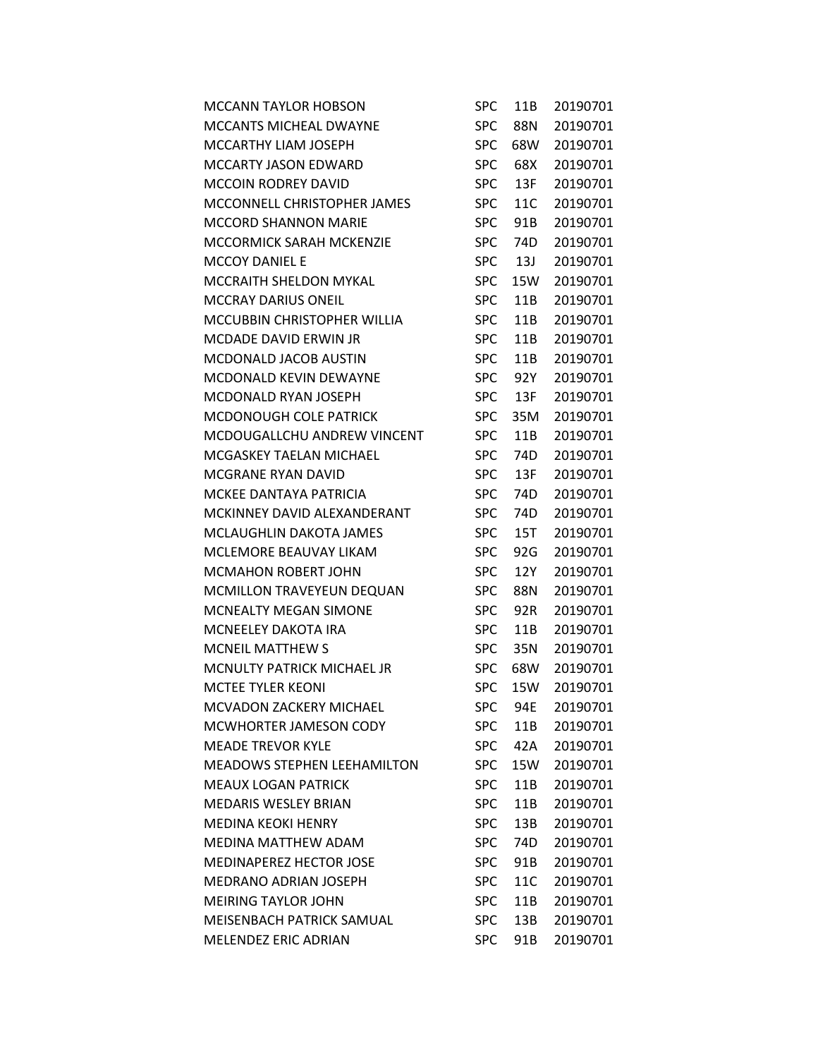| <b>MCCANN TAYLOR HOBSON</b>        | <b>SPC</b> | 11B | 20190701 |
|------------------------------------|------------|-----|----------|
| MCCANTS MICHEAL DWAYNE             | <b>SPC</b> | 88N | 20190701 |
| MCCARTHY LIAM JOSEPH               | <b>SPC</b> | 68W | 20190701 |
| MCCARTY JASON EDWARD               | <b>SPC</b> | 68X | 20190701 |
| <b>MCCOIN RODREY DAVID</b>         | <b>SPC</b> | 13F | 20190701 |
| MCCONNELL CHRISTOPHER JAMES        | <b>SPC</b> | 11C | 20190701 |
| <b>MCCORD SHANNON MARIE</b>        | <b>SPC</b> | 91B | 20190701 |
| <b>MCCORMICK SARAH MCKENZIE</b>    | <b>SPC</b> | 74D | 20190701 |
| <b>MCCOY DANIEL E</b>              | <b>SPC</b> | 13J | 20190701 |
| MCCRAITH SHELDON MYKAL             | <b>SPC</b> | 15W | 20190701 |
| <b>MCCRAY DARIUS ONEIL</b>         | <b>SPC</b> | 11B | 20190701 |
| MCCUBBIN CHRISTOPHER WILLIA        | <b>SPC</b> | 11B | 20190701 |
| <b>MCDADE DAVID ERWIN JR</b>       | <b>SPC</b> | 11B | 20190701 |
| MCDONALD JACOB AUSTIN              | <b>SPC</b> | 11B | 20190701 |
| MCDONALD KEVIN DEWAYNE             | <b>SPC</b> | 92Y | 20190701 |
| MCDONALD RYAN JOSEPH               | <b>SPC</b> | 13F | 20190701 |
| MCDONOUGH COLE PATRICK             | <b>SPC</b> | 35M | 20190701 |
| MCDOUGALLCHU ANDREW VINCENT        | <b>SPC</b> | 11B | 20190701 |
| MCGASKEY TAELAN MICHAEL            | <b>SPC</b> | 74D | 20190701 |
| MCGRANE RYAN DAVID                 | <b>SPC</b> | 13F | 20190701 |
| MCKEE DANTAYA PATRICIA             | <b>SPC</b> | 74D | 20190701 |
| MCKINNEY DAVID ALEXANDERANT        | <b>SPC</b> | 74D | 20190701 |
| MCLAUGHLIN DAKOTA JAMES            | <b>SPC</b> | 15T | 20190701 |
| MCLEMORE BEAUVAY LIKAM             | <b>SPC</b> | 92G | 20190701 |
| <b>MCMAHON ROBERT JOHN</b>         | <b>SPC</b> | 12Y | 20190701 |
| MCMILLON TRAVEYEUN DEQUAN          | <b>SPC</b> | 88N | 20190701 |
| <b>MCNEALTY MEGAN SIMONE</b>       | <b>SPC</b> | 92R | 20190701 |
| <b>MCNEELEY DAKOTA IRA</b>         | <b>SPC</b> | 11B | 20190701 |
| <b>MCNEIL MATTHEW S</b>            | <b>SPC</b> | 35N | 20190701 |
| <b>MCNULTY PATRICK MICHAEL JR</b>  | <b>SPC</b> | 68W | 20190701 |
| <b>MCTEE TYLER KEONI</b>           | <b>SPC</b> | 15W | 20190701 |
| MCVADON ZACKERY MICHAEL            | SPC        | 94E | 20190701 |
| MCWHORTER JAMESON CODY             | <b>SPC</b> | 11B | 20190701 |
| <b>MEADE TREVOR KYLE</b>           | <b>SPC</b> | 42A | 20190701 |
| <b>MEADOWS STEPHEN LEEHAMILTON</b> | <b>SPC</b> | 15W | 20190701 |
| <b>MEAUX LOGAN PATRICK</b>         | <b>SPC</b> | 11B | 20190701 |
| <b>MEDARIS WESLEY BRIAN</b>        | <b>SPC</b> | 11B | 20190701 |
| <b>MEDINA KEOKI HENRY</b>          | <b>SPC</b> | 13B | 20190701 |
| <b>MEDINA MATTHEW ADAM</b>         | <b>SPC</b> | 74D | 20190701 |
| MEDINAPEREZ HECTOR JOSE            | <b>SPC</b> | 91B | 20190701 |
| <b>MEDRANO ADRIAN JOSEPH</b>       | <b>SPC</b> | 11C | 20190701 |
| <b>MEIRING TAYLOR JOHN</b>         | <b>SPC</b> | 11B | 20190701 |
| MEISENBACH PATRICK SAMUAL          | <b>SPC</b> | 13B | 20190701 |
| MELENDEZ ERIC ADRIAN               | <b>SPC</b> | 91B | 20190701 |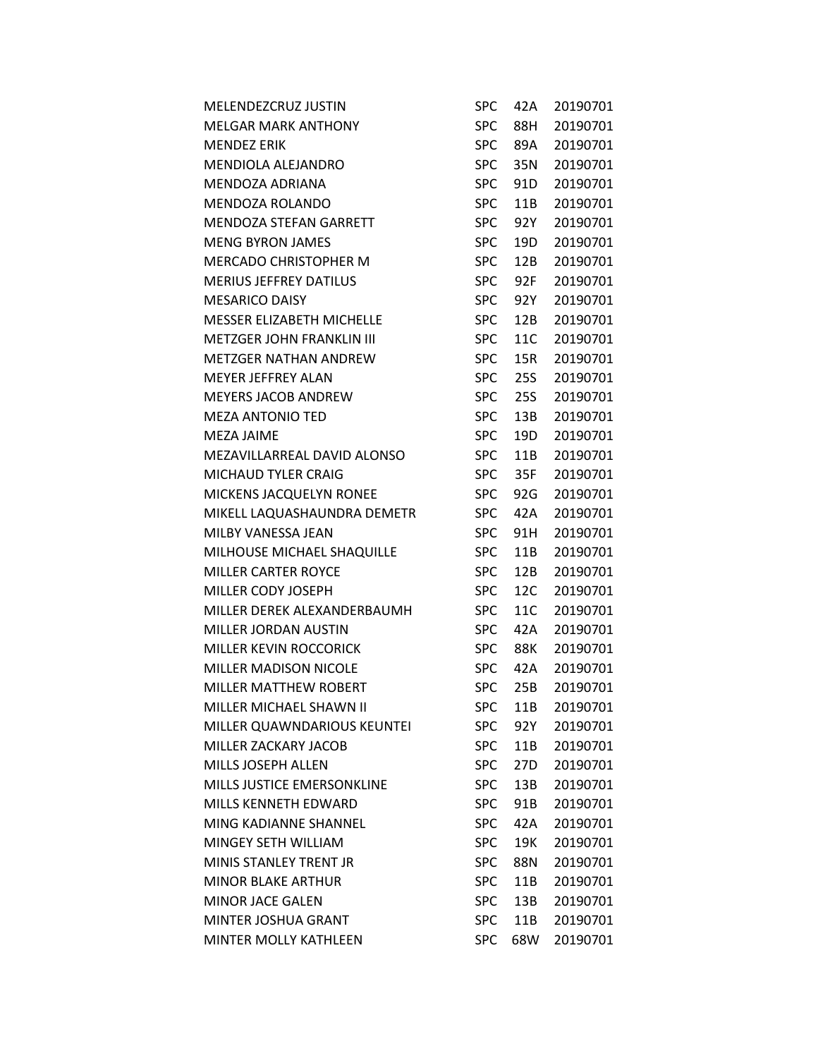| <b>SPC</b> | 42A | 20190701 |
|------------|-----|----------|
| <b>SPC</b> | 88H | 20190701 |
| <b>SPC</b> | 89A | 20190701 |
| <b>SPC</b> | 35N | 20190701 |
| <b>SPC</b> | 91D | 20190701 |
| <b>SPC</b> | 11B | 20190701 |
| <b>SPC</b> | 92Y | 20190701 |
| <b>SPC</b> | 19D | 20190701 |
| <b>SPC</b> | 12B | 20190701 |
| <b>SPC</b> | 92F | 20190701 |
| <b>SPC</b> | 92Y | 20190701 |
| <b>SPC</b> | 12B | 20190701 |
| <b>SPC</b> | 11C | 20190701 |
| <b>SPC</b> | 15R | 20190701 |
| <b>SPC</b> | 25S | 20190701 |
| <b>SPC</b> | 25S | 20190701 |
| <b>SPC</b> | 13B | 20190701 |
| <b>SPC</b> | 19D | 20190701 |
| <b>SPC</b> | 11B | 20190701 |
| <b>SPC</b> | 35F | 20190701 |
| <b>SPC</b> | 92G | 20190701 |
| <b>SPC</b> | 42A | 20190701 |
| <b>SPC</b> | 91H | 20190701 |
| <b>SPC</b> | 11B | 20190701 |
| <b>SPC</b> | 12B | 20190701 |
| <b>SPC</b> | 12C | 20190701 |
| <b>SPC</b> | 11C | 20190701 |
| <b>SPC</b> | 42A | 20190701 |
| <b>SPC</b> | 88K | 20190701 |
| <b>SPC</b> | 42A | 20190701 |
| <b>SPC</b> | 25B | 20190701 |
| <b>SPC</b> | 11B | 20190701 |
| <b>SPC</b> | 92Y | 20190701 |
| <b>SPC</b> | 11B | 20190701 |
| <b>SPC</b> | 27D | 20190701 |
| <b>SPC</b> | 13B | 20190701 |
| <b>SPC</b> | 91B | 20190701 |
| <b>SPC</b> | 42A | 20190701 |
| <b>SPC</b> | 19K | 20190701 |
| <b>SPC</b> | 88N | 20190701 |
| <b>SPC</b> | 11B | 20190701 |
| <b>SPC</b> | 13B | 20190701 |
| <b>SPC</b> | 11B | 20190701 |
| <b>SPC</b> | 68W | 20190701 |
|            |     |          |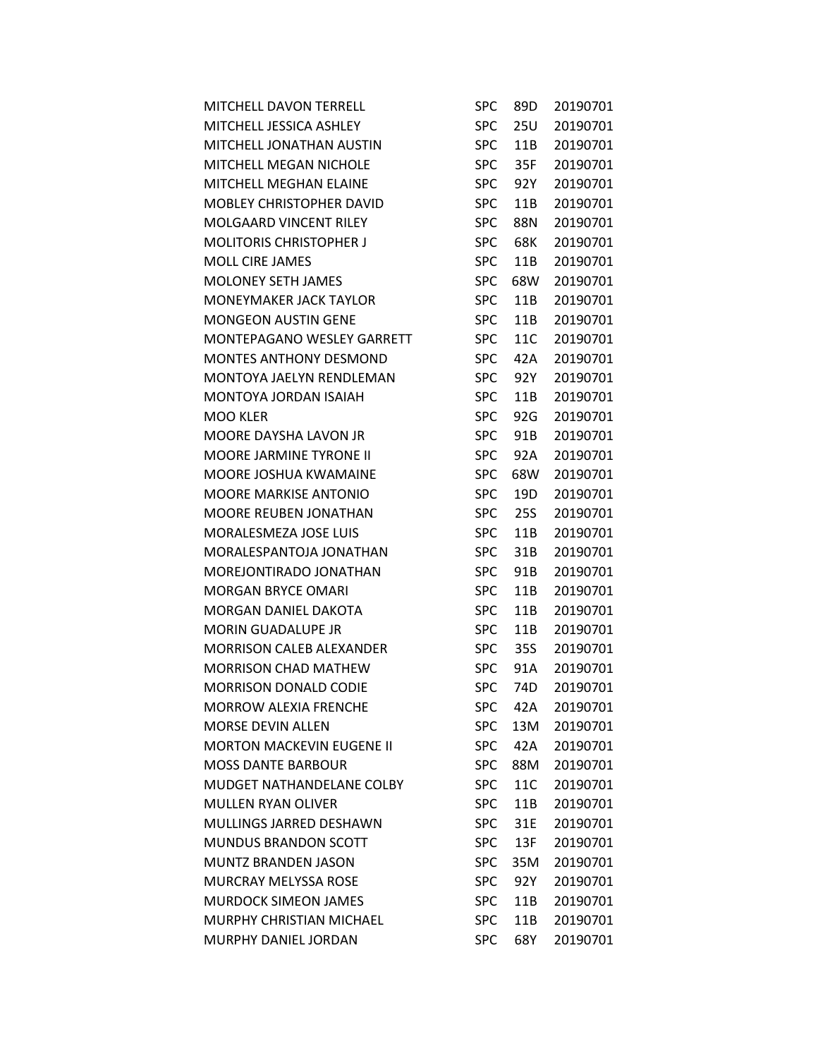| MITCHELL DAVON TERRELL            | <b>SPC</b> | 89D | 20190701 |
|-----------------------------------|------------|-----|----------|
| MITCHELL JESSICA ASHLEY           | <b>SPC</b> | 25U | 20190701 |
| MITCHELL JONATHAN AUSTIN          | <b>SPC</b> | 11B | 20190701 |
| MITCHELL MEGAN NICHOLE            | <b>SPC</b> | 35F | 20190701 |
| MITCHELL MEGHAN ELAINE            | <b>SPC</b> | 92Y | 20190701 |
| MOBLEY CHRISTOPHER DAVID          | <b>SPC</b> | 11B | 20190701 |
| <b>MOLGAARD VINCENT RILEY</b>     | <b>SPC</b> | 88N | 20190701 |
| <b>MOLITORIS CHRISTOPHER J</b>    | <b>SPC</b> | 68K | 20190701 |
| <b>MOLL CIRE JAMES</b>            | <b>SPC</b> | 11B | 20190701 |
| <b>MOLONEY SETH JAMES</b>         | <b>SPC</b> | 68W | 20190701 |
| MONEYMAKER JACK TAYLOR            | <b>SPC</b> | 11B | 20190701 |
| <b>MONGEON AUSTIN GENE</b>        | <b>SPC</b> | 11B | 20190701 |
| <b>MONTEPAGANO WESLEY GARRETT</b> | <b>SPC</b> | 11C | 20190701 |
| <b>MONTES ANTHONY DESMOND</b>     | <b>SPC</b> | 42A | 20190701 |
| MONTOYA JAELYN RENDLEMAN          | <b>SPC</b> | 92Y | 20190701 |
| MONTOYA JORDAN ISAIAH             | <b>SPC</b> | 11B | 20190701 |
| MOO KLER                          | <b>SPC</b> | 92G | 20190701 |
| MOORE DAYSHA LAVON JR             | <b>SPC</b> | 91B | 20190701 |
| MOORE JARMINE TYRONE II           | <b>SPC</b> | 92A | 20190701 |
| MOORE JOSHUA KWAMAINE             | <b>SPC</b> | 68W | 20190701 |
| <b>MOORE MARKISE ANTONIO</b>      | <b>SPC</b> | 19D | 20190701 |
| MOORE REUBEN JONATHAN             | <b>SPC</b> | 25S | 20190701 |
| MORALESMEZA JOSE LUIS             | <b>SPC</b> | 11B | 20190701 |
| MORALESPANTOJA JONATHAN           | <b>SPC</b> | 31B | 20190701 |
| MOREJONTIRADO JONATHAN            | <b>SPC</b> | 91B | 20190701 |
| <b>MORGAN BRYCE OMARI</b>         | <b>SPC</b> | 11B | 20190701 |
| MORGAN DANIEL DAKOTA              | <b>SPC</b> | 11B | 20190701 |
| MORIN GUADALUPE JR                | <b>SPC</b> | 11B | 20190701 |
| <b>MORRISON CALEB ALEXANDER</b>   | <b>SPC</b> | 35S | 20190701 |
| <b>MORRISON CHAD MATHEW</b>       | <b>SPC</b> | 91A | 20190701 |
| <b>MORRISON DONALD CODIE</b>      | <b>SPC</b> | 74D | 20190701 |
| <b>MORROW ALEXIA FRENCHE</b>      | SPC        | 42A | 20190701 |
| <b>MORSE DEVIN ALLEN</b>          | <b>SPC</b> | 13M | 20190701 |
| <b>MORTON MACKEVIN EUGENE II</b>  | <b>SPC</b> | 42A | 20190701 |
| <b>MOSS DANTE BARBOUR</b>         | <b>SPC</b> | 88M | 20190701 |
| MUDGET NATHANDELANE COLBY         | <b>SPC</b> | 11C | 20190701 |
| <b>MULLEN RYAN OLIVER</b>         | <b>SPC</b> | 11B | 20190701 |
| MULLINGS JARRED DESHAWN           | <b>SPC</b> | 31E | 20190701 |
| <b>MUNDUS BRANDON SCOTT</b>       | <b>SPC</b> | 13F | 20190701 |
| MUNTZ BRANDEN JASON               | <b>SPC</b> | 35M | 20190701 |
| <b>MURCRAY MELYSSA ROSE</b>       | <b>SPC</b> | 92Y | 20190701 |
| <b>MURDOCK SIMEON JAMES</b>       | <b>SPC</b> | 11B | 20190701 |
| MURPHY CHRISTIAN MICHAEL          | <b>SPC</b> | 11B | 20190701 |
| MURPHY DANIEL JORDAN              | <b>SPC</b> | 68Y | 20190701 |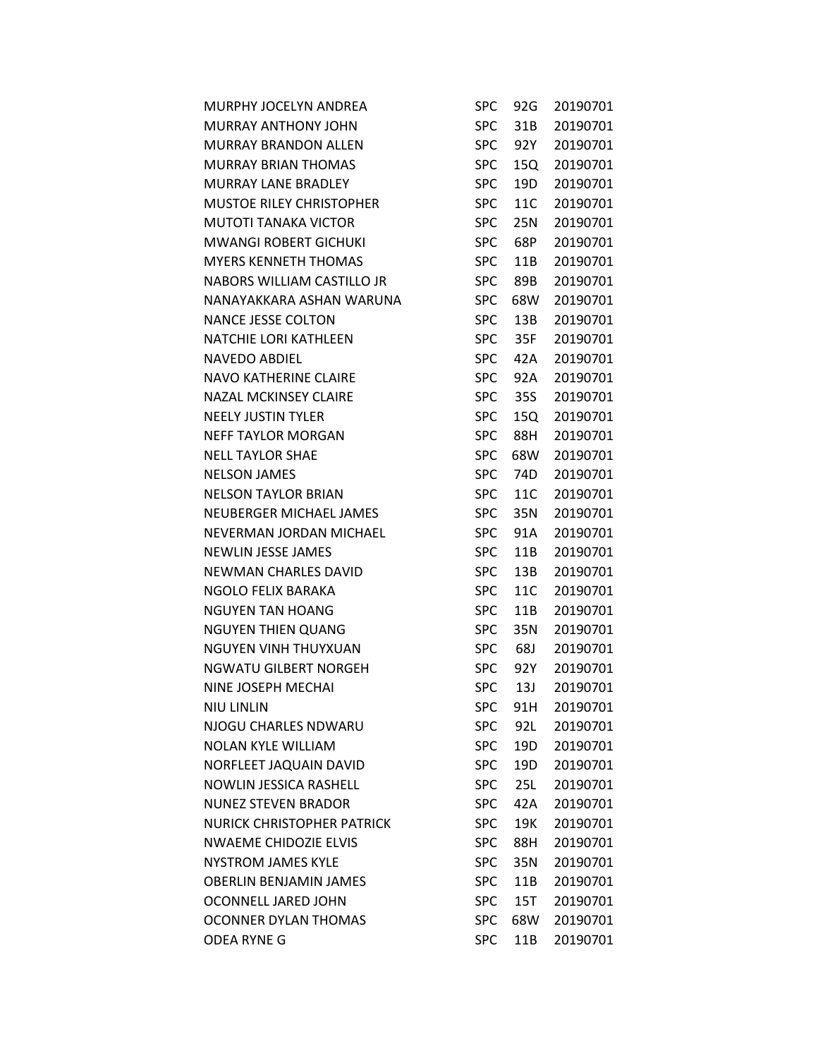| MURPHY JOCELYN ANDREA             | <b>SPC</b> | 92G | 20190701 |
|-----------------------------------|------------|-----|----------|
| <b>MURRAY ANTHONY JOHN</b>        | <b>SPC</b> | 31B | 20190701 |
| <b>MURRAY BRANDON ALLEN</b>       | <b>SPC</b> | 92Y | 20190701 |
| <b>MURRAY BRIAN THOMAS</b>        | <b>SPC</b> | 15Q | 20190701 |
| <b>MURRAY LANE BRADLEY</b>        | <b>SPC</b> | 19D | 20190701 |
| <b>MUSTOE RILEY CHRISTOPHER</b>   | <b>SPC</b> | 11C | 20190701 |
| <b>MUTOTI TANAKA VICTOR</b>       | <b>SPC</b> | 25N | 20190701 |
| <b>MWANGI ROBERT GICHUKI</b>      | <b>SPC</b> | 68P | 20190701 |
| <b>MYERS KENNETH THOMAS</b>       | <b>SPC</b> | 11B | 20190701 |
| NABORS WILLIAM CASTILLO JR        | <b>SPC</b> | 89B | 20190701 |
| NANAYAKKARA ASHAN WARUNA          | <b>SPC</b> | 68W | 20190701 |
| <b>NANCE JESSE COLTON</b>         | <b>SPC</b> | 13B | 20190701 |
| <b>NATCHIE LORI KATHLEEN</b>      | <b>SPC</b> | 35F | 20190701 |
| <b>NAVEDO ABDIEL</b>              | <b>SPC</b> | 42A | 20190701 |
| <b>NAVO KATHERINE CLAIRE</b>      | <b>SPC</b> | 92A | 20190701 |
| <b>NAZAL MCKINSEY CLAIRE</b>      | <b>SPC</b> | 35S | 20190701 |
| <b>NEELY JUSTIN TYLER</b>         | <b>SPC</b> | 15Q | 20190701 |
| <b>NEFF TAYLOR MORGAN</b>         | <b>SPC</b> | 88H | 20190701 |
| <b>NELL TAYLOR SHAE</b>           | <b>SPC</b> | 68W | 20190701 |
| <b>NELSON JAMES</b>               | <b>SPC</b> | 74D | 20190701 |
| <b>NELSON TAYLOR BRIAN</b>        | <b>SPC</b> | 11C | 20190701 |
| NEUBERGER MICHAEL JAMES           | <b>SPC</b> | 35N | 20190701 |
| NEVERMAN JORDAN MICHAEL           | <b>SPC</b> | 91A | 20190701 |
| <b>NEWLIN JESSE JAMES</b>         | <b>SPC</b> | 11B | 20190701 |
| <b>NEWMAN CHARLES DAVID</b>       | <b>SPC</b> | 13B | 20190701 |
| NGOLO FELIX BARAKA                | <b>SPC</b> | 11C | 20190701 |
| <b>NGUYEN TAN HOANG</b>           | <b>SPC</b> | 11B | 20190701 |
| <b>NGUYEN THIEN QUANG</b>         | <b>SPC</b> | 35N | 20190701 |
| NGUYEN VINH THUYXUAN              | <b>SPC</b> | 68J | 20190701 |
| NGWATU GILBERT NORGEH             | <b>SPC</b> | 92Y | 20190701 |
| NINE JOSEPH MECHAI                | <b>SPC</b> | 13J | 20190701 |
| <b>NIU LINLIN</b>                 | <b>SPC</b> | 91H | 20190701 |
| NJOGU CHARLES NDWARU              | <b>SPC</b> | 92L | 20190701 |
| <b>NOLAN KYLE WILLIAM</b>         | <b>SPC</b> | 19D | 20190701 |
| NORFLEET JAQUAIN DAVID            | <b>SPC</b> | 19D | 20190701 |
| <b>NOWLIN JESSICA RASHELL</b>     | <b>SPC</b> | 25L | 20190701 |
| <b>NUNEZ STEVEN BRADOR</b>        | <b>SPC</b> | 42A | 20190701 |
| <b>NURICK CHRISTOPHER PATRICK</b> | <b>SPC</b> | 19K | 20190701 |
| <b>NWAEME CHIDOZIE ELVIS</b>      | <b>SPC</b> | 88H | 20190701 |
| <b>NYSTROM JAMES KYLE</b>         | <b>SPC</b> | 35N | 20190701 |
| <b>OBERLIN BENJAMIN JAMES</b>     | <b>SPC</b> | 11B | 20190701 |
| OCONNELL JARED JOHN               | <b>SPC</b> | 15T | 20190701 |
| <b>OCONNER DYLAN THOMAS</b>       | <b>SPC</b> | 68W | 20190701 |
| <b>ODEA RYNE G</b>                | <b>SPC</b> | 11B | 20190701 |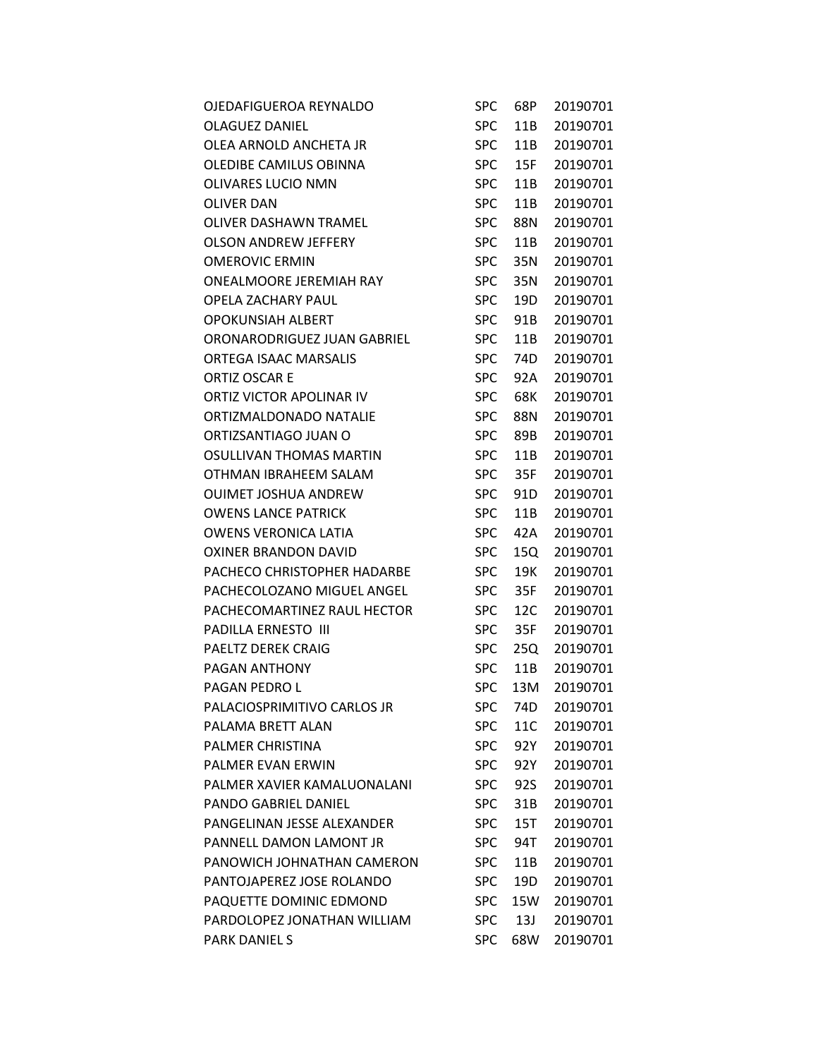| OJEDAFIGUEROA REYNALDO       | <b>SPC</b> | 68P | 20190701 |
|------------------------------|------------|-----|----------|
| <b>OLAGUEZ DANIEL</b>        | <b>SPC</b> | 11B | 20190701 |
| OLEA ARNOLD ANCHETA JR       | <b>SPC</b> | 11B | 20190701 |
| OLEDIBE CAMILUS OBINNA       | <b>SPC</b> | 15F | 20190701 |
| OLIVARES LUCIO NMN           | <b>SPC</b> | 11B | 20190701 |
| OLIVER DAN                   | <b>SPC</b> | 11B | 20190701 |
| OLIVER DASHAWN TRAMEL        | <b>SPC</b> | 88N | 20190701 |
| <b>OLSON ANDREW JEFFERY</b>  | <b>SPC</b> | 11B | 20190701 |
| <b>OMEROVIC ERMIN</b>        | <b>SPC</b> | 35N | 20190701 |
| ONEALMOORE JEREMIAH RAY      | <b>SPC</b> | 35N | 20190701 |
| OPELA ZACHARY PAUL           | <b>SPC</b> | 19D | 20190701 |
| <b>OPOKUNSIAH ALBERT</b>     | <b>SPC</b> | 91B | 20190701 |
| ORONARODRIGUEZ JUAN GABRIEL  | <b>SPC</b> | 11B | 20190701 |
| <b>ORTEGA ISAAC MARSALIS</b> | <b>SPC</b> | 74D | 20190701 |
| ORTIZ OSCAR E                | <b>SPC</b> | 92A | 20190701 |
| ORTIZ VICTOR APOLINAR IV     | <b>SPC</b> | 68K | 20190701 |
| ORTIZMALDONADO NATALIE       | <b>SPC</b> | 88N | 20190701 |
| ORTIZSANTIAGO JUAN O         | <b>SPC</b> | 89B | 20190701 |
| OSULLIVAN THOMAS MARTIN      | <b>SPC</b> | 11B | 20190701 |
| OTHMAN IBRAHEEM SALAM        | <b>SPC</b> | 35F | 20190701 |
| <b>OUIMET JOSHUA ANDREW</b>  | <b>SPC</b> | 91D | 20190701 |
| <b>OWENS LANCE PATRICK</b>   | <b>SPC</b> | 11B | 20190701 |
| <b>OWENS VERONICA LATIA</b>  | <b>SPC</b> | 42A | 20190701 |
| <b>OXINER BRANDON DAVID</b>  | <b>SPC</b> | 15Q | 20190701 |
| PACHECO CHRISTOPHER HADARBE  | <b>SPC</b> | 19K | 20190701 |
| PACHECOLOZANO MIGUEL ANGEL   | <b>SPC</b> | 35F | 20190701 |
| PACHECOMARTINEZ RAUL HECTOR  | <b>SPC</b> | 12C | 20190701 |
| <b>PADILLA ERNESTO III</b>   | <b>SPC</b> | 35F | 20190701 |
| <b>PAELTZ DEREK CRAIG</b>    | <b>SPC</b> | 25Q | 20190701 |
| PAGAN ANTHONY                | <b>SPC</b> | 11B | 20190701 |
| PAGAN PEDRO L                | <b>SPC</b> | 13M | 20190701 |
| PALACIOSPRIMITIVO CARLOS JR  | <b>SPC</b> | 74D | 20190701 |
| PALAMA BRETT ALAN            | <b>SPC</b> | 11C | 20190701 |
| PALMER CHRISTINA             | <b>SPC</b> | 92Y | 20190701 |
| <b>PALMER EVAN ERWIN</b>     | <b>SPC</b> | 92Y | 20190701 |
| PALMER XAVIER KAMALUONALANI  | <b>SPC</b> | 92S | 20190701 |
| PANDO GABRIEL DANIEL         | <b>SPC</b> | 31B | 20190701 |
| PANGELINAN JESSE ALEXANDER   | <b>SPC</b> | 15T | 20190701 |
| PANNELL DAMON LAMONT JR      | <b>SPC</b> | 94T | 20190701 |
| PANOWICH JOHNATHAN CAMERON   | <b>SPC</b> | 11B | 20190701 |
| PANTOJAPEREZ JOSE ROLANDO    | <b>SPC</b> | 19D | 20190701 |
| PAQUETTE DOMINIC EDMOND      | <b>SPC</b> | 15W | 20190701 |
| PARDOLOPEZ JONATHAN WILLIAM  | <b>SPC</b> | 13J | 20190701 |
| <b>PARK DANIEL S</b>         | <b>SPC</b> | 68W | 20190701 |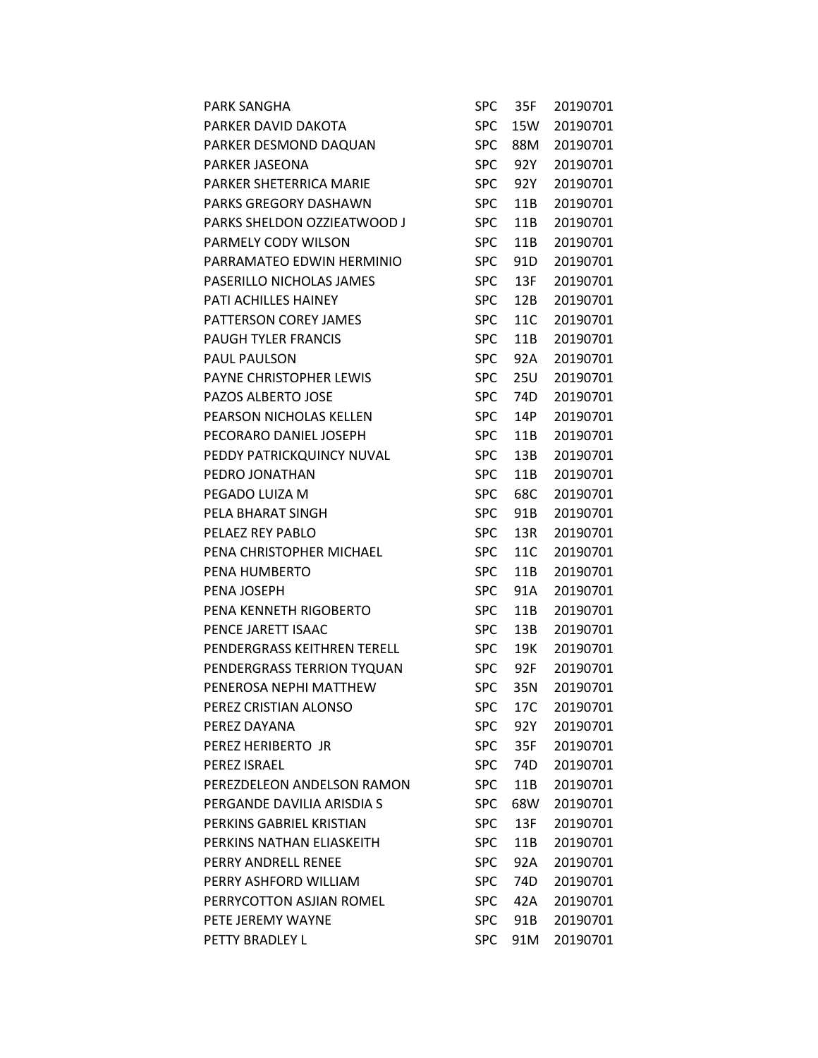| <b>PARK SANGHA</b>             | SPC        | 35F             | 20190701 |
|--------------------------------|------------|-----------------|----------|
| PARKER DAVID DAKOTA            | <b>SPC</b> | 15W             | 20190701 |
| PARKER DESMOND DAQUAN          | <b>SPC</b> | 88M             | 20190701 |
| PARKER JASEONA                 | <b>SPC</b> | 92Y             | 20190701 |
| <b>PARKER SHETERRICA MARIE</b> | <b>SPC</b> | 92Y             | 20190701 |
| PARKS GREGORY DASHAWN          | <b>SPC</b> | 11B             | 20190701 |
| PARKS SHELDON OZZIEATWOOD J    | <b>SPC</b> | 11B             | 20190701 |
| PARMELY CODY WILSON            | <b>SPC</b> | 11B             | 20190701 |
| PARRAMATEO EDWIN HERMINIO      | <b>SPC</b> | 91 <sub>D</sub> | 20190701 |
| PASERILLO NICHOLAS JAMES       | <b>SPC</b> | 13F             | 20190701 |
| PATI ACHILLES HAINEY           | <b>SPC</b> | 12B             | 20190701 |
| PATTERSON COREY JAMES          | <b>SPC</b> | 11C             | 20190701 |
| <b>PAUGH TYLER FRANCIS</b>     | <b>SPC</b> | 11B             | 20190701 |
| PAUL PAULSON                   | <b>SPC</b> | 92A             | 20190701 |
| PAYNE CHRISTOPHER LEWIS        | <b>SPC</b> | 25U             | 20190701 |
| <b>PAZOS ALBERTO JOSE</b>      | <b>SPC</b> | 74D             | 20190701 |
| PEARSON NICHOLAS KELLEN        | <b>SPC</b> | 14P             | 20190701 |
| PECORARO DANIEL JOSEPH         | <b>SPC</b> | 11B             | 20190701 |
| PEDDY PATRICKQUINCY NUVAL      | <b>SPC</b> | 13B             | 20190701 |
| PEDRO JONATHAN                 | <b>SPC</b> | 11B             | 20190701 |
| PEGADO LUIZA M                 | <b>SPC</b> | 68C             | 20190701 |
| PELA BHARAT SINGH              | <b>SPC</b> | 91B             | 20190701 |
| PELAEZ REY PABLO               | <b>SPC</b> | 13R             | 20190701 |
| PENA CHRISTOPHER MICHAEL       | <b>SPC</b> | 11C             | 20190701 |
| PENA HUMBERTO                  | <b>SPC</b> | 11B             | 20190701 |
| PENA JOSEPH                    | <b>SPC</b> | 91A             | 20190701 |
| PENA KENNETH RIGOBERTO         | <b>SPC</b> | 11B             | 20190701 |
| PENCE JARETT ISAAC             | <b>SPC</b> | 13B             | 20190701 |
| PENDERGRASS KEITHREN TERELL    | <b>SPC</b> | 19K             | 20190701 |
| PENDERGRASS TERRION TYQUAN     | <b>SPC</b> | 92F             | 20190701 |
| PENEROSA NEPHI MATTHEW         | <b>SPC</b> | 35N             | 20190701 |
| PEREZ CRISTIAN ALONSO          | <b>SPC</b> | 17C             | 20190701 |
| PEREZ DAYANA                   | <b>SPC</b> | 92Y             | 20190701 |
| PEREZ HERIBERTO JR             | SPC        | 35F             | 20190701 |
| PEREZ ISRAEL                   | <b>SPC</b> | 74D             | 20190701 |
| PEREZDELEON ANDELSON RAMON     | <b>SPC</b> | 11B             | 20190701 |
| PERGANDE DAVILIA ARISDIA S     | <b>SPC</b> | 68W             | 20190701 |
| PERKINS GABRIEL KRISTIAN       | <b>SPC</b> | 13F             | 20190701 |
| PERKINS NATHAN FLIASKEITH      | <b>SPC</b> | 11B             | 20190701 |
| PERRY ANDRELL RENEE            | <b>SPC</b> | 92A             | 20190701 |
| PERRY ASHFORD WILLIAM          | <b>SPC</b> | 74D             | 20190701 |
| PERRYCOTTON ASJIAN ROMEL       | <b>SPC</b> | 42A             | 20190701 |
| PETE JEREMY WAYNE              | <b>SPC</b> | 91B             | 20190701 |
| PETTY BRADLEY L                | <b>SPC</b> | 91M             | 20190701 |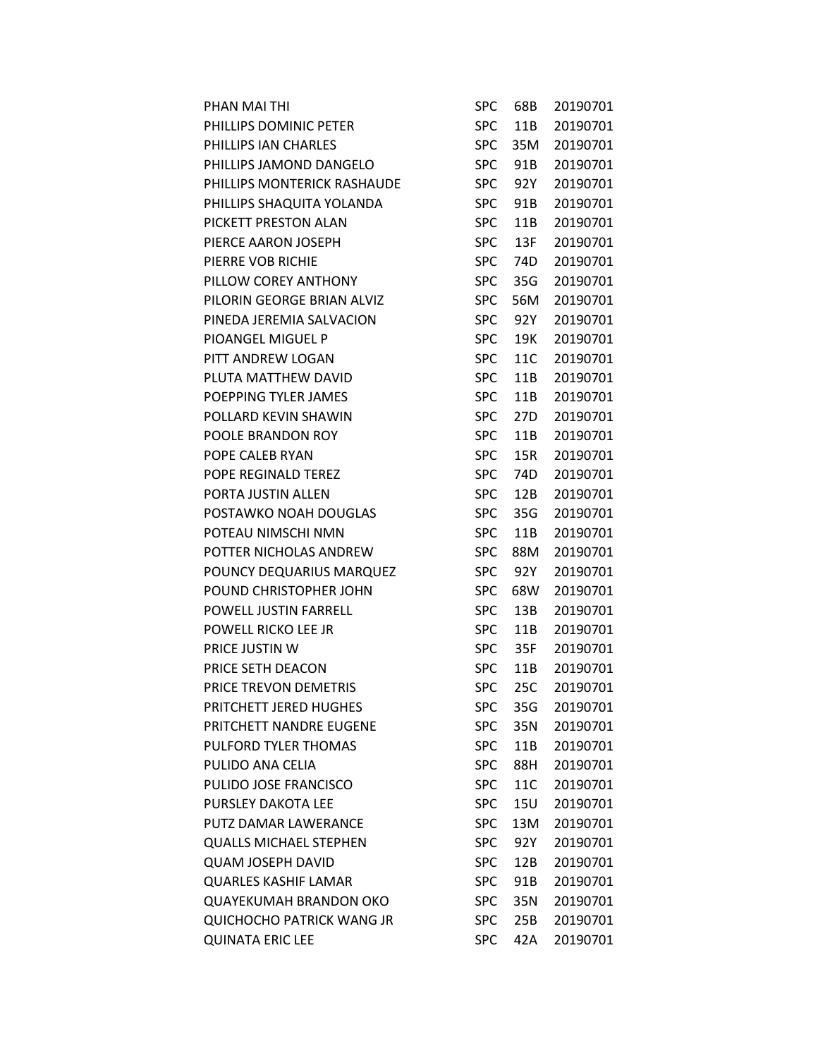| PHAN MAI THI                     | SPC        | 68B | 20190701 |
|----------------------------------|------------|-----|----------|
| PHILLIPS DOMINIC PETER           | <b>SPC</b> | 11B | 20190701 |
| PHILLIPS IAN CHARLES             | <b>SPC</b> | 35M | 20190701 |
| PHILLIPS JAMOND DANGELO          | <b>SPC</b> | 91B | 20190701 |
| PHILLIPS MONTERICK RASHAUDE      | <b>SPC</b> | 92Y | 20190701 |
| PHILLIPS SHAQUITA YOLANDA        | <b>SPC</b> | 91B | 20190701 |
| PICKETT PRESTON ALAN             | <b>SPC</b> | 11B | 20190701 |
| PIERCE AARON JOSEPH              | <b>SPC</b> | 13F | 20190701 |
| PIERRE VOB RICHIE                | <b>SPC</b> | 74D | 20190701 |
| PILLOW COREY ANTHONY             | <b>SPC</b> | 35G | 20190701 |
| PILORIN GEORGE BRIAN ALVIZ       | <b>SPC</b> | 56M | 20190701 |
| PINEDA JEREMIA SALVACION         | <b>SPC</b> | 92Y | 20190701 |
| PIOANGEL MIGUEL P                | <b>SPC</b> | 19K | 20190701 |
| PITT ANDREW LOGAN                | <b>SPC</b> | 11C | 20190701 |
| PLUTA MATTHEW DAVID              | <b>SPC</b> | 11B | 20190701 |
| POEPPING TYLER JAMES             | <b>SPC</b> | 11B | 20190701 |
| POLLARD KEVIN SHAWIN             | <b>SPC</b> | 27D | 20190701 |
| POOLE BRANDON ROY                | <b>SPC</b> | 11B | 20190701 |
| POPE CALEB RYAN                  | <b>SPC</b> | 15R | 20190701 |
| POPE REGINALD TEREZ              | <b>SPC</b> | 74D | 20190701 |
| PORTA JUSTIN ALLEN               | <b>SPC</b> | 12B | 20190701 |
| POSTAWKO NOAH DOUGLAS            | <b>SPC</b> | 35G | 20190701 |
| POTEAU NIMSCHI NMN               | <b>SPC</b> | 11B | 20190701 |
| POTTER NICHOLAS ANDREW           | <b>SPC</b> | 88M | 20190701 |
| POUNCY DEQUARIUS MARQUEZ         | <b>SPC</b> | 92Y | 20190701 |
| POUND CHRISTOPHER JOHN           | <b>SPC</b> | 68W | 20190701 |
| POWELL JUSTIN FARRELL            | <b>SPC</b> | 13B | 20190701 |
| POWELL RICKO LEE JR              | <b>SPC</b> | 11B | 20190701 |
| PRICE JUSTIN W                   | <b>SPC</b> | 35F | 20190701 |
| PRICE SETH DEACON                | <b>SPC</b> | 11B | 20190701 |
| PRICE TREVON DEMETRIS            | <b>SPC</b> | 25C | 20190701 |
| PRITCHETT JERED HUGHES           | <b>SPC</b> | 35G | 20190701 |
| PRITCHETT NANDRE EUGENE          | <b>SPC</b> | 35N | 20190701 |
| PULFORD TYLER THOMAS             | <b>SPC</b> | 11B | 20190701 |
| PULIDO ANA CELIA                 | <b>SPC</b> | 88H | 20190701 |
| PULIDO JOSE FRANCISCO            | <b>SPC</b> | 11C | 20190701 |
| <b>PURSLEY DAKOTA LEE</b>        | <b>SPC</b> | 15U | 20190701 |
| PUTZ DAMAR LAWERANCE             | <b>SPC</b> | 13M | 20190701 |
| <b>QUALLS MICHAEL STEPHEN</b>    | <b>SPC</b> | 92Y | 20190701 |
| <b>QUAM JOSEPH DAVID</b>         | <b>SPC</b> | 12B | 20190701 |
| <b>QUARLES KASHIF LAMAR</b>      | <b>SPC</b> | 91B | 20190701 |
| <b>QUAYEKUMAH BRANDON OKO</b>    | <b>SPC</b> | 35N | 20190701 |
| <b>QUICHOCHO PATRICK WANG JR</b> | <b>SPC</b> | 25B | 20190701 |
| <b>QUINATA ERIC LEE</b>          | <b>SPC</b> | 42A | 20190701 |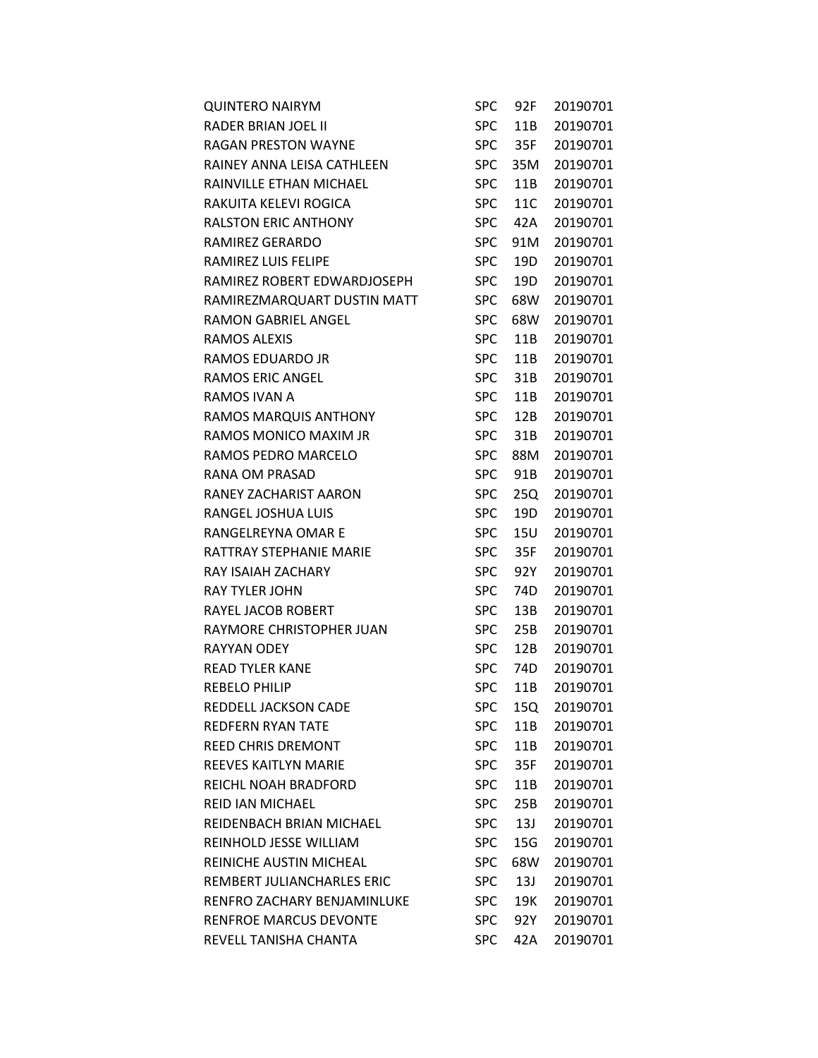| <b>QUINTERO NAIRYM</b>         |            | SPC 92F | 20190701 |
|--------------------------------|------------|---------|----------|
| RADER BRIAN JOEL II            | <b>SPC</b> | 11B     | 20190701 |
| RAGAN PRESTON WAYNE            | <b>SPC</b> | 35F     | 20190701 |
| RAINEY ANNA LEISA CATHLEEN     | <b>SPC</b> | 35M     | 20190701 |
| RAINVILLE ETHAN MICHAEL        | <b>SPC</b> | 11B     | 20190701 |
| RAKUITA KELEVI ROGICA          | <b>SPC</b> | 11C     | 20190701 |
| <b>RALSTON ERIC ANTHONY</b>    | <b>SPC</b> | 42A     | 20190701 |
| RAMIREZ GERARDO                | <b>SPC</b> | 91M     | 20190701 |
| RAMIREZ LUIS FELIPE            | <b>SPC</b> | 19D     | 20190701 |
| RAMIREZ ROBERT EDWARDJOSEPH    | <b>SPC</b> | 19D     | 20190701 |
| RAMIREZMARQUART DUSTIN MATT    | <b>SPC</b> | 68W     | 20190701 |
| <b>RAMON GABRIEL ANGEL</b>     | <b>SPC</b> | 68W     | 20190701 |
| RAMOS ALEXIS                   | <b>SPC</b> | 11B     | 20190701 |
| RAMOS EDUARDO JR               | <b>SPC</b> | 11B     | 20190701 |
| <b>RAMOS ERIC ANGEL</b>        | <b>SPC</b> | 31B     | 20190701 |
| RAMOS IVAN A                   | <b>SPC</b> | 11B     | 20190701 |
| RAMOS MARQUIS ANTHONY          | <b>SPC</b> | 12B     | 20190701 |
| RAMOS MONICO MAXIM JR          | <b>SPC</b> | 31B     | 20190701 |
| RAMOS PEDRO MARCELO            | <b>SPC</b> | 88M     | 20190701 |
| RANA OM PRASAD                 | <b>SPC</b> | 91B     | 20190701 |
| RANEY ZACHARIST AARON          | <b>SPC</b> | 25Q     | 20190701 |
| RANGEL JOSHUA LUIS             | <b>SPC</b> | 19D     | 20190701 |
| RANGELREYNA OMAR E             | <b>SPC</b> | 15U     | 20190701 |
| RATTRAY STEPHANIE MARIE        | <b>SPC</b> | 35F     | 20190701 |
| RAY ISAIAH ZACHARY             | <b>SPC</b> | 92Y     | 20190701 |
| <b>RAY TYLER JOHN</b>          | <b>SPC</b> | 74D     | 20190701 |
| RAYEL JACOB ROBERT             | <b>SPC</b> | 13B     | 20190701 |
| RAYMORE CHRISTOPHER JUAN       | <b>SPC</b> | 25B     | 20190701 |
| <b>RAYYAN ODEY</b>             | <b>SPC</b> | 12B     | 20190701 |
| <b>READ TYLER KANE</b>         |            | SPC 74D | 20190701 |
| <b>REBELO PHILIP</b>           | <b>SPC</b> | 11B     | 20190701 |
| REDDELL JACKSON CADE           | <b>SPC</b> | 15Q     | 20190701 |
| <b>REDFERN RYAN TATE</b>       | <b>SPC</b> | 11B     | 20190701 |
| <b>REED CHRIS DREMONT</b>      | <b>SPC</b> | 11B     | 20190701 |
| REEVES KAITLYN MARIE           | SPC.       | 35F     | 20190701 |
| REICHL NOAH BRADFORD           | SPC.       | 11B     | 20190701 |
| <b>REID IAN MICHAEL</b>        | <b>SPC</b> | 25B     | 20190701 |
| REIDENBACH BRIAN MICHAEL       | <b>SPC</b> | 13J     | 20190701 |
| REINHOLD JESSE WILLIAM         | SPC.       | 15G     | 20190701 |
| <b>REINICHE AUSTIN MICHEAL</b> | SPC        | 68W     | 20190701 |
| REMBERT JULIANCHARLES ERIC     | SPC        | 13J     | 20190701 |
| RENFRO ZACHARY BENJAMINLUKE    | <b>SPC</b> | 19K     | 20190701 |
| <b>RENFROE MARCUS DEVONTE</b>  | <b>SPC</b> | 92Y     | 20190701 |
| REVELL TANISHA CHANTA          | <b>SPC</b> | 42A     | 20190701 |
|                                |            |         |          |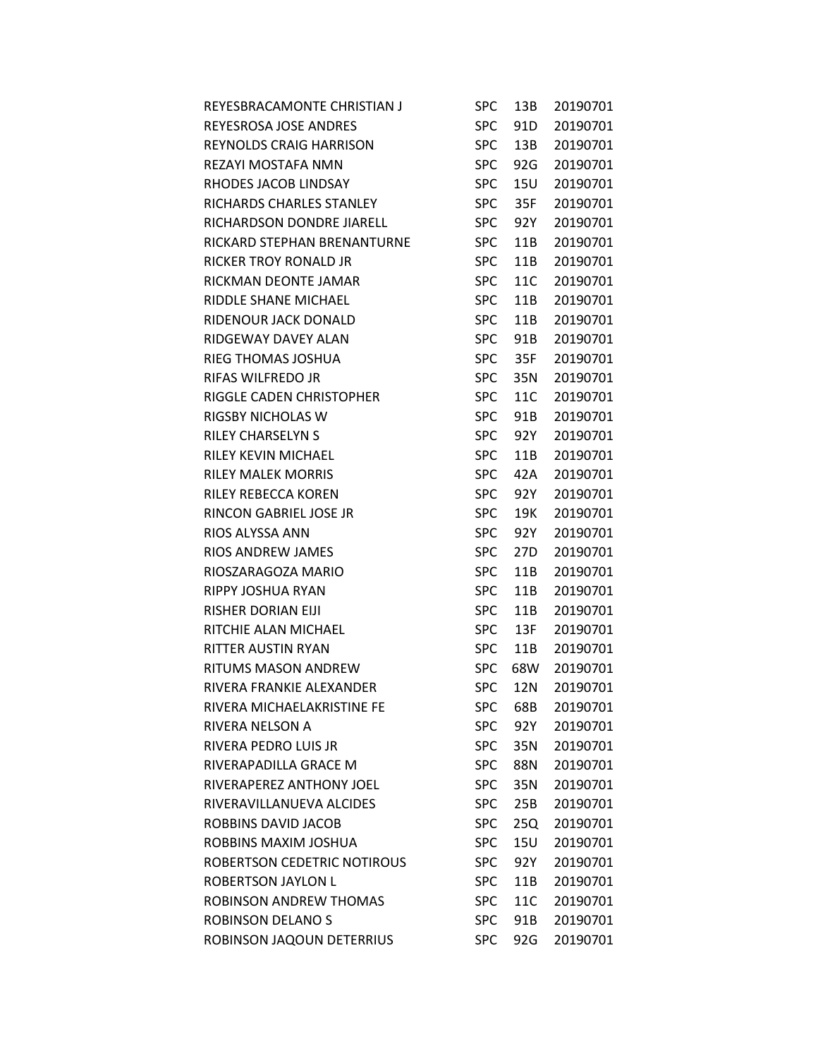| REYESBRACAMONTE CHRISTIAN J    | <b>SPC</b> | 13B             | 20190701 |
|--------------------------------|------------|-----------------|----------|
| <b>REYESROSA JOSE ANDRES</b>   | <b>SPC</b> | 91D             | 20190701 |
| <b>REYNOLDS CRAIG HARRISON</b> | <b>SPC</b> | 13B             | 20190701 |
| REZAYI MOSTAFA NMN             | <b>SPC</b> | 92G             | 20190701 |
| RHODES JACOB LINDSAY           | <b>SPC</b> | 15U             | 20190701 |
| RICHARDS CHARLES STANLEY       | <b>SPC</b> | 35F             | 20190701 |
| RICHARDSON DONDRE JIARELL      | <b>SPC</b> | 92Y             | 20190701 |
| RICKARD STEPHAN BRENANTURNE    | <b>SPC</b> | 11B             | 20190701 |
| <b>RICKER TROY RONALD JR</b>   | <b>SPC</b> | 11B             | 20190701 |
| RICKMAN DEONTE JAMAR           | <b>SPC</b> | 11C             | 20190701 |
| RIDDLE SHANE MICHAEL           | <b>SPC</b> | 11B             | 20190701 |
| RIDENOUR JACK DONALD           | <b>SPC</b> | 11B             | 20190701 |
| RIDGEWAY DAVEY ALAN            | <b>SPC</b> | 91B             | 20190701 |
| RIEG THOMAS JOSHUA             | <b>SPC</b> | 35F             | 20190701 |
| RIFAS WILFREDO JR              | <b>SPC</b> | 35N             | 20190701 |
| RIGGLE CADEN CHRISTOPHER       | <b>SPC</b> | 11C             | 20190701 |
| RIGSBY NICHOLAS W              | <b>SPC</b> | 91B             | 20190701 |
| <b>RILEY CHARSELYN S</b>       | <b>SPC</b> | 92Y             | 20190701 |
| <b>RILEY KEVIN MICHAEL</b>     | <b>SPC</b> | 11B             | 20190701 |
| <b>RILEY MALEK MORRIS</b>      | <b>SPC</b> | 42A             | 20190701 |
| RILEY REBECCA KOREN            | <b>SPC</b> | 92Y             | 20190701 |
| RINCON GABRIEL JOSE JR         | <b>SPC</b> | 19K             | 20190701 |
| RIOS ALYSSA ANN                | <b>SPC</b> | 92Y             | 20190701 |
| RIOS ANDREW JAMES              | <b>SPC</b> | 27 <sub>D</sub> | 20190701 |
| RIOSZARAGOZA MARIO             | <b>SPC</b> | 11B             | 20190701 |
| RIPPY JOSHUA RYAN              | <b>SPC</b> | 11B             | 20190701 |
| <b>RISHER DORIAN EIJI</b>      | <b>SPC</b> | 11B             | 20190701 |
| RITCHIE ALAN MICHAEL           | <b>SPC</b> | 13F             | 20190701 |
| RITTER AUSTIN RYAN             | <b>SPC</b> | 11B             | 20190701 |
| RITUMS MASON ANDREW            | <b>SPC</b> | 68W             | 20190701 |
| RIVERA FRANKIE ALEXANDER       | <b>SPC</b> | 12N             | 20190701 |
| RIVERA MICHAELAKRISTINE FE     | <b>SPC</b> | 68B             | 20190701 |
| RIVERA NELSON A                | <b>SPC</b> | 92Y             | 20190701 |
| RIVERA PEDRO LUIS JR           | <b>SPC</b> | 35N             | 20190701 |
| RIVERAPADILLA GRACE M          | <b>SPC</b> | 88N             | 20190701 |
| RIVERAPEREZ ANTHONY JOEL       | <b>SPC</b> | 35N             | 20190701 |
| RIVERAVILLANUEVA ALCIDES       | <b>SPC</b> | 25B             | 20190701 |
| ROBBINS DAVID JACOB            | <b>SPC</b> | 25Q             | 20190701 |
| ROBBINS MAXIM JOSHUA           | <b>SPC</b> | 15U             | 20190701 |
| ROBERTSON CEDETRIC NOTIROUS    | <b>SPC</b> | 92Y             | 20190701 |
| <b>ROBERTSON JAYLON L</b>      | <b>SPC</b> | 11B             | 20190701 |
| ROBINSON ANDREW THOMAS         | <b>SPC</b> | 11C             | 20190701 |
| ROBINSON DELANO S              | <b>SPC</b> | 91B             | 20190701 |
| ROBINSON JAQOUN DETERRIUS      | <b>SPC</b> | 92G             | 20190701 |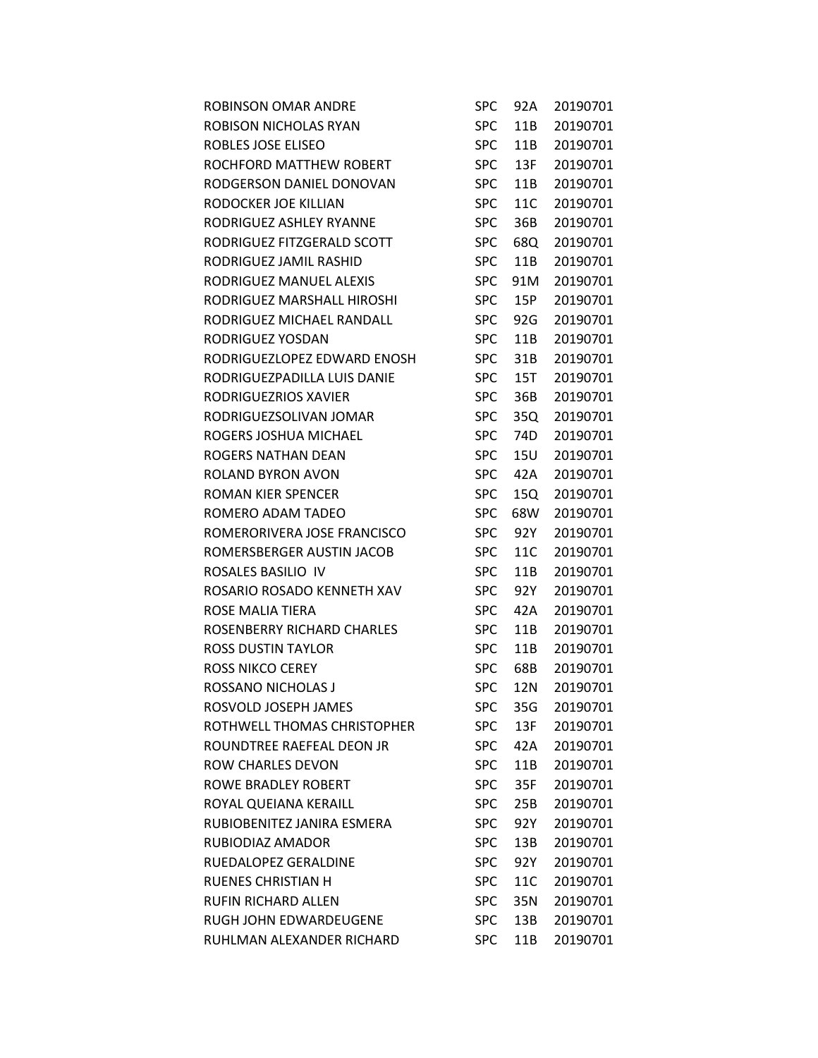| ROBINSON OMAR ANDRE         | <b>SPC</b> | 92A | 20190701 |
|-----------------------------|------------|-----|----------|
| ROBISON NICHOLAS RYAN       | <b>SPC</b> | 11B | 20190701 |
| ROBLES JOSE ELISEO          | <b>SPC</b> | 11B | 20190701 |
| ROCHFORD MATTHEW ROBERT     | <b>SPC</b> | 13F | 20190701 |
| RODGERSON DANIEL DONOVAN    | <b>SPC</b> | 11B | 20190701 |
| RODOCKER JOE KILLIAN        | <b>SPC</b> | 11C | 20190701 |
| RODRIGUEZ ASHLEY RYANNE     | <b>SPC</b> | 36B | 20190701 |
| RODRIGUEZ FITZGERALD SCOTT  | <b>SPC</b> | 68Q | 20190701 |
| RODRIGUEZ JAMIL RASHID      | <b>SPC</b> | 11B | 20190701 |
| RODRIGUEZ MANUEL ALEXIS     | <b>SPC</b> | 91M | 20190701 |
| RODRIGUEZ MARSHALL HIROSHI  | <b>SPC</b> | 15P | 20190701 |
| RODRIGUEZ MICHAEL RANDALL   | <b>SPC</b> | 92G | 20190701 |
| RODRIGUEZ YOSDAN            | <b>SPC</b> | 11B | 20190701 |
| RODRIGUEZLOPEZ EDWARD ENOSH | <b>SPC</b> | 31B | 20190701 |
| RODRIGUEZPADILLA LUIS DANIE | <b>SPC</b> | 15T | 20190701 |
| RODRIGUEZRIOS XAVIER        | <b>SPC</b> | 36B | 20190701 |
| RODRIGUEZSOLIVAN JOMAR      | <b>SPC</b> | 35Q | 20190701 |
| ROGERS JOSHUA MICHAEL       | <b>SPC</b> | 74D | 20190701 |
| ROGERS NATHAN DEAN          | <b>SPC</b> | 15U | 20190701 |
| ROLAND BYRON AVON           | <b>SPC</b> | 42A | 20190701 |
| ROMAN KIER SPENCER          | <b>SPC</b> | 15Q | 20190701 |
| ROMERO ADAM TADEO           | <b>SPC</b> | 68W | 20190701 |
| ROMERORIVERA JOSE FRANCISCO | <b>SPC</b> | 92Y | 20190701 |
| ROMERSBERGER AUSTIN JACOB   | <b>SPC</b> | 11C | 20190701 |
| ROSALES BASILIO IV          | <b>SPC</b> | 11B | 20190701 |
| ROSARIO ROSADO KENNETH XAV  | <b>SPC</b> | 92Y | 20190701 |
| ROSE MALIA TIERA            | <b>SPC</b> | 42A | 20190701 |
| ROSENBERRY RICHARD CHARLES  | <b>SPC</b> | 11B | 20190701 |
| <b>ROSS DUSTIN TAYLOR</b>   | <b>SPC</b> | 11B | 20190701 |
| ROSS NIKCO CEREY            | <b>SPC</b> | 68B | 20190701 |
| ROSSANO NICHOLAS J          | <b>SPC</b> | 12N | 20190701 |
| ROSVOLD JOSEPH JAMES        | <b>SPC</b> | 35G | 20190701 |
| ROTHWELL THOMAS CHRISTOPHER | <b>SPC</b> | 13F | 20190701 |
| ROUNDTREE RAEFEAL DEON JR   | <b>SPC</b> | 42A | 20190701 |
| ROW CHARLES DEVON           | <b>SPC</b> | 11B | 20190701 |
| ROWE BRADLEY ROBERT         | <b>SPC</b> | 35F | 20190701 |
| ROYAL QUEIANA KERAILL       | <b>SPC</b> | 25B | 20190701 |
| RUBIOBENITEZ JANIRA ESMERA  | <b>SPC</b> | 92Y | 20190701 |
| RUBIODIAZ AMADOR            | <b>SPC</b> | 13B | 20190701 |
| RUEDALOPEZ GERALDINE        | <b>SPC</b> | 92Y | 20190701 |
| RUENES CHRISTIAN H          | <b>SPC</b> | 11C | 20190701 |
| RUFIN RICHARD ALLEN         | <b>SPC</b> | 35N | 20190701 |
| RUGH JOHN EDWARDEUGENE      | <b>SPC</b> | 13B | 20190701 |
| RUHLMAN ALEXANDER RICHARD   | <b>SPC</b> | 11B | 20190701 |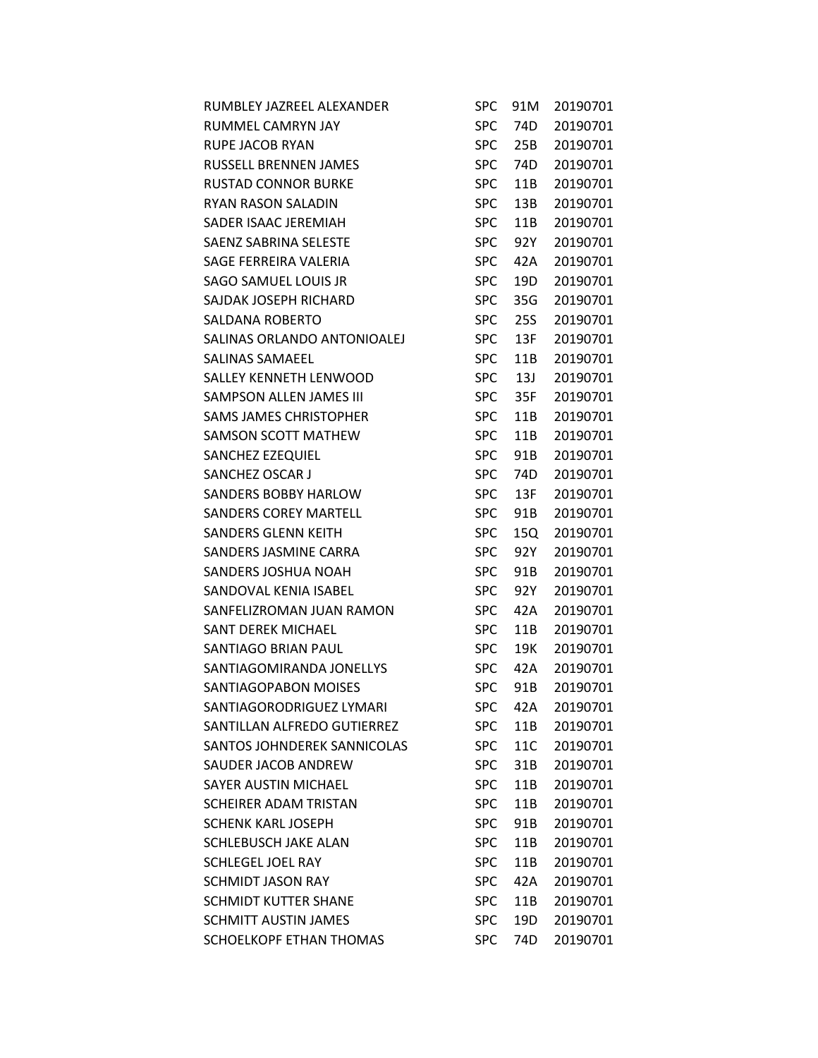| RUMBLEY JAZREEL ALEXANDER     | <b>SPC</b> | 91M        | 20190701 |
|-------------------------------|------------|------------|----------|
| RUMMEL CAMRYN JAY             | <b>SPC</b> | 74D        | 20190701 |
| <b>RUPE JACOB RYAN</b>        | <b>SPC</b> | 25B        | 20190701 |
| <b>RUSSELL BRENNEN JAMES</b>  | <b>SPC</b> | 74D        | 20190701 |
| <b>RUSTAD CONNOR BURKE</b>    | <b>SPC</b> | 11B        | 20190701 |
| RYAN RASON SALADIN            | <b>SPC</b> | 13B        | 20190701 |
| SADER ISAAC JEREMIAH          | <b>SPC</b> | 11B        | 20190701 |
| SAENZ SABRINA SELESTE         | <b>SPC</b> | 92Y        | 20190701 |
| SAGE FERREIRA VALERIA         | <b>SPC</b> | 42A        | 20190701 |
| SAGO SAMUEL LOUIS JR          | <b>SPC</b> | 19D        | 20190701 |
| SAJDAK JOSEPH RICHARD         | <b>SPC</b> | 35G        | 20190701 |
| <b>SALDANA ROBERTO</b>        | <b>SPC</b> | <b>25S</b> | 20190701 |
| SALINAS ORLANDO ANTONIOALEJ   | <b>SPC</b> | 13F        | 20190701 |
| SALINAS SAMAEEL               | <b>SPC</b> | 11B        | 20190701 |
| SALLEY KENNETH LENWOOD        | <b>SPC</b> | 13J        | 20190701 |
| SAMPSON ALLEN JAMES III       | <b>SPC</b> | 35F        | 20190701 |
| <b>SAMS JAMES CHRISTOPHER</b> | <b>SPC</b> | 11B        | 20190701 |
| <b>SAMSON SCOTT MATHEW</b>    | <b>SPC</b> | 11B        | 20190701 |
| SANCHEZ EZEQUIEL              | <b>SPC</b> | 91B        | 20190701 |
| SANCHEZ OSCAR J               | <b>SPC</b> | 74D        | 20190701 |
| SANDERS BOBBY HARLOW          | <b>SPC</b> | 13F        | 20190701 |
| <b>SANDERS COREY MARTELL</b>  | <b>SPC</b> | 91B        | 20190701 |
| <b>SANDERS GLENN KEITH</b>    | <b>SPC</b> | 15Q        | 20190701 |
| SANDERS JASMINE CARRA         | <b>SPC</b> | 92Y        | 20190701 |
| SANDERS JOSHUA NOAH           | <b>SPC</b> | 91B        | 20190701 |
| SANDOVAL KENIA ISABEL         | <b>SPC</b> | 92Y        | 20190701 |
| SANFELIZROMAN JUAN RAMON      | <b>SPC</b> | 42A        | 20190701 |
| <b>SANT DEREK MICHAEL</b>     | <b>SPC</b> | 11B        | 20190701 |
| SANTIAGO BRIAN PAUL           | <b>SPC</b> | 19K        | 20190701 |
| SANTIAGOMIRANDA JONELLYS      | <b>SPC</b> | 42A        | 20190701 |
| SANTIAGOPABON MOISES          | <b>SPC</b> | 91B        | 20190701 |
| SANTIAGORODRIGUEZ LYMARI      | <b>SPC</b> | 42A        | 20190701 |
| SANTILLAN ALFREDO GUTIERREZ   | <b>SPC</b> | 11B        | 20190701 |
| SANTOS JOHNDEREK SANNICOLAS   | <b>SPC</b> | 11C        | 20190701 |
| SAUDER JACOB ANDREW           | <b>SPC</b> | 31B        | 20190701 |
| <b>SAYER AUSTIN MICHAEL</b>   | <b>SPC</b> | 11B        | 20190701 |
| <b>SCHEIRER ADAM TRISTAN</b>  | <b>SPC</b> | 11B        | 20190701 |
| <b>SCHENK KARL JOSEPH</b>     | <b>SPC</b> | 91B        | 20190701 |
| <b>SCHLEBUSCH JAKE ALAN</b>   | <b>SPC</b> | 11B        | 20190701 |
| <b>SCHLEGEL JOEL RAY</b>      | <b>SPC</b> | 11B        | 20190701 |
| <b>SCHMIDT JASON RAY</b>      | <b>SPC</b> | 42A        | 20190701 |
| <b>SCHMIDT KUTTER SHANE</b>   | <b>SPC</b> | 11B        | 20190701 |
| <b>SCHMITT AUSTIN JAMES</b>   | <b>SPC</b> | 19D        | 20190701 |
| SCHOELKOPF ETHAN THOMAS       | <b>SPC</b> | 74D        | 20190701 |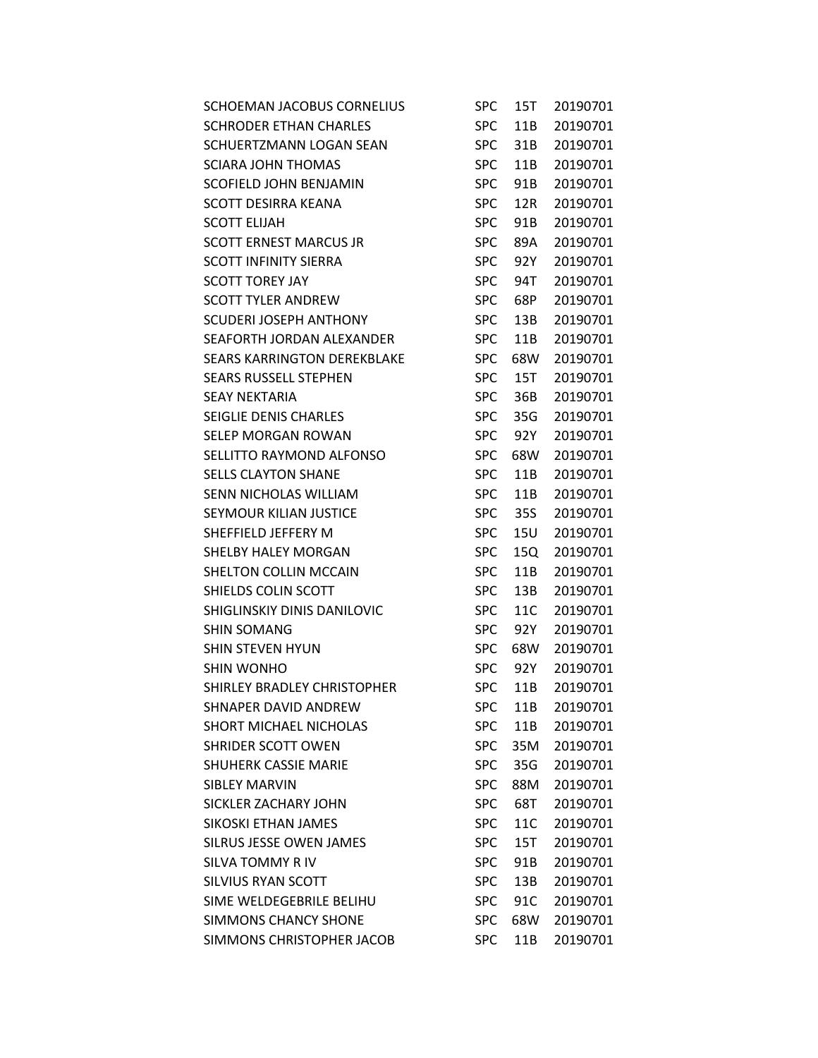| SCHOEMAN JACOBUS CORNELIUS    | <b>SPC</b> | 15T | 20190701 |
|-------------------------------|------------|-----|----------|
| <b>SCHRODER ETHAN CHARLES</b> | <b>SPC</b> | 11B | 20190701 |
| SCHUERTZMANN LOGAN SEAN       | <b>SPC</b> | 31B | 20190701 |
| <b>SCIARA JOHN THOMAS</b>     | <b>SPC</b> | 11B | 20190701 |
| <b>SCOFIELD JOHN BENJAMIN</b> | <b>SPC</b> | 91B | 20190701 |
| <b>SCOTT DESIRRA KEANA</b>    | <b>SPC</b> | 12R | 20190701 |
| <b>SCOTT ELIJAH</b>           | <b>SPC</b> | 91B | 20190701 |
| <b>SCOTT ERNEST MARCUS JR</b> | <b>SPC</b> | 89A | 20190701 |
| <b>SCOTT INFINITY SIERRA</b>  | <b>SPC</b> | 92Y | 20190701 |
| <b>SCOTT TOREY JAY</b>        | <b>SPC</b> | 94T | 20190701 |
| SCOTT TYLER ANDREW            | <b>SPC</b> | 68P | 20190701 |
| <b>SCUDERI JOSEPH ANTHONY</b> | <b>SPC</b> | 13B | 20190701 |
| SEAFORTH JORDAN ALEXANDER     | <b>SPC</b> | 11B | 20190701 |
| SEARS KARRINGTON DEREKBLAKE   | <b>SPC</b> | 68W | 20190701 |
| <b>SEARS RUSSELL STEPHEN</b>  | <b>SPC</b> | 15T | 20190701 |
| <b>SEAY NEKTARIA</b>          | <b>SPC</b> | 36B | 20190701 |
| SEIGLIE DENIS CHARLES         | <b>SPC</b> | 35G | 20190701 |
| <b>SELEP MORGAN ROWAN</b>     | <b>SPC</b> | 92Y | 20190701 |
| SELLITTO RAYMOND ALFONSO      | <b>SPC</b> | 68W | 20190701 |
| <b>SELLS CLAYTON SHANE</b>    | <b>SPC</b> | 11B | 20190701 |
| SENN NICHOLAS WILLIAM         | <b>SPC</b> | 11B | 20190701 |
| SEYMOUR KILIAN JUSTICE        | <b>SPC</b> | 35S | 20190701 |
| SHEFFIELD JEFFERY M           | <b>SPC</b> | 15U | 20190701 |
| SHELBY HALEY MORGAN           | <b>SPC</b> | 15Q | 20190701 |
| SHELTON COLLIN MCCAIN         | <b>SPC</b> | 11B | 20190701 |
| SHIELDS COLIN SCOTT           | <b>SPC</b> | 13B | 20190701 |
| SHIGLINSKIY DINIS DANILOVIC   | <b>SPC</b> | 11C | 20190701 |
| <b>SHIN SOMANG</b>            | <b>SPC</b> | 92Y | 20190701 |
| <b>SHIN STEVEN HYUN</b>       | <b>SPC</b> | 68W | 20190701 |
| SHIN WONHO                    | <b>SPC</b> | 92Y | 20190701 |
| SHIRLEY BRADLEY CHRISTOPHER   | <b>SPC</b> | 11B | 20190701 |
| SHNAPER DAVID ANDREW          | <b>SPC</b> | 11B | 20190701 |
| SHORT MICHAEL NICHOLAS        | <b>SPC</b> | 11B | 20190701 |
| <b>SHRIDER SCOTT OWEN</b>     | <b>SPC</b> | 35M | 20190701 |
| <b>SHUHERK CASSIE MARIE</b>   | <b>SPC</b> | 35G | 20190701 |
| <b>SIBLEY MARVIN</b>          | <b>SPC</b> | 88M | 20190701 |
| <b>SICKLER ZACHARY JOHN</b>   | <b>SPC</b> | 68T | 20190701 |
| SIKOSKI ETHAN JAMES           | <b>SPC</b> | 11C | 20190701 |
| SILRUS JESSE OWEN JAMES       | <b>SPC</b> | 15T | 20190701 |
| <b>SILVA TOMMY R IV</b>       | <b>SPC</b> | 91B | 20190701 |
| SILVIUS RYAN SCOTT            | <b>SPC</b> | 13B | 20190701 |
| SIME WELDEGEBRILE BELIHU      | <b>SPC</b> | 91C | 20190701 |
| <b>SIMMONS CHANCY SHONE</b>   | <b>SPC</b> | 68W | 20190701 |
| SIMMONS CHRISTOPHER JACOB     | <b>SPC</b> | 11B | 20190701 |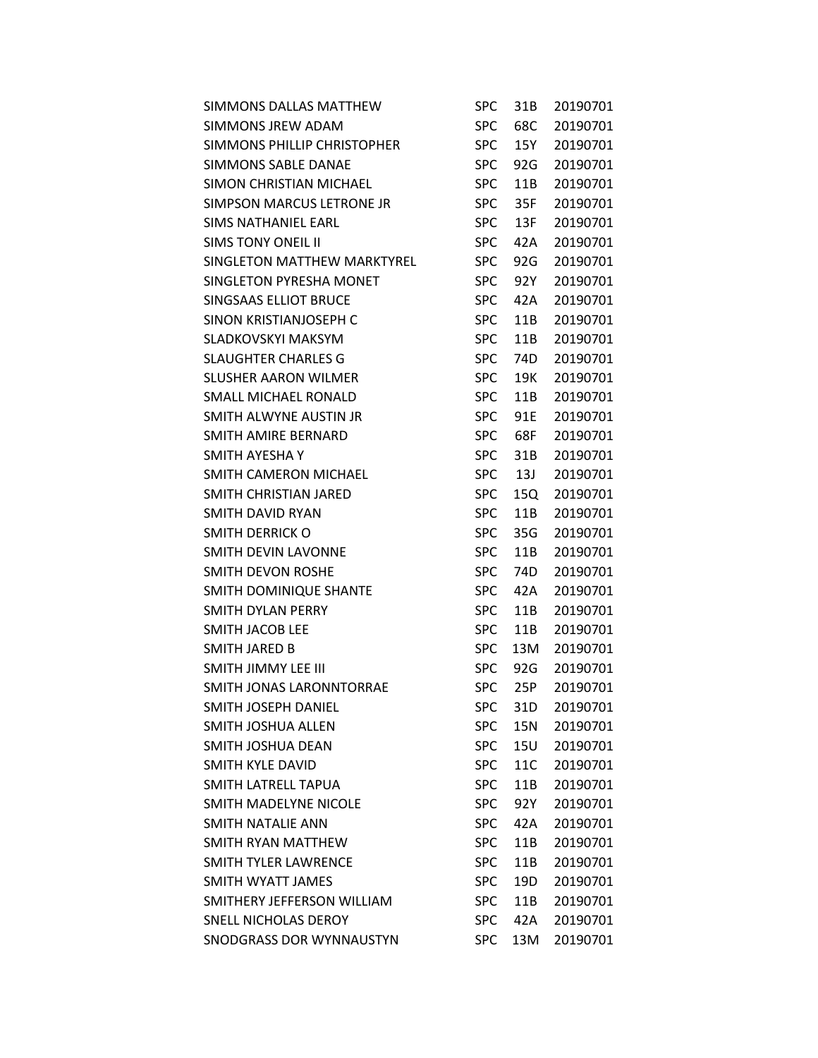| SIMMONS DALLAS MATTHEW      | <b>SPC</b> | 31B | 20190701 |
|-----------------------------|------------|-----|----------|
| <b>SIMMONS IREW ADAM</b>    | <b>SPC</b> | 68C | 20190701 |
| SIMMONS PHILLIP CHRISTOPHER | <b>SPC</b> | 15Y | 20190701 |
| <b>SIMMONS SABLE DANAE</b>  | <b>SPC</b> | 92G | 20190701 |
| SIMON CHRISTIAN MICHAEL     | <b>SPC</b> | 11B | 20190701 |
| SIMPSON MARCUS LETRONE JR   | <b>SPC</b> | 35F | 20190701 |
| <b>SIMS NATHANIEL EARL</b>  | <b>SPC</b> | 13F | 20190701 |
| <b>SIMS TONY ONEIL II</b>   | <b>SPC</b> | 42A | 20190701 |
| SINGLETON MATTHEW MARKTYREL | <b>SPC</b> | 92G | 20190701 |
| SINGLETON PYRESHA MONET     | <b>SPC</b> | 92Y | 20190701 |
| SINGSAAS ELLIOT BRUCE       | <b>SPC</b> | 42A | 20190701 |
| SINON KRISTIANJOSEPH C      | <b>SPC</b> | 11B | 20190701 |
| SLADKOVSKYI MAKSYM          | <b>SPC</b> | 11B | 20190701 |
| <b>SLAUGHTER CHARLES G</b>  | <b>SPC</b> | 74D | 20190701 |
| <b>SLUSHER AARON WILMER</b> | <b>SPC</b> | 19K | 20190701 |
| SMALL MICHAEL RONALD        | <b>SPC</b> | 11B | 20190701 |
| SMITH ALWYNE AUSTIN JR      | <b>SPC</b> | 91E | 20190701 |
| SMITH AMIRE BERNARD         | <b>SPC</b> | 68F | 20190701 |
| SMITH AYESHA Y              | <b>SPC</b> | 31B | 20190701 |
| SMITH CAMERON MICHAEL       | <b>SPC</b> | 13J | 20190701 |
| SMITH CHRISTIAN JARED       | <b>SPC</b> | 15Q | 20190701 |
| SMITH DAVID RYAN            | <b>SPC</b> | 11B | 20190701 |
| SMITH DERRICK O             | <b>SPC</b> | 35G | 20190701 |
| SMITH DEVIN LAVONNE         | <b>SPC</b> | 11B | 20190701 |
| SMITH DEVON ROSHE           | <b>SPC</b> | 74D | 20190701 |
| SMITH DOMINIQUE SHANTE      | <b>SPC</b> | 42A | 20190701 |
| <b>SMITH DYLAN PERRY</b>    | <b>SPC</b> | 11B | 20190701 |
| <b>SMITH JACOB LEE</b>      | <b>SPC</b> | 11B | 20190701 |
| <b>SMITH JARED B</b>        | <b>SPC</b> | 13M | 20190701 |
| SMITH JIMMY LEE III         | <b>SPC</b> | 92G | 20190701 |
| SMITH JONAS LARONNTORRAE    | <b>SPC</b> | 25P | 20190701 |
| SMITH JOSEPH DANIEL         | <b>SPC</b> | 31D | 20190701 |
| SMITH JOSHUA ALLEN          | <b>SPC</b> | 15N | 20190701 |
| SMITH JOSHUA DEAN           | <b>SPC</b> | 15U | 20190701 |
| SMITH KYLE DAVID            | <b>SPC</b> | 11C | 20190701 |
| SMITH LATRELL TAPUA         | <b>SPC</b> | 11B | 20190701 |
| SMITH MADELYNE NICOLE       | <b>SPC</b> | 92Y | 20190701 |
| SMITH NATALIE ANN           | <b>SPC</b> | 42A | 20190701 |
| SMITH RYAN MATTHEW          | <b>SPC</b> | 11B | 20190701 |
| SMITH TYLER LAWRENCE        | <b>SPC</b> | 11B | 20190701 |
| SMITH WYATT JAMES           | <b>SPC</b> | 19D | 20190701 |
| SMITHERY JEFFERSON WILLIAM  | <b>SPC</b> | 11B | 20190701 |
| SNELL NICHOLAS DEROY        | <b>SPC</b> | 42A | 20190701 |
| SNODGRASS DOR WYNNAUSTYN    | <b>SPC</b> | 13M | 20190701 |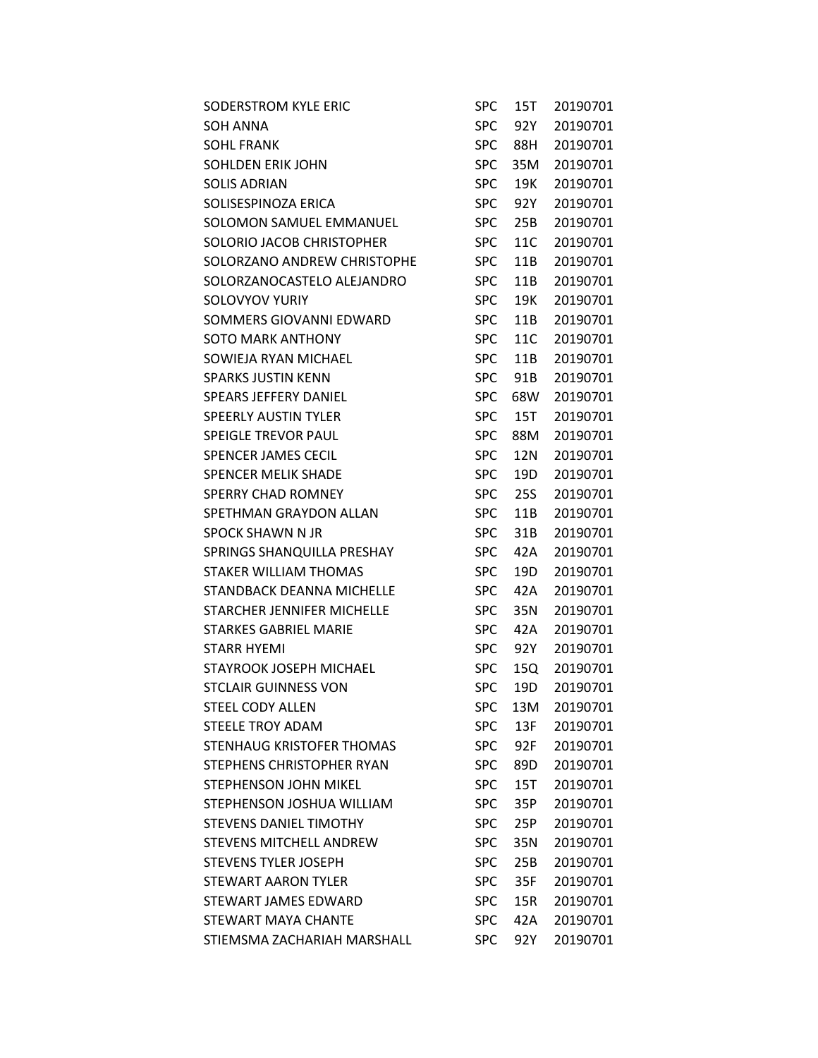| <b>SODERSTROM KYLE ERIC</b>   | SPC        | 15T             | 20190701 |
|-------------------------------|------------|-----------------|----------|
| SOH ANNA                      | <b>SPC</b> | 92Y             | 20190701 |
| <b>SOHL FRANK</b>             | <b>SPC</b> | 88H             | 20190701 |
| <b>SOHLDEN ERIK JOHN</b>      | <b>SPC</b> | 35M             | 20190701 |
| <b>SOLIS ADRIAN</b>           | <b>SPC</b> | 19K             | 20190701 |
| SOLISESPINOZA ERICA           | <b>SPC</b> | 92Y             | 20190701 |
| SOLOMON SAMUEL EMMANUEL       | <b>SPC</b> | 25B             | 20190701 |
| SOLORIO JACOB CHRISTOPHER     | <b>SPC</b> | 11C             | 20190701 |
| SOLORZANO ANDREW CHRISTOPHE   | <b>SPC</b> | 11B             | 20190701 |
| SOLORZANOCASTELO ALEJANDRO    | <b>SPC</b> | 11B             | 20190701 |
| SOLOVYOV YURIY                | <b>SPC</b> | 19K             | 20190701 |
| SOMMERS GIOVANNI EDWARD       | <b>SPC</b> | 11B             | 20190701 |
| <b>SOTO MARK ANTHONY</b>      | <b>SPC</b> | 11C             | 20190701 |
| SOWIEJA RYAN MICHAEL          | <b>SPC</b> | 11B             | 20190701 |
| <b>SPARKS JUSTIN KENN</b>     | <b>SPC</b> | 91 <sub>B</sub> | 20190701 |
| <b>SPEARS JEFFERY DANIEL</b>  | <b>SPC</b> | 68W             | 20190701 |
| <b>SPEERLY AUSTIN TYLER</b>   | <b>SPC</b> | 15T             | 20190701 |
| SPEIGLE TREVOR PAUL           | <b>SPC</b> | 88M             | 20190701 |
| SPENCER JAMES CECIL           | <b>SPC</b> | 12N             | 20190701 |
| <b>SPENCER MELIK SHADE</b>    | <b>SPC</b> | 19D             | 20190701 |
| <b>SPERRY CHAD ROMNEY</b>     | <b>SPC</b> | 25S             | 20190701 |
| SPETHMAN GRAYDON ALLAN        | <b>SPC</b> | 11B             | 20190701 |
| SPOCK SHAWN N JR              | <b>SPC</b> | 31B             | 20190701 |
| SPRINGS SHANQUILLA PRESHAY    | <b>SPC</b> | 42A             | 20190701 |
| STAKER WILLIAM THOMAS         | <b>SPC</b> | 19D             | 20190701 |
| STANDBACK DEANNA MICHELLE     | <b>SPC</b> | 42A             | 20190701 |
| STARCHER JENNIFER MICHELLE    | <b>SPC</b> | 35N             | 20190701 |
| STARKES GABRIEL MARIE         | <b>SPC</b> | 42A             | 20190701 |
| <b>STARR HYEMI</b>            | <b>SPC</b> | 92Y             | 20190701 |
| STAYROOK JOSEPH MICHAEL       | <b>SPC</b> | 15Q             | 20190701 |
| <b>STCLAIR GUINNESS VON</b>   | <b>SPC</b> | 19 <sub>D</sub> | 20190701 |
| <b>STEEL CODY ALLEN</b>       | <b>SPC</b> | 13M             | 20190701 |
| <b>STEELE TROY ADAM</b>       | <b>SPC</b> | 13F             | 20190701 |
| STENHAUG KRISTOFER THOMAS     | <b>SPC</b> | 92F             | 20190701 |
| STEPHENS CHRISTOPHER RYAN     | <b>SPC</b> | 89D             | 20190701 |
| STEPHENSON JOHN MIKEL         | <b>SPC</b> | 15T             | 20190701 |
| STEPHENSON JOSHUA WILLIAM     | <b>SPC</b> | 35P             | 20190701 |
| <b>STEVENS DANIEL TIMOTHY</b> | <b>SPC</b> | 25P             | 20190701 |
| STEVENS MITCHELL ANDREW       | <b>SPC</b> | 35N             | 20190701 |
| <b>STEVENS TYLER JOSEPH</b>   | <b>SPC</b> | 25B             | 20190701 |
| <b>STEWART AARON TYLER</b>    | <b>SPC</b> | 35F             | 20190701 |
| STEWART JAMES EDWARD          | <b>SPC</b> | 15R             | 20190701 |
| STEWART MAYA CHANTE           | <b>SPC</b> | 42A             | 20190701 |
| STIEMSMA ZACHARIAH MARSHALL   | <b>SPC</b> | 92Y             | 20190701 |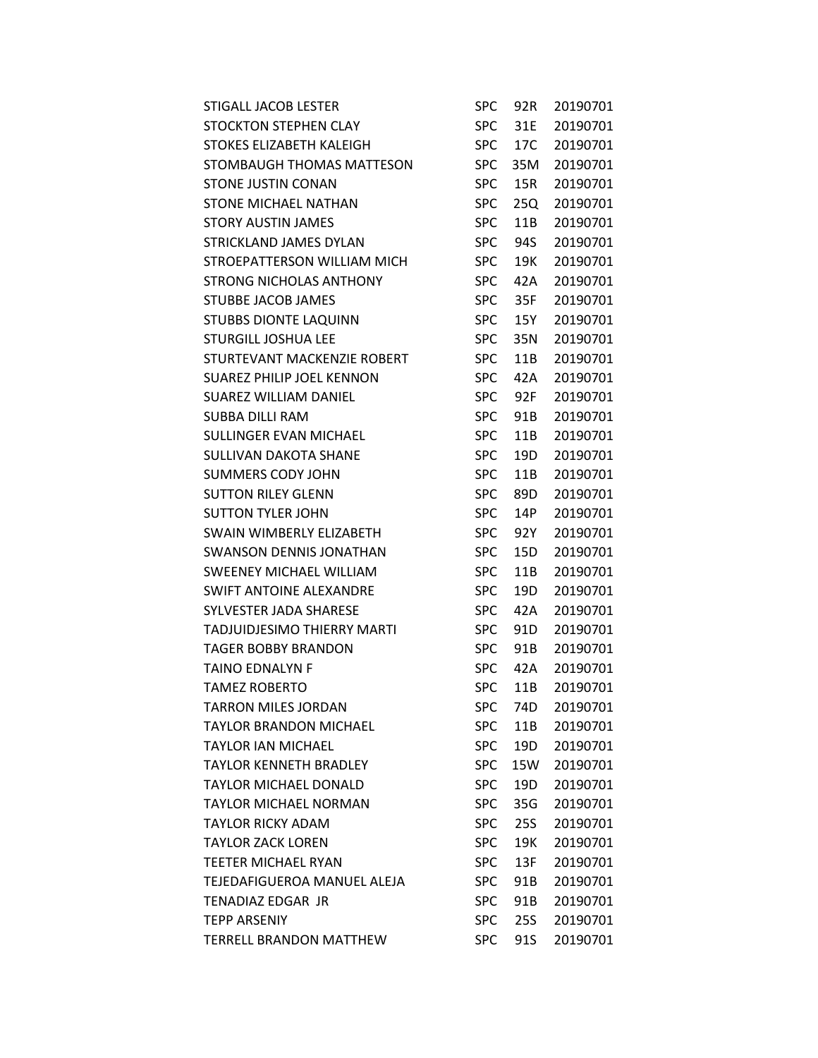| STIGALL JACOB LESTER           | <b>SPC</b> | 92R             | 20190701 |
|--------------------------------|------------|-----------------|----------|
| <b>STOCKTON STEPHEN CLAY</b>   | <b>SPC</b> | 31E             | 20190701 |
| STOKES ELIZABETH KALEIGH       | <b>SPC</b> | 17C             | 20190701 |
| STOMBAUGH THOMAS MATTESON      | <b>SPC</b> | 35M             | 20190701 |
| STONE JUSTIN CONAN             | <b>SPC</b> | 15R             | 20190701 |
| <b>STONE MICHAEL NATHAN</b>    | <b>SPC</b> | 25Q             | 20190701 |
| <b>STORY AUSTIN JAMES</b>      | <b>SPC</b> | 11B             | 20190701 |
| STRICKLAND JAMES DYLAN         | <b>SPC</b> | 94S             | 20190701 |
| STROEPATTERSON WILLIAM MICH    | <b>SPC</b> | 19K             | 20190701 |
| <b>STRONG NICHOLAS ANTHONY</b> | <b>SPC</b> | 42A             | 20190701 |
| STUBBE JACOB JAMES             | <b>SPC</b> | 35F             | 20190701 |
| <b>STUBBS DIONTE LAQUINN</b>   | <b>SPC</b> | 15Y             | 20190701 |
| <b>STURGILL JOSHUA LEE</b>     | <b>SPC</b> | 35N             | 20190701 |
| STURTEVANT MACKENZIE ROBERT    | <b>SPC</b> | 11B             | 20190701 |
| SUAREZ PHILIP JOEL KENNON      | <b>SPC</b> | 42A             | 20190701 |
| SUAREZ WILLIAM DANIEL          | <b>SPC</b> | 92F             | 20190701 |
| SUBBA DILLI RAM                | <b>SPC</b> | 91B             | 20190701 |
| <b>SULLINGER EVAN MICHAEL</b>  | <b>SPC</b> | 11B             | 20190701 |
| <b>SULLIVAN DAKOTA SHANE</b>   | <b>SPC</b> | 19 <sub>D</sub> | 20190701 |
| SUMMERS CODY JOHN              | <b>SPC</b> | 11B             | 20190701 |
| <b>SUTTON RILEY GLENN</b>      | <b>SPC</b> | 89D             | 20190701 |
| <b>SUTTON TYLER JOHN</b>       | <b>SPC</b> | 14P             | 20190701 |
| SWAIN WIMBERLY ELIZABETH       | <b>SPC</b> | 92Y             | 20190701 |
| <b>SWANSON DENNIS JONATHAN</b> | <b>SPC</b> | 15D             | 20190701 |
| <b>SWEENEY MICHAEL WILLIAM</b> | <b>SPC</b> | 11B             | 20190701 |
| <b>SWIFT ANTOINE ALEXANDRE</b> | <b>SPC</b> | 19D             | 20190701 |
| SYLVESTER JADA SHARESE         | <b>SPC</b> | 42A             | 20190701 |
| TADJUIDJESIMO THIERRY MARTI    | <b>SPC</b> | 91D             | 20190701 |
| TAGER BOBBY BRANDON            | <b>SPC</b> | 91B             | 20190701 |
| TAINO EDNALYN F                | <b>SPC</b> | 42A             | 20190701 |
| <b>TAMEZ ROBERTO</b>           | <b>SPC</b> | 11B             | 20190701 |
| <b>TARRON MILES JORDAN</b>     | <b>SPC</b> | 74D             | 20190701 |
| <b>TAYLOR BRANDON MICHAEL</b>  | <b>SPC</b> | 11B             | 20190701 |
| <b>TAYLOR IAN MICHAEL</b>      | <b>SPC</b> | 19D             | 20190701 |
| <b>TAYLOR KENNETH BRADLEY</b>  | <b>SPC</b> | 15W             | 20190701 |
| <b>TAYLOR MICHAEL DONALD</b>   | <b>SPC</b> | 19 <sub>D</sub> | 20190701 |
| <b>TAYLOR MICHAEL NORMAN</b>   | <b>SPC</b> | 35G             | 20190701 |
| <b>TAYLOR RICKY ADAM</b>       | <b>SPC</b> | 25S             | 20190701 |
| <b>TAYLOR ZACK LOREN</b>       | <b>SPC</b> | 19K             | 20190701 |
| <b>TEETER MICHAEL RYAN</b>     | <b>SPC</b> | 13F             | 20190701 |
| TEJEDAFIGUEROA MANUEL ALEJA    | <b>SPC</b> | 91B             | 20190701 |
| TENADIAZ EDGAR JR              | <b>SPC</b> | 91B             | 20190701 |
| <b>TEPP ARSENIY</b>            | <b>SPC</b> | 25S             | 20190701 |
| <b>TERRELL BRANDON MATTHEW</b> | <b>SPC</b> | 91S             | 20190701 |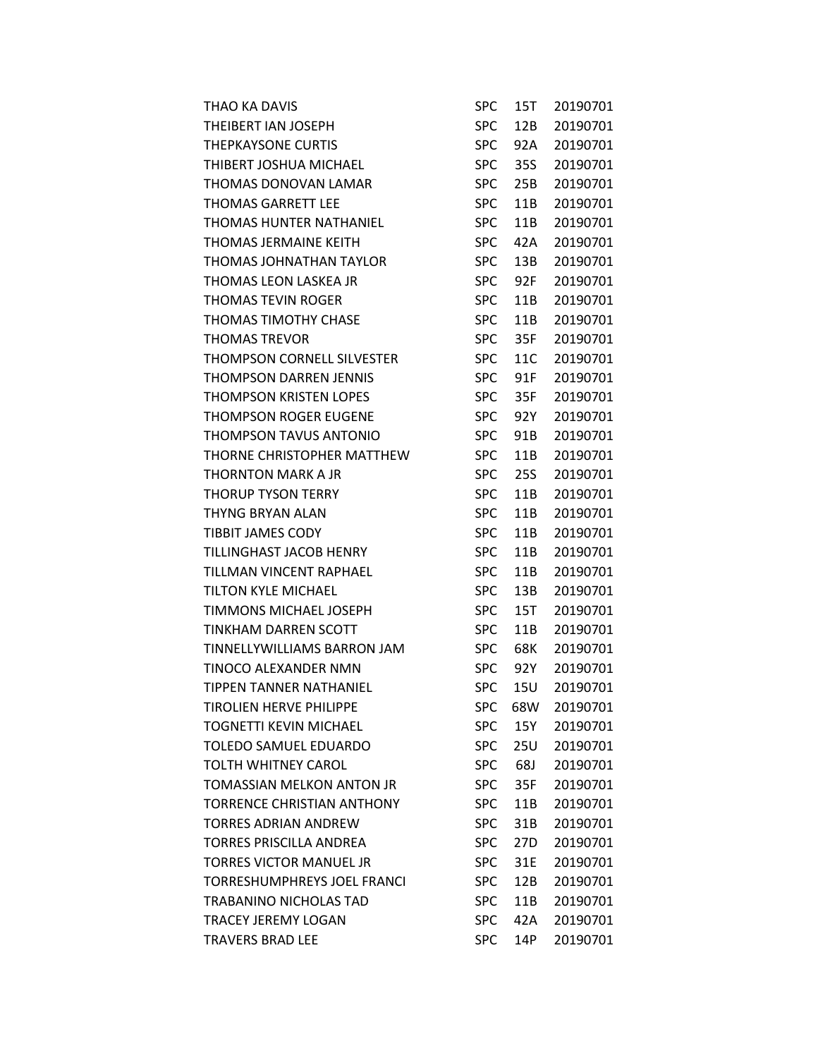| THAO KA DAVIS                  | <b>SPC</b> | 15T | 20190701 |
|--------------------------------|------------|-----|----------|
| THEIBERT IAN JOSEPH            | <b>SPC</b> | 12B | 20190701 |
| THEPKAYSONE CURTIS             | <b>SPC</b> | 92A | 20190701 |
| THIBERT JOSHUA MICHAEL         | <b>SPC</b> | 35S | 20190701 |
| THOMAS DONOVAN LAMAR           | <b>SPC</b> | 25B | 20190701 |
| <b>THOMAS GARRETT LEE</b>      | <b>SPC</b> | 11B | 20190701 |
| THOMAS HUNTER NATHANIEL        | <b>SPC</b> | 11B | 20190701 |
| THOMAS JERMAINE KEITH          | <b>SPC</b> | 42A | 20190701 |
| THOMAS JOHNATHAN TAYLOR        | <b>SPC</b> | 13B | 20190701 |
| THOMAS LEON LASKEA JR          | <b>SPC</b> | 92F | 20190701 |
| THOMAS TEVIN ROGER             | <b>SPC</b> | 11B | 20190701 |
| THOMAS TIMOTHY CHASE           | <b>SPC</b> | 11B | 20190701 |
| <b>THOMAS TREVOR</b>           | <b>SPC</b> | 35F | 20190701 |
| THOMPSON CORNELL SILVESTER     | <b>SPC</b> | 11C | 20190701 |
| THOMPSON DARREN JENNIS         | <b>SPC</b> | 91F | 20190701 |
| THOMPSON KRISTEN LOPES         | <b>SPC</b> | 35F | 20190701 |
| THOMPSON ROGER EUGENE          | <b>SPC</b> | 92Y | 20190701 |
| THOMPSON TAVUS ANTONIO         | <b>SPC</b> | 91B | 20190701 |
| THORNE CHRISTOPHER MATTHEW     | <b>SPC</b> | 11B | 20190701 |
| THORNTON MARK A JR             | <b>SPC</b> | 25S | 20190701 |
| THORUP TYSON TERRY             | <b>SPC</b> | 11B | 20190701 |
| THYNG BRYAN ALAN               | <b>SPC</b> | 11B | 20190701 |
| <b>TIBBIT JAMES CODY</b>       | <b>SPC</b> | 11B | 20190701 |
| TILLINGHAST JACOB HENRY        | <b>SPC</b> | 11B | 20190701 |
| TILLMAN VINCENT RAPHAEL        | <b>SPC</b> | 11B | 20190701 |
| TILTON KYLE MICHAEL            | <b>SPC</b> | 13B | 20190701 |
| TIMMONS MICHAEL JOSEPH         | <b>SPC</b> | 15T | 20190701 |
| TINKHAM DARREN SCOTT           | <b>SPC</b> | 11B | 20190701 |
| TINNELLYWILLIAMS BARRON JAM    | <b>SPC</b> | 68K | 20190701 |
| TINOCO ALEXANDER NMN           | <b>SPC</b> | 92Y | 20190701 |
| TIPPEN TANNER NATHANIEL        | <b>SPC</b> | 15U | 20190701 |
| <b>TIROLIEN HERVE PHILIPPE</b> | <b>SPC</b> | 68W | 20190701 |
| TOGNETTI KEVIN MICHAEL         | <b>SPC</b> | 15Y | 20190701 |
| TOLEDO SAMUEL EDUARDO          | <b>SPC</b> | 25U | 20190701 |
| TOLTH WHITNEY CAROL            | <b>SPC</b> | 68J | 20190701 |
| TOMASSIAN MELKON ANTON JR      | <b>SPC</b> | 35F | 20190701 |
| TORRENCE CHRISTIAN ANTHONY     | <b>SPC</b> | 11B | 20190701 |
| TORRES ADRIAN ANDREW           | <b>SPC</b> | 31B | 20190701 |
| TORRES PRISCILLA ANDREA        | <b>SPC</b> | 27D | 20190701 |
| TORRES VICTOR MANUEL JR        | <b>SPC</b> | 31E | 20190701 |
| TORRESHUMPHREYS JOEL FRANCI    | <b>SPC</b> | 12B | 20190701 |
| TRABANINO NICHOLAS TAD         | <b>SPC</b> | 11B | 20190701 |
| TRACEY JEREMY LOGAN            | <b>SPC</b> | 42A | 20190701 |
| TRAVERS BRAD LEE               | <b>SPC</b> | 14P | 20190701 |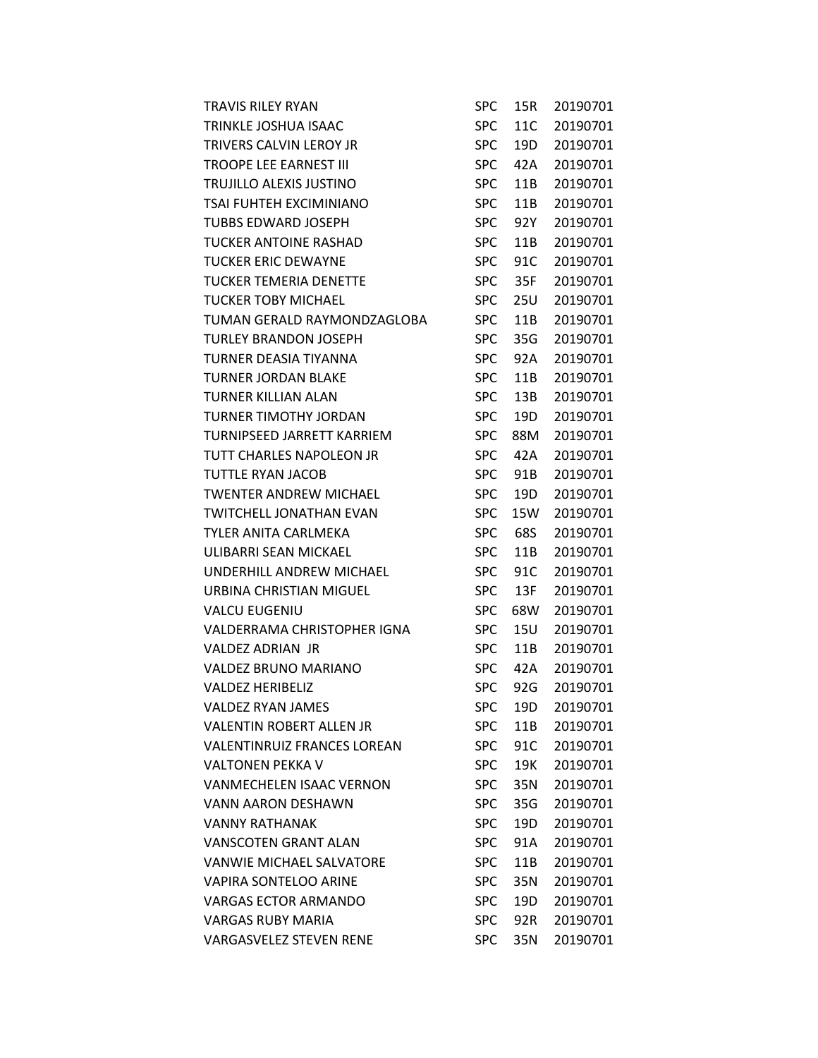| TRAVIS RILEY RYAN                  | <b>SPC</b> | 15R             | 20190701 |
|------------------------------------|------------|-----------------|----------|
| TRINKLE JOSHUA ISAAC               | <b>SPC</b> | 11C             | 20190701 |
| TRIVERS CALVIN LEROY JR            | <b>SPC</b> | 19D             | 20190701 |
| TROOPE LEE EARNEST III             | <b>SPC</b> | 42A             | 20190701 |
| TRUJILLO ALEXIS JUSTINO            | <b>SPC</b> | 11B             | 20190701 |
| TSAI FUHTEH EXCIMINIANO            | <b>SPC</b> | 11B             | 20190701 |
| TUBBS EDWARD JOSEPH                | <b>SPC</b> | 92Y             | 20190701 |
| TUCKER ANTOINE RASHAD              | <b>SPC</b> | 11B             | 20190701 |
| <b>TUCKER ERIC DEWAYNE</b>         | <b>SPC</b> | 91C             | 20190701 |
| TUCKER TEMERIA DENETTE             | <b>SPC</b> | 35F             | 20190701 |
| TUCKER TOBY MICHAEL                | <b>SPC</b> | 25U             | 20190701 |
| TUMAN GERALD RAYMONDZAGLOBA        | <b>SPC</b> | 11B             | 20190701 |
| TURLEY BRANDON JOSEPH              | <b>SPC</b> | 35G             | 20190701 |
| TURNER DEASIA TIYANNA              | <b>SPC</b> | 92A             | 20190701 |
| <b>TURNER JORDAN BLAKE</b>         | <b>SPC</b> | 11B             | 20190701 |
| TURNER KILLIAN ALAN                | <b>SPC</b> | 13B             | 20190701 |
| TURNER TIMOTHY JORDAN              | <b>SPC</b> | 19D             | 20190701 |
| TURNIPSEED JARRETT KARRIEM         | <b>SPC</b> | 88M             | 20190701 |
| TUTT CHARLES NAPOLEON JR           | <b>SPC</b> | 42A             | 20190701 |
| TUTTLE RYAN JACOB                  | <b>SPC</b> | 91 <sub>B</sub> | 20190701 |
| TWENTER ANDREW MICHAEL             | <b>SPC</b> | 19D             | 20190701 |
| TWITCHELL JONATHAN EVAN            | <b>SPC</b> | 15W             | 20190701 |
| TYLER ANITA CARLMEKA               | <b>SPC</b> | 68S             | 20190701 |
| ULIBARRI SEAN MICKAEL              | <b>SPC</b> | 11B             | 20190701 |
| UNDERHILL ANDREW MICHAEL           | <b>SPC</b> | 91C             | 20190701 |
| URBINA CHRISTIAN MIGUEL            | <b>SPC</b> | 13F             | 20190701 |
| VALCU EUGENIU                      | <b>SPC</b> | 68W             | 20190701 |
| VALDERRAMA CHRISTOPHER IGNA        | <b>SPC</b> | 15U             | 20190701 |
| VALDEZ ADRIAN JR                   | <b>SPC</b> | 11B             | 20190701 |
| VALDEZ BRUNO MARIANO               | <b>SPC</b> | 42A             | 20190701 |
| VALDEZ HERIBELIZ                   | <b>SPC</b> | 92G             | 20190701 |
| VALDEZ RYAN JAMES                  | <b>SPC</b> | 19 <sub>D</sub> | 20190701 |
| VALENTIN ROBERT ALLEN JR           | <b>SPC</b> | 11B             | 20190701 |
| <b>VALENTINRUIZ FRANCES LOREAN</b> | SPC.       | 91C             | 20190701 |
| VALTONEN PEKKA V                   | <b>SPC</b> | 19K             | 20190701 |
| VANMECHELEN ISAAC VERNON           | <b>SPC</b> | 35N             | 20190701 |
| <b>VANN AARON DESHAWN</b>          | <b>SPC</b> | 35G             | 20190701 |
| VANNY RATHANAK                     | <b>SPC</b> | 19D             | 20190701 |
| VANSCOTEN GRANT ALAN               | <b>SPC</b> | 91A             | 20190701 |
| VANWIE MICHAEL SALVATORE           | <b>SPC</b> | 11B             | 20190701 |
| VAPIRA SONTELOO ARINE              | <b>SPC</b> | 35N             | 20190701 |
| VARGAS ECTOR ARMANDO               | <b>SPC</b> | 19D             | 20190701 |
| VARGAS RUBY MARIA                  | <b>SPC</b> | 92R             | 20190701 |
| VARGASVELEZ STEVEN RENE            | <b>SPC</b> | 35N             | 20190701 |
|                                    |            |                 |          |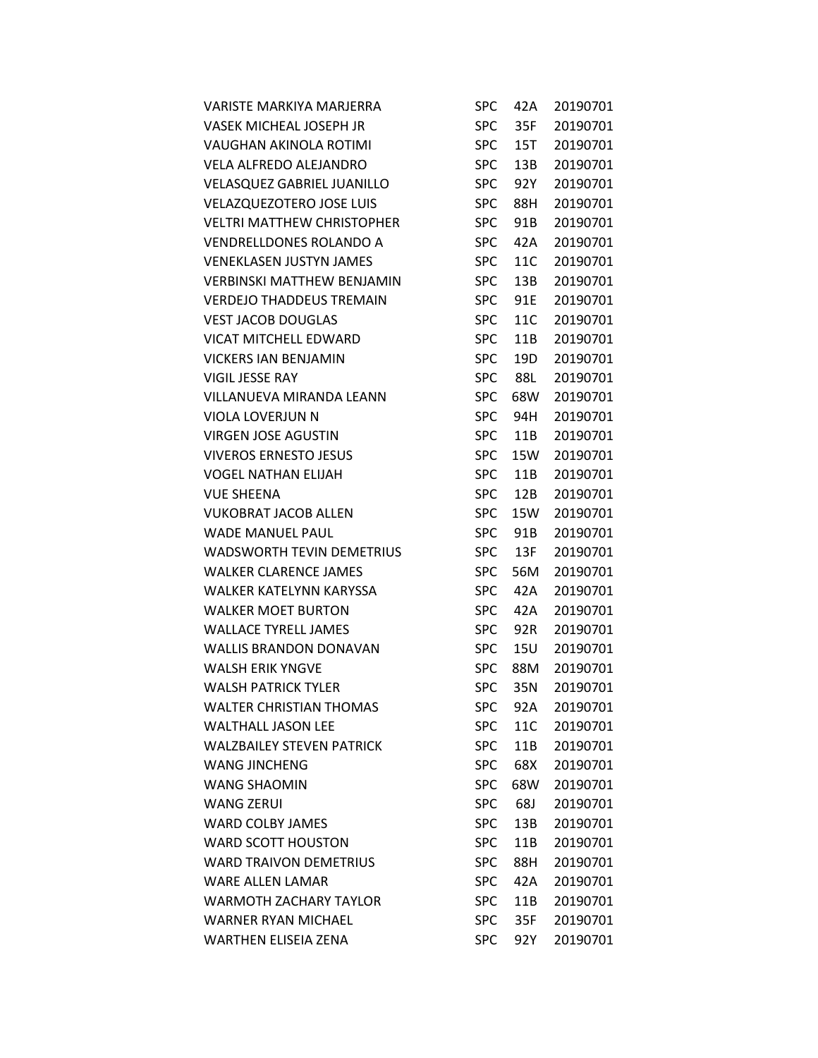| <b>VARISTE MARKIYA MARJERRA</b>   | SPC        | 42A | 20190701 |
|-----------------------------------|------------|-----|----------|
| VASEK MICHEAL JOSEPH JR           | <b>SPC</b> | 35F | 20190701 |
| VAUGHAN AKINOLA ROTIMI            | <b>SPC</b> | 15T | 20190701 |
| <b>VELA ALFREDO ALEJANDRO</b>     | <b>SPC</b> | 13B | 20190701 |
| VELASQUEZ GABRIEL JUANILLO        | <b>SPC</b> | 92Y | 20190701 |
| <b>VELAZQUEZOTERO JOSE LUIS</b>   | <b>SPC</b> | 88H | 20190701 |
| <b>VELTRI MATTHEW CHRISTOPHER</b> | <b>SPC</b> | 91B | 20190701 |
| VENDRELLDONES ROLANDO A           | <b>SPC</b> | 42A | 20190701 |
| <b>VENEKLASEN JUSTYN JAMES</b>    | <b>SPC</b> | 11C | 20190701 |
| VERBINSKI MATTHEW BENJAMIN        | <b>SPC</b> | 13B | 20190701 |
| <b>VERDEJO THADDEUS TREMAIN</b>   | <b>SPC</b> | 91E | 20190701 |
| <b>VEST JACOB DOUGLAS</b>         | <b>SPC</b> | 11C | 20190701 |
| <b>VICAT MITCHELL EDWARD</b>      | <b>SPC</b> | 11B | 20190701 |
| <b>VICKERS IAN BENJAMIN</b>       | <b>SPC</b> | 19D | 20190701 |
| <b>VIGIL JESSE RAY</b>            | <b>SPC</b> | 88L | 20190701 |
| <b>VILLANUEVA MIRANDA LEANN</b>   | <b>SPC</b> | 68W | 20190701 |
| VIOLA LOVERJUN N                  | <b>SPC</b> | 94H | 20190701 |
| <b>VIRGEN JOSE AGUSTIN</b>        | <b>SPC</b> | 11B | 20190701 |
| <b>VIVEROS ERNESTO JESUS</b>      | <b>SPC</b> | 15W | 20190701 |
| <b>VOGEL NATHAN ELIJAH</b>        | <b>SPC</b> | 11B | 20190701 |
| <b>VUE SHEENA</b>                 | <b>SPC</b> | 12B | 20190701 |
| <b>VUKOBRAT JACOB ALLEN</b>       | SPC        | 15W | 20190701 |
| <b>WADE MANUEL PAUL</b>           | <b>SPC</b> | 91B | 20190701 |
| <b>WADSWORTH TEVIN DEMETRIUS</b>  | <b>SPC</b> | 13F | 20190701 |
| <b>WALKER CLARENCE JAMES</b>      | <b>SPC</b> | 56M | 20190701 |
| <b>WALKER KATELYNN KARYSSA</b>    | <b>SPC</b> | 42A | 20190701 |
| <b>WALKER MOET BURTON</b>         | <b>SPC</b> | 42A | 20190701 |
| <b>WALLACE TYRELL JAMES</b>       | <b>SPC</b> | 92R | 20190701 |
| <b>WALLIS BRANDON DONAVAN</b>     | <b>SPC</b> | 15U | 20190701 |
| <b>WALSH ERIK YNGVE</b>           | <b>SPC</b> | 88M | 20190701 |
| <b>WALSH PATRICK TYLER</b>        | <b>SPC</b> | 35N | 20190701 |
| <b>WALTER CHRISTIAN THOMAS</b>    | <b>SPC</b> | 92A | 20190701 |
| <b>WALTHALL JASON LEE</b>         | <b>SPC</b> | 11C | 20190701 |
| <b>WALZBAILEY STEVEN PATRICK</b>  | <b>SPC</b> | 11B | 20190701 |
| <b>WANG JINCHENG</b>              | <b>SPC</b> | 68X | 20190701 |
| <b>WANG SHAOMIN</b>               | <b>SPC</b> | 68W | 20190701 |
| <b>WANG ZERUI</b>                 | <b>SPC</b> | 68J | 20190701 |
| <b>WARD COLBY JAMES</b>           | <b>SPC</b> | 13B | 20190701 |
| <b>WARD SCOTT HOUSTON</b>         | <b>SPC</b> | 11B | 20190701 |
| <b>WARD TRAIVON DEMETRIUS</b>     | <b>SPC</b> | 88H | 20190701 |
| <b>WARE ALLEN LAMAR</b>           | <b>SPC</b> | 42A | 20190701 |
| <b>WARMOTH ZACHARY TAYLOR</b>     | <b>SPC</b> | 11B | 20190701 |
| <b>WARNER RYAN MICHAEL</b>        | <b>SPC</b> | 35F | 20190701 |
| <b>WARTHEN ELISEIA ZENA</b>       | <b>SPC</b> | 92Y | 20190701 |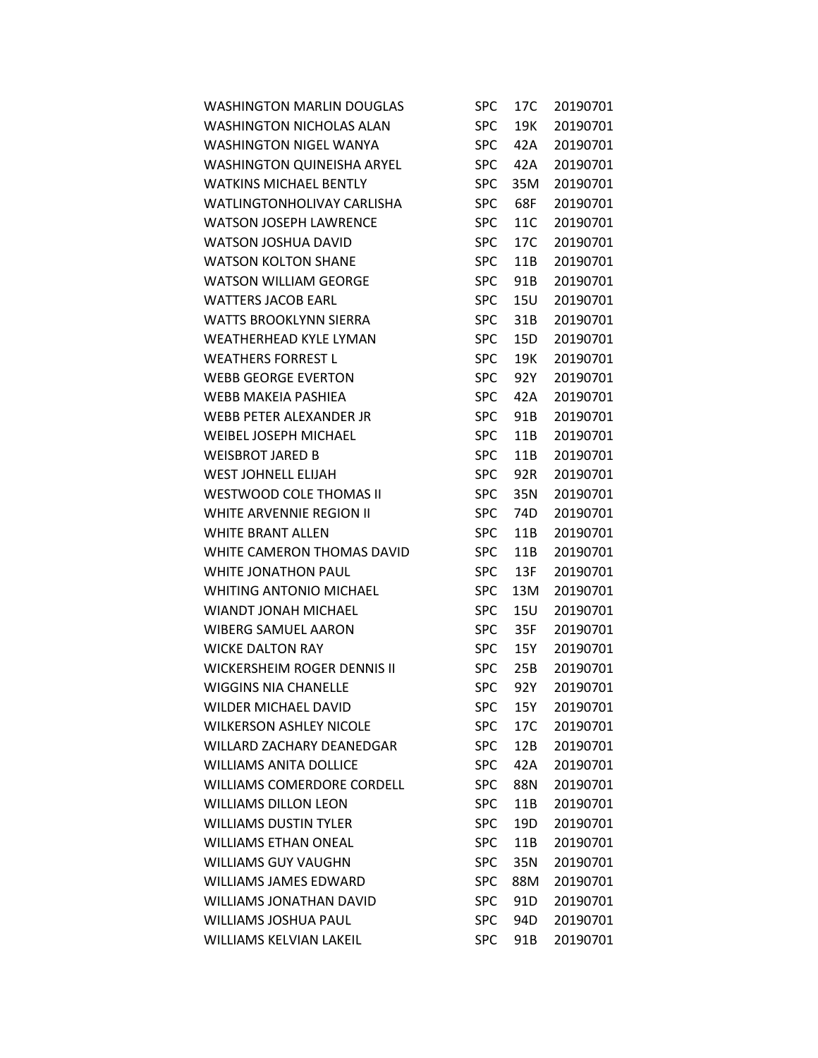| <b>WASHINGTON MARLIN DOUGLAS</b>   | <b>SPC</b> | 17C             | 20190701 |
|------------------------------------|------------|-----------------|----------|
| <b>WASHINGTON NICHOLAS ALAN</b>    | <b>SPC</b> | 19K             | 20190701 |
| <b>WASHINGTON NIGEL WANYA</b>      | <b>SPC</b> | 42A             | 20190701 |
| <b>WASHINGTON QUINEISHA ARYEL</b>  | <b>SPC</b> | 42A             | 20190701 |
| <b>WATKINS MICHAEL BENTLY</b>      | <b>SPC</b> | 35M             | 20190701 |
| WATLINGTONHOLIVAY CARLISHA         | <b>SPC</b> | 68F             | 20190701 |
| <b>WATSON JOSEPH LAWRENCE</b>      | <b>SPC</b> | 11C             | 20190701 |
| <b>WATSON JOSHUA DAVID</b>         | <b>SPC</b> | 17C             | 20190701 |
| <b>WATSON KOLTON SHANE</b>         | <b>SPC</b> | 11B             | 20190701 |
| <b>WATSON WILLIAM GEORGE</b>       | <b>SPC</b> | 91B             | 20190701 |
| <b>WATTERS JACOB EARL</b>          | <b>SPC</b> | 15U             | 20190701 |
| <b>WATTS BROOKLYNN SIERRA</b>      | <b>SPC</b> | 31B             | 20190701 |
| <b>WEATHERHEAD KYLE LYMAN</b>      | <b>SPC</b> | 15D             | 20190701 |
| <b>WEATHERS FORREST L</b>          | <b>SPC</b> | 19K             | 20190701 |
| <b>WEBB GEORGE EVERTON</b>         | <b>SPC</b> | 92Y             | 20190701 |
| <b>WEBB MAKEIA PASHIEA</b>         | <b>SPC</b> | 42A             | 20190701 |
| WEBB PETER ALEXANDER JR            | <b>SPC</b> | 91B             | 20190701 |
| <b>WEIBEL JOSEPH MICHAEL</b>       | <b>SPC</b> | 11B             | 20190701 |
| <b>WEISBROT JARED B</b>            | <b>SPC</b> | 11B             | 20190701 |
| <b>WEST JOHNELL ELIJAH</b>         | <b>SPC</b> | 92R             | 20190701 |
| WESTWOOD COLE THOMAS II            | <b>SPC</b> | 35N             | 20190701 |
| WHITE ARVENNIE REGION II           | <b>SPC</b> | 74D             | 20190701 |
| <b>WHITE BRANT ALLEN</b>           | <b>SPC</b> | 11B             | 20190701 |
| WHITE CAMERON THOMAS DAVID         | <b>SPC</b> | 11B             | 20190701 |
| <b>WHITE JONATHON PAUL</b>         | <b>SPC</b> | 13F             | 20190701 |
| <b>WHITING ANTONIO MICHAEL</b>     | <b>SPC</b> | 13M             | 20190701 |
| <b>WIANDT JONAH MICHAEL</b>        | <b>SPC</b> | 15U             | 20190701 |
| <b>WIBERG SAMUEL AARON</b>         | <b>SPC</b> | 35F             | 20190701 |
| <b>WICKE DALTON RAY</b>            | <b>SPC</b> | 15Y             | 20190701 |
| <b>WICKERSHEIM ROGER DENNIS II</b> | <b>SPC</b> | 25B             | 20190701 |
| <b>WIGGINS NIA CHANELLE</b>        | <b>SPC</b> | 92Y             | 20190701 |
| <b>WILDER MICHAEL DAVID</b>        | <b>SPC</b> | 15Y             | 20190701 |
| <b>WILKERSON ASHLEY NICOLE</b>     | <b>SPC</b> | 17C             | 20190701 |
| WILLARD ZACHARY DEANEDGAR          | <b>SPC</b> | 12B             | 20190701 |
| <b>WILLIAMS ANITA DOLLICE</b>      | <b>SPC</b> | 42A             | 20190701 |
| <b>WILLIAMS COMERDORE CORDELL</b>  | <b>SPC</b> | 88N             | 20190701 |
| <b>WILLIAMS DILLON LEON</b>        | <b>SPC</b> | 11 <sub>B</sub> | 20190701 |
| <b>WILLIAMS DUSTIN TYLER</b>       | <b>SPC</b> | 19D             | 20190701 |
| <b>WILLIAMS ETHAN ONEAL</b>        | <b>SPC</b> | 11B             | 20190701 |
| <b>WILLIAMS GUY VAUGHN</b>         | <b>SPC</b> | 35N             | 20190701 |
| <b>WILLIAMS JAMES EDWARD</b>       | <b>SPC</b> | 88M             | 20190701 |
| <b>WILLIAMS JONATHAN DAVID</b>     | <b>SPC</b> | 91D             | 20190701 |
| WILLIAMS JOSHUA PAUL               | <b>SPC</b> | 94D             | 20190701 |
| WILLIAMS KELVIAN LAKEIL            | <b>SPC</b> | 91B             | 20190701 |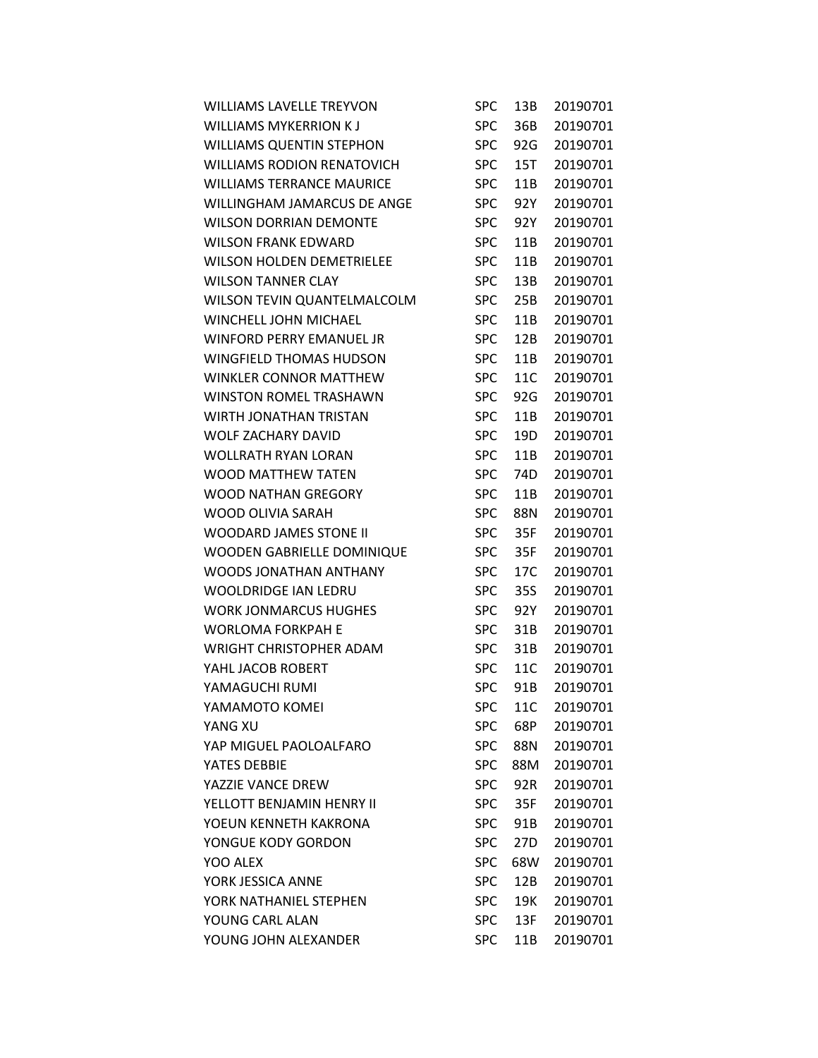| <b>WILLIAMS LAVELLE TREYVON</b>   | <b>SPC</b> | 13B | 20190701 |
|-----------------------------------|------------|-----|----------|
| <b>WILLIAMS MYKERRION KJ</b>      | <b>SPC</b> | 36B | 20190701 |
| <b>WILLIAMS QUENTIN STEPHON</b>   | <b>SPC</b> | 92G | 20190701 |
| <b>WILLIAMS RODION RENATOVICH</b> | <b>SPC</b> | 15T | 20190701 |
| <b>WILLIAMS TERRANCE MAURICE</b>  | <b>SPC</b> | 11B | 20190701 |
| WILLINGHAM JAMARCUS DE ANGE       | <b>SPC</b> | 92Y | 20190701 |
| <b>WILSON DORRIAN DEMONTE</b>     | <b>SPC</b> | 92Y | 20190701 |
| <b>WILSON FRANK EDWARD</b>        | <b>SPC</b> | 11B | 20190701 |
| <b>WILSON HOLDEN DEMETRIELEE</b>  | <b>SPC</b> | 11B | 20190701 |
| <b>WILSON TANNER CLAY</b>         | <b>SPC</b> | 13B | 20190701 |
| WILSON TEVIN QUANTELMALCOLM       | <b>SPC</b> | 25B | 20190701 |
| WINCHELL JOHN MICHAEL             | <b>SPC</b> | 11B | 20190701 |
| <b>WINFORD PERRY EMANUEL JR</b>   | <b>SPC</b> | 12B | 20190701 |
| <b>WINGFIELD THOMAS HUDSON</b>    | <b>SPC</b> | 11B | 20190701 |
| WINKLER CONNOR MATTHEW            | <b>SPC</b> | 11C | 20190701 |
| WINSTON ROMEL TRASHAWN            | <b>SPC</b> | 92G | 20190701 |
| WIRTH JONATHAN TRISTAN            | <b>SPC</b> | 11B | 20190701 |
| <b>WOLF ZACHARY DAVID</b>         | <b>SPC</b> | 19D | 20190701 |
| <b>WOLLRATH RYAN LORAN</b>        | <b>SPC</b> | 11B | 20190701 |
| <b>WOOD MATTHEW TATEN</b>         | <b>SPC</b> | 74D | 20190701 |
| <b>WOOD NATHAN GREGORY</b>        | <b>SPC</b> | 11B | 20190701 |
| WOOD OLIVIA SARAH                 | <b>SPC</b> | 88N | 20190701 |
| <b>WOODARD JAMES STONE II</b>     | <b>SPC</b> | 35F | 20190701 |
| WOODEN GABRIELLE DOMINIQUE        | <b>SPC</b> | 35F | 20190701 |
| WOODS JONATHAN ANTHANY            | <b>SPC</b> | 17C | 20190701 |
| <b>WOOLDRIDGE IAN LEDRU</b>       | <b>SPC</b> | 35S | 20190701 |
| <b>WORK JONMARCUS HUGHES</b>      | <b>SPC</b> | 92Y | 20190701 |
| <b>WORLOMA FORKPAH E</b>          | <b>SPC</b> | 31B | 20190701 |
| <b>WRIGHT CHRISTOPHER ADAM</b>    | <b>SPC</b> | 31B | 20190701 |
| YAHL JACOB ROBERT                 | <b>SPC</b> | 11C | 20190701 |
| YAMAGUCHI RUMI                    | <b>SPC</b> | 91B | 20190701 |
| YAMAMOTO KOMEI                    | <b>SPC</b> | 11C | 20190701 |
| YANG XU                           | <b>SPC</b> | 68P | 20190701 |
| YAP MIGUEL PAOLOALFARO            | <b>SPC</b> | 88N | 20190701 |
| YATES DEBBIE                      | <b>SPC</b> | 88M | 20190701 |
| YAZZIE VANCE DREW                 | <b>SPC</b> | 92R | 20190701 |
| YELLOTT BENJAMIN HENRY II         | <b>SPC</b> | 35F | 20190701 |
| YOEUN KENNETH KAKRONA             | <b>SPC</b> | 91B | 20190701 |
| YONGUE KODY GORDON                | <b>SPC</b> | 27D | 20190701 |
| YOO ALEX                          | <b>SPC</b> | 68W | 20190701 |
| YORK JESSICA ANNE                 | <b>SPC</b> | 12B | 20190701 |
| YORK NATHANIEL STEPHEN            | <b>SPC</b> | 19K | 20190701 |
| YOUNG CARL ALAN                   | <b>SPC</b> | 13F | 20190701 |
| YOUNG JOHN ALEXANDER              | <b>SPC</b> | 11B | 20190701 |